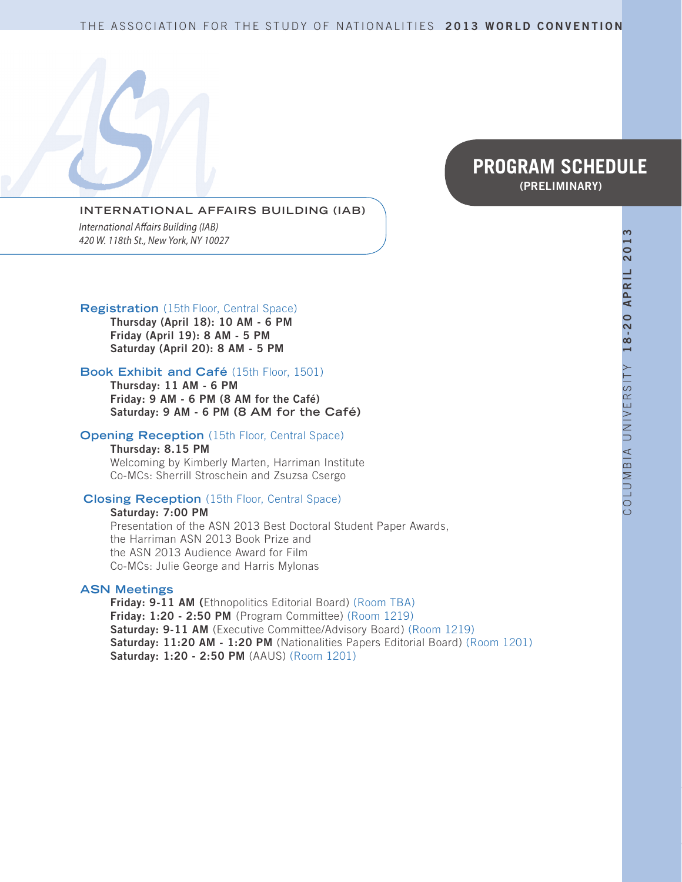#### THE ASSOCIATION FOR THE STUDY OF NATIONALITIES **2013 WORLD CONVENTION**

# **PROGRAM SCHEDULE (PRELIMINARY)**

#### **INTERNATIONAL AFFAIRS BUILDING (IAB)**

*International Affairs Building (IAB) 420 W. 118th St., New York, NY 10027*

#### **Registration** (15th Floor, Central Space)

**Thursday (April 18): 10 AM - 6 PM Friday (April 19): 8 AM - 5 PM Saturday (April 20): 8 AM - 5 PM**

#### **Book Exhibit and Café** (15th Floor, 1501)

**Thursday: 11 AM - 6 PM Friday: 9 AM - 6 PM (8 AM for the Café) Saturday: 9 AM - 6 PM (8 AM for the Café)**

#### **Opening Reception** (15th Floor, Central Space)

**Thursday: 8.15 PM** Welcoming by Kimberly Marten, Harriman Institute Co-MCs: Sherrill Stroschein and Zsuzsa Csergo

#### **Closing Reception** (15th Floor, Central Space)

**Saturday: 7:00 PM** Presentation of the ASN 2013 Best Doctoral Student Paper Awards, the Harriman ASN 2013 Book Prize and the ASN 2013 Audience Award for Film Co-MCs: Julie George and Harris Mylonas

#### **ASN Meetings**

**Friday: 9-11 AM (**Ethnopolitics Editorial Board) (Room TBA) **Friday: 1:20 - 2:50 PM** (Program Committee) (Room 1219) **Saturday: 9-11 AM** (Executive Committee/Advisory Board) (Room 1219) Saturday: 11:20 AM - 1:20 PM (Nationalities Papers Editorial Board) (Room 1201) **Saturday: 1:20 - 2:50 PM** (AAUS) (Room 1201)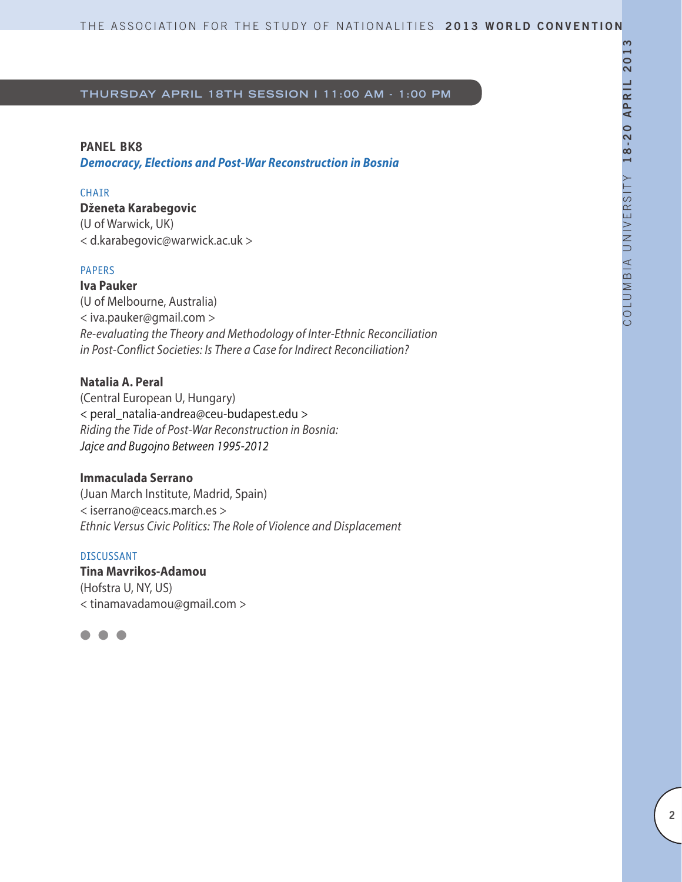#### **PANEL BK8**

*Democracy, Elections and Post-War Reconstruction in Bosnia*

### **CHAIR**

**Dženeta Karabegovic**  (U of Warwick, UK)

< d.karabegovic@warwick.ac.uk >

#### PAPERS

**Iva Pauker**  (U of Melbourne, Australia) < iva.pauker@gmail.com > *Re-evaluating the Theory and Methodology of Inter-Ethnic Reconciliation in Post-Conflict Societies: Is There a Case for Indirect Reconciliation?*

### **Natalia A. Peral**

(Central European U, Hungary) < peral\_natalia-andrea@ceu-budapest.edu > *Riding the Tide of Post-War Reconstruction in Bosnia: Jajce and Bugojno Between 1995-2012*

### **Immaculada Serrano**

(Juan March Institute, Madrid, Spain) < iserrano@ceacs.march.es > *Ethnic Versus Civic Politics: The Role of Violence and Displacement*

#### DISCUSSANT

**Tina Mavrikos-Adamou** (Hofstra U, NY, US) < tinamavadamou@gmail.com >

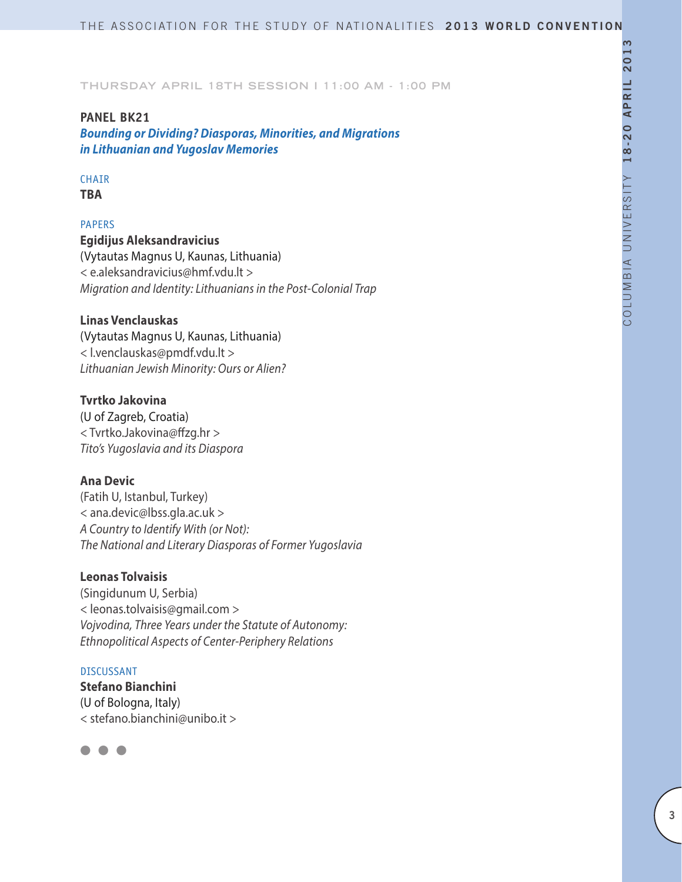### **PANEL BK21**

*Bounding or Dividing? Diasporas, Minorities, and Migrations in Lithuanian and Yugoslav Memories*

## **CHAIR**

**TBA**

### PAPERS

**Egidijus Aleksandravicius** (Vytautas Magnus U, Kaunas, Lithuania) < e.aleksandravicius@hmf.vdu.lt > *Migration and Identity: Lithuanians in the Post-Colonial Trap*

### **Linas Venclauskas**

(Vytautas Magnus U, Kaunas, Lithuania) < l.venclauskas@pmdf.vdu.lt > *Lithuanian Jewish Minority: Ours or Alien?*

### **Tvrtko Jakovina**

(U of Zagreb, Croatia) < Tvrtko.Jakovina@ffzg.hr > *Tito's Yugoslavia and its Diaspora*

# **Ana Devic**

(Fatih U, Istanbul, Turkey) < ana.devic@lbss.gla.ac.uk > *A Country to Identify With (or Not): The National and Literary Diasporas of Former Yugoslavia*

### **Leonas Tolvaisis**

(Singidunum U, Serbia) < leonas.tolvaisis@gmail.com > *Vojvodina, Three Years under the Statute of Autonomy: Ethnopolitical Aspects of Center-Periphery Relations*

#### DISCUSSANT

**Stefano Bianchini** (U of Bologna, Italy) < stefano.bianchini@unibo.it >

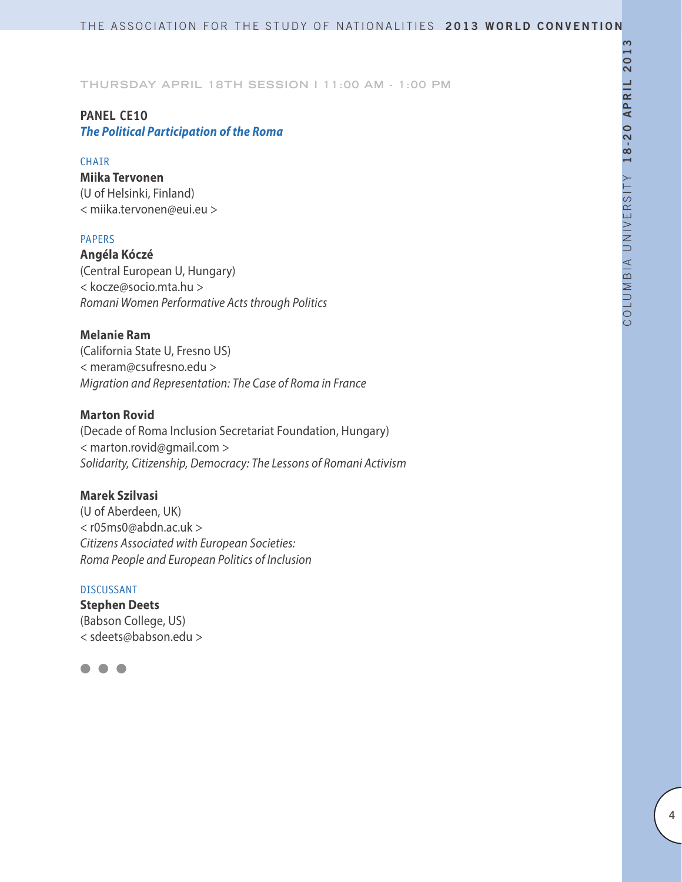# **PANEL CE10**

# *The Political Participation of the Roma*

### **CHAIR**

**Miika Tervonen** (U of Helsinki, Finland) < miika.tervonen@eui.eu >

### PAPERS

**Angéla Kóczé** (Central European U, Hungary) < kocze@socio.mta.hu > *Romani Women Performative Acts through Politics*

### **Melanie Ram**

(California State U, Fresno US) < meram@csufresno.edu > *Migration and Representation: The Case of Roma in France*

### **Marton Rovid**

(Decade of Roma Inclusion Secretariat Foundation, Hungary) < marton.rovid@gmail.com > *Solidarity, Citizenship, Democracy: The Lessons of Romani Activism*

### **Marek Szilvasi**

(U of Aberdeen, UK) < r05ms0@abdn.ac.uk > *Citizens Associated with European Societies: Roma People and European Politics of Inclusion*

### DISCUSSANT

**Stephen Deets** (Babson College, US) < sdeets@babson.edu >

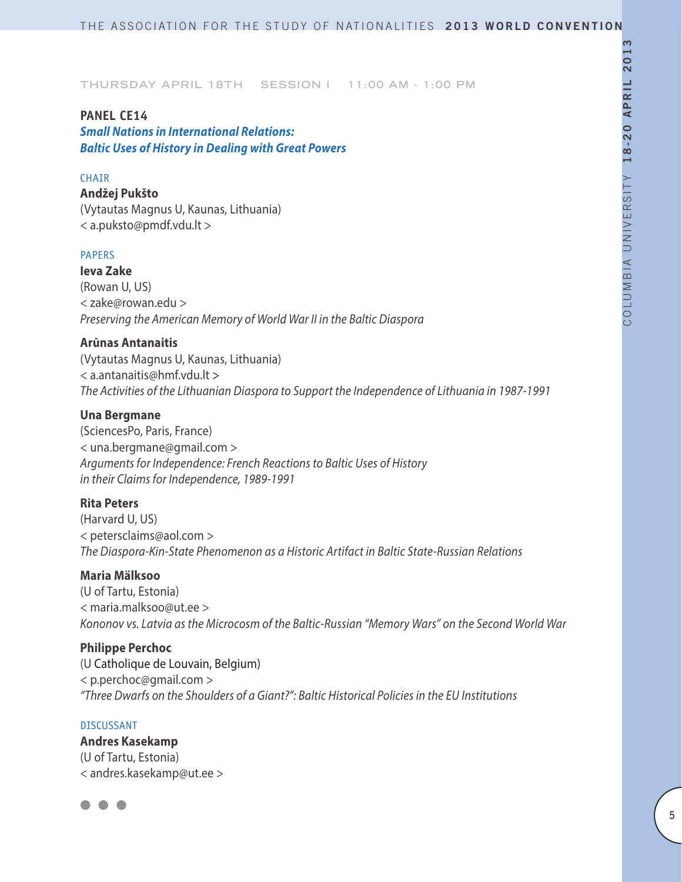### **PANEL CE14**

*Small Nations in International Relations: Baltic Uses of History in Dealing with Great Powers*

### CHAIR

**Andžej Pukšto** (Vytautas Magnus U, Kaunas, Lithuania) < a.puksto@pmdf.vdu.lt >

#### PAPERS

**Ieva Zake** (Rowan U, US) < zake@rowan.edu > *Preserving the American Memory of World War II in the Baltic Diaspora*

#### **Arūnas Antanaitis**

(Vytautas Magnus U, Kaunas, Lithuania) < a.antanaitis@hmf.vdu.lt > *The Activities of the Lithuanian Diaspora to Support the Independence of Lithuania in 1987-1991*

#### **Una Bergmane**

(SciencesPo, Paris, France) < una.bergmane@gmail.com > *Arguments for Independence: French Reactions to Baltic Uses of History in their Claims for Independence, 1989-1991*

#### **Rita Peters**

(Harvard U, US) < petersclaims@aol.com > *The Diaspora-Kin-State Phenomenon as a Historic Artifact in Baltic State-Russian Relations*

### **Maria Mälksoo**

(U of Tartu, Estonia) < maria.malksoo@ut.ee > *Kononov vs. Latvia as the Microcosm of the Baltic-Russian "Memory Wars" on the Second World War*

#### **Philippe Perchoc**

(U Catholique de Louvain, Belgium) < p.perchoc@gmail.com > *"Three Dwarfs on the Shoulders of a Giant?": Baltic Historical Policies in the EU Institutions*

#### DISCUSSANT

**Andres Kasekamp** (U of Tartu, Estonia) < andres.kasekamp@ut.ee >

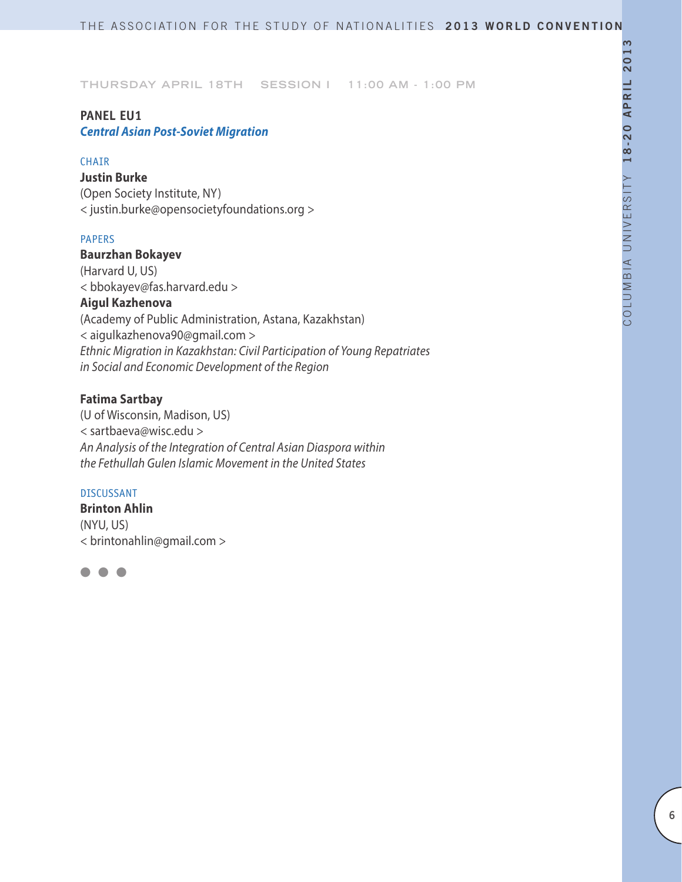## **PANEL EU1**

*Central Asian Post-Soviet Migration* 

#### **CHAIR**

**Justin Burke** (Open Society Institute, NY) < justin.burke@opensocietyfoundations.org >

### PAPERS

### **Baurzhan Bokayev**

(Harvard U, US) < bbokayev@fas.harvard.edu >

## **Aigul Kazhenova**

(Academy of Public Administration, Astana, Kazakhstan) < aigulkazhenova90@gmail.com > *Ethnic Migration in Kazakhstan: Civil Participation of Young Repatriates in Social and Economic Development of the Region*

### **Fatima Sartbay**

(U of Wisconsin, Madison, US) < sartbaeva@wisc.edu > *An Analysis of the Integration of Central Asian Diaspora within the Fethullah Gulen Islamic Movement in the United States*

#### DISCUSSANT

**Brinton Ahlin** (NYU, US) < brintonahlin@gmail.com >

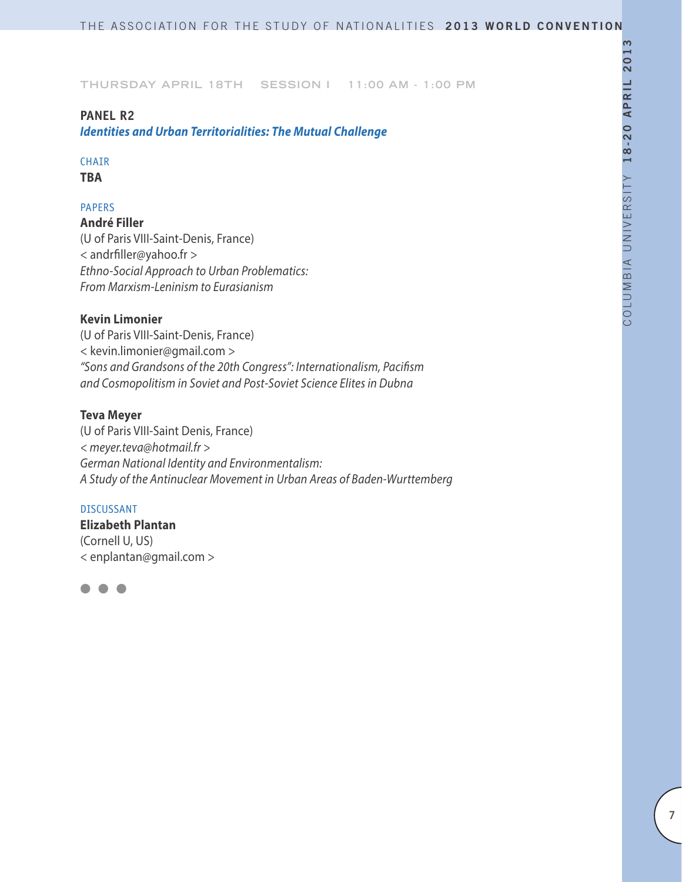### **PANEL R2**

*Identities and Urban Territorialities: The Mutual Challenge*

# CHAIR

**TBA**

### PAPERS

**André Filler** (U of Paris VIII-Saint-Denis, France) < andrfiller@yahoo.fr > *Ethno-Social Approach to Urban Problematics: From Marxism-Leninism to Eurasianism*

### **Kevin Limonier**

(U of Paris VIII-Saint-Denis, France) < kevin.limonier@gmail.com > *"Sons and Grandsons of the 20th Congress": Internationalism, Pacifism and Cosmopolitism in Soviet and Post-Soviet Science Elites in Dubna*

### **Teva Meyer**

(U of Paris VIII-Saint Denis, France) *< meyer.teva@hotmail.fr > German National Identity and Environmentalism: A Study of the Antinuclear Movement in Urban Areas of Baden-Wurttemberg* 

### DISCUSSANT

**Elizabeth Plantan** (Cornell U, US) < enplantan@gmail.com >

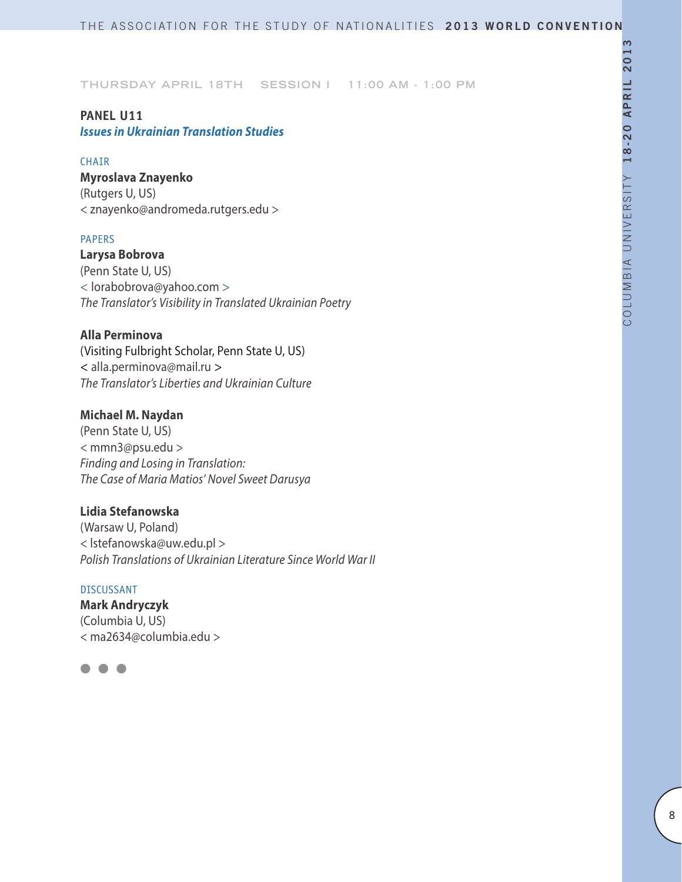### **PANEL U11**

# *Issues in Ukrainian Translation Studies*

#### **CHAIR**

**Myroslava Znayenko** (Rutgers U, US) < znayenko@andromeda.rutgers.edu >

#### PAPERS

**Larysa Bobrova**  (Penn State U, US) < lorabobrova@yahoo.com > *The Translator's Visibility in Translated Ukrainian Poetry*

### **Alla Perminova**

(Visiting Fulbright Scholar, Penn State U, US) < alla.perminova@mail.ru > *The Translator's Liberties and Ukrainian Culture*

#### **Michael M. Naydan**

(Penn State U, US) < mmn3@psu.edu > *Finding and Losing in Translation: The Case of Maria Matios' Novel Sweet Darusya* 

### **Lidia Stefanowska**

(Warsaw U, Poland) < lstefanowska@uw.edu.pl > *Polish Translations of Ukrainian Literature Since World War II*

#### DISCUSSANT

**Mark Andryczyk** (Columbia U, US) < ma2634@columbia.edu >

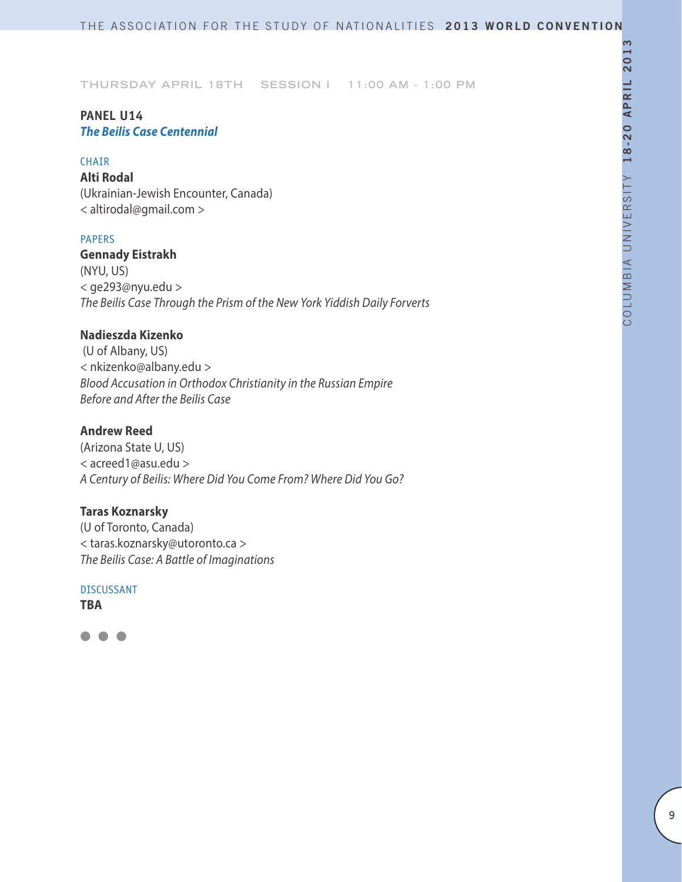## **PANEL U14** *The Beilis Case Centennial*

#### **CHAIR**

**Alti Rodal** (Ukrainian-Jewish Encounter, Canada) < altirodal@gmail.com >

### PAPERS

**Gennady Eistrakh**  (NYU, US) < ge293@nyu.edu > *The Beilis Case Through the Prism of the New York Yiddish Daily Forverts*

### **Nadieszda Kizenko**

 (U of Albany, US) < nkizenko@albany.edu > *Blood Accusation in Orthodox Christianity in the Russian Empire Before and After the Beilis Case*

### **Andrew Reed**

(Arizona State U, US) < acreed1@asu.edu > *A Century of Beilis: Where Did You Come From? Where Did You Go?*

### **Taras Koznarsky**

(U of Toronto, Canada) < taras.koznarsky@utoronto.ca > *The Beilis Case: A Battle of Imaginations*

DISCUSSANT **TBA**

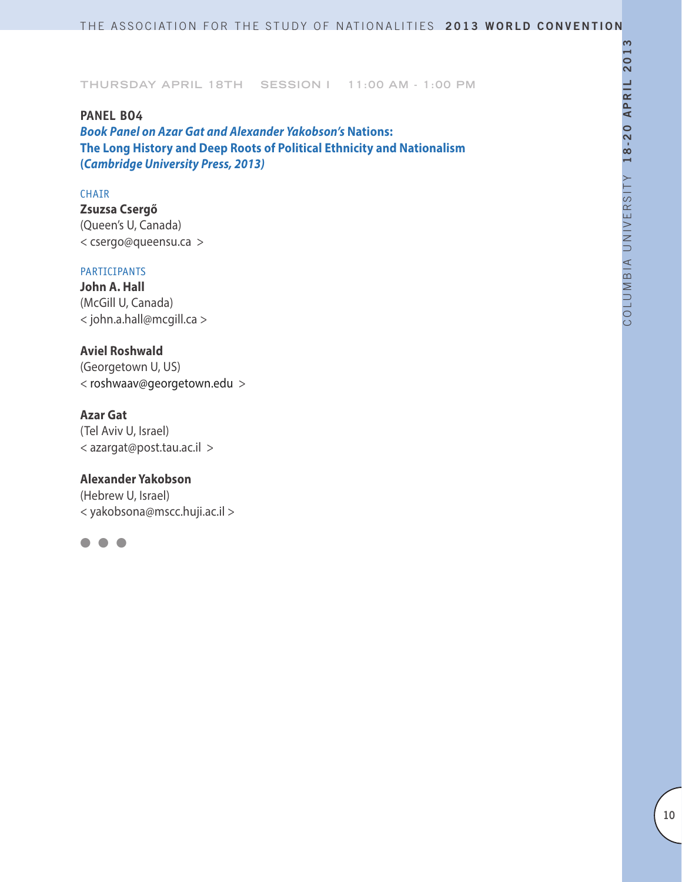### **PANEL BO4**

*Book Panel on Azar Gat and Alexander Yakobson's* **Nations: The Long History and Deep Roots of Political Ethnicity and Nationalism (***Cambridge University Press, 2013)*

#### CHAIR

**Zsuzsa Csergő** (Queen's U, Canada) < csergo@queensu.ca >

#### PARTICIPANTS

**John A. Hall** (McGill U, Canada) < john.a.hall@mcgill.ca >

### **Aviel Roshwald**

(Georgetown U, US) < roshwaav@georgetown.edu >

### **Azar Gat**

(Tel Aviv U, Israel) < azargat@post.tau.ac.il >

### **Alexander Yakobson**

(Hebrew U, Israel) < yakobsona@mscc.huji.ac.il >

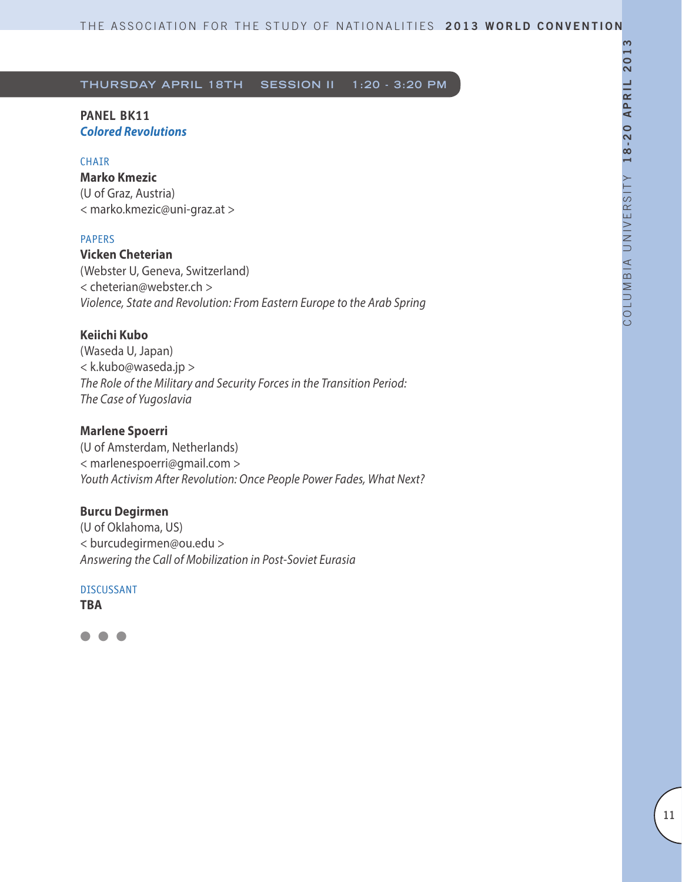#### **PANEL BK11** *Colored Revolutions*

#### **CHAIR**

**Marko Kmezic**  (U of Graz, Austria) < marko.kmezic@uni-graz.at >

#### PAPERS

**Vicken Cheterian**  (Webster U, Geneva, Switzerland) < cheterian@webster.ch > *Violence, State and Revolution: From Eastern Europe to the Arab Spring*

#### **Keiichi Kubo**

(Waseda U, Japan) < k.kubo@waseda.jp > *The Role of the Military and Security Forces in the Transition Period: The Case of Yugoslavia*

### **Marlene Spoerri**

(U of Amsterdam, Netherlands) < marlenespoerri@gmail.com > *Youth Activism After Revolution: Once People Power Fades, What Next?*

#### **Burcu Degirmen**

(U of Oklahoma, US) < burcudegirmen@ou.edu > *Answering the Call of Mobilization in Post-Soviet Eurasia*

DISCUSSANT

**TBA**

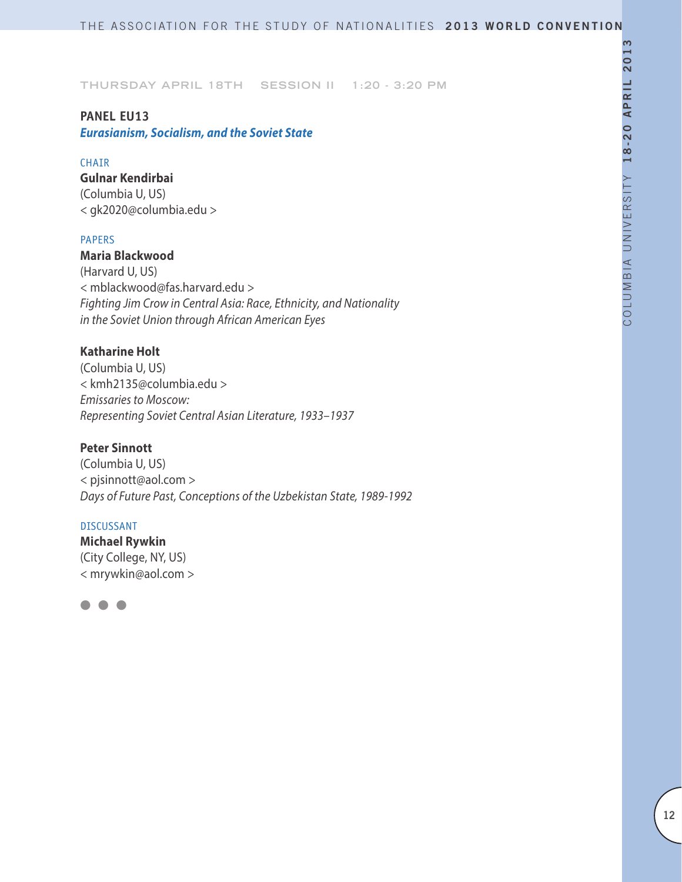### **PANEL EU13**

*Eurasianism, Socialism, and the Soviet State*

#### **CHATR**

**Gulnar Kendirbai** (Columbia U, US) < gk2020@columbia.edu >

#### PAPERS

**Maria Blackwood**

(Harvard U, US) < mblackwood@fas.harvard.edu > *Fighting Jim Crow in Central Asia: Race, Ethnicity, and Nationality in the Soviet Union through African American Eyes*

### **Katharine Holt**

(Columbia U, US) < kmh2135@columbia.edu > *Emissaries to Moscow: Representing Soviet Central Asian Literature, 1933–1937*

### **Peter Sinnott**

(Columbia U, US) < pjsinnott@aol.com > *Days of Future Past, Conceptions of the Uzbekistan State, 1989-1992*

#### DISCUSSANT

**Michael Rywkin** (City College, NY, US) < mrywkin@aol.com >

 $\bullet$   $\bullet$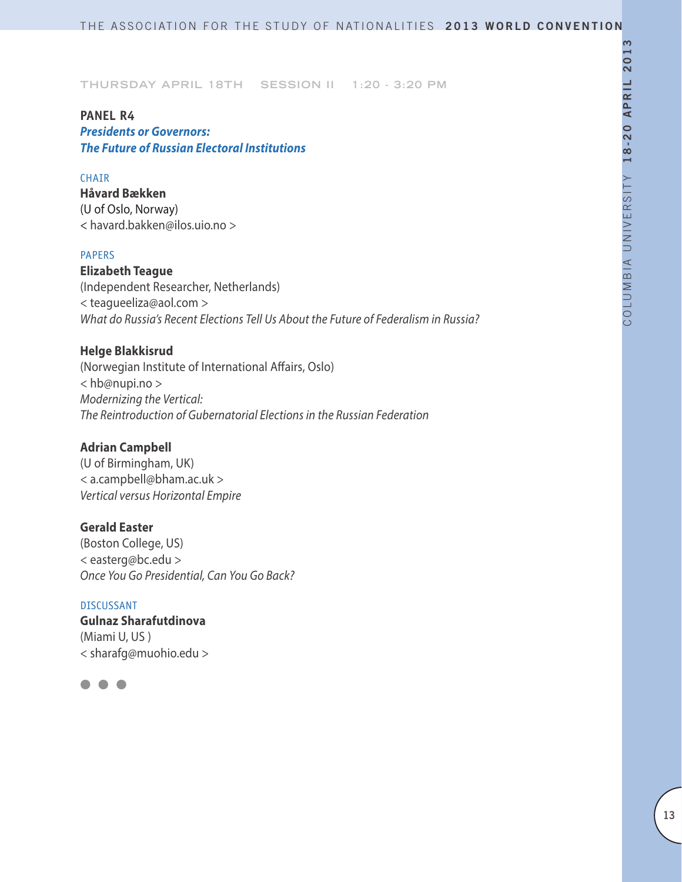# **PANEL R4** *Presidents or Governors: The Future of Russian Electoral Institutions*

#### CHAIR

**Håvard Bækken** (U of Oslo, Norway) < havard.bakken@ilos.uio.no >

#### PAPERS

**Elizabeth Teague** (Independent Researcher, Netherlands) < teagueeliza@aol.com > *What do Russia's Recent Elections Tell Us About the Future of Federalism in Russia?*

### **Helge Blakkisrud**

(Norwegian Institute of International Affairs, Oslo) < hb@nupi.no > *Modernizing the Vertical: The Reintroduction of Gubernatorial Elections in the Russian Federation*

### **Adrian Campbell**

(U of Birmingham, UK) < a.campbell@bham.ac.uk > *Vertical versus Horizontal Empire*

### **Gerald Easter**

(Boston College, US) < easterg@bc.edu > *Once You Go Presidential, Can You Go Back?*

# DISCUSSANT **Gulnaz Sharafutdinova** (Miami U, US ) < sharafg@muohio.edu >

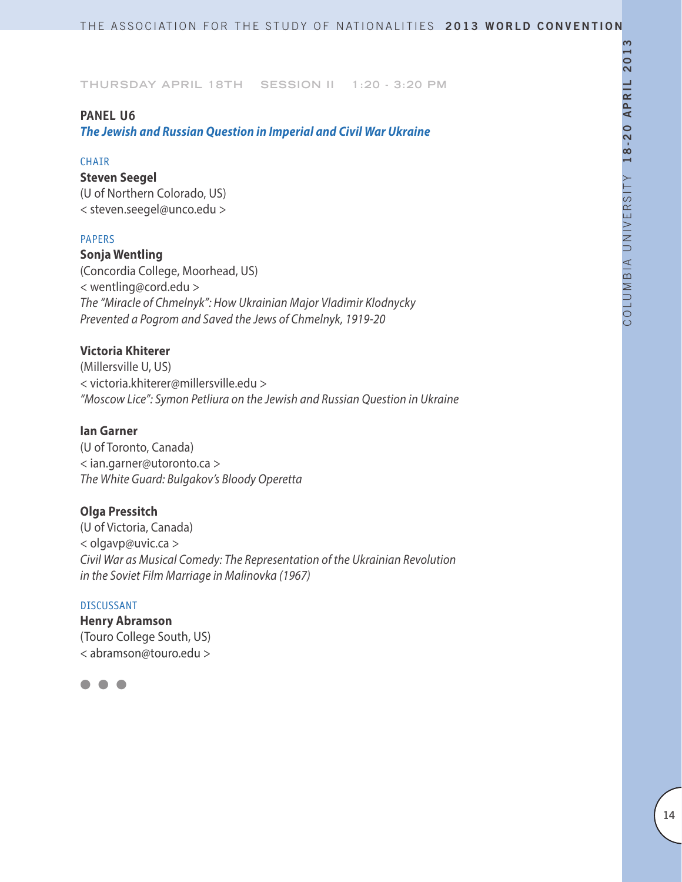#### **PANEL U6**

*The Jewish and Russian Question in Imperial and Civil War Ukraine*

#### **CHAIR**

### **Steven Seegel**

(U of Northern Colorado, US) < steven.seegel@unco.edu >

### PAPERS

#### **Sonja Wentling**

(Concordia College, Moorhead, US) < wentling@cord.edu > *The "Miracle of Chmelnyk": How Ukrainian Major Vladimir Klodnycky Prevented a Pogrom and Saved the Jews of Chmelnyk, 1919-20*

### **Victoria Khiterer**

(Millersville U, US) < victoria.khiterer@millersville.edu > *"Moscow Lice": Symon Petliura on the Jewish and Russian Question in Ukraine*

### **Ian Garner**

(U of Toronto, Canada) < ian.garner@utoronto.ca > *The White Guard: Bulgakov's Bloody Operetta*

#### **Olga Pressitch**

(U of Victoria, Canada) < olgavp@uvic.ca > *Civil War as Musical Comedy: The Representation of the Ukrainian Revolution in the Soviet Film Marriage in Malinovka (1967)*

#### DISCUSSANT

**Henry Abramson** (Touro College South, US) < abramson@touro.edu >

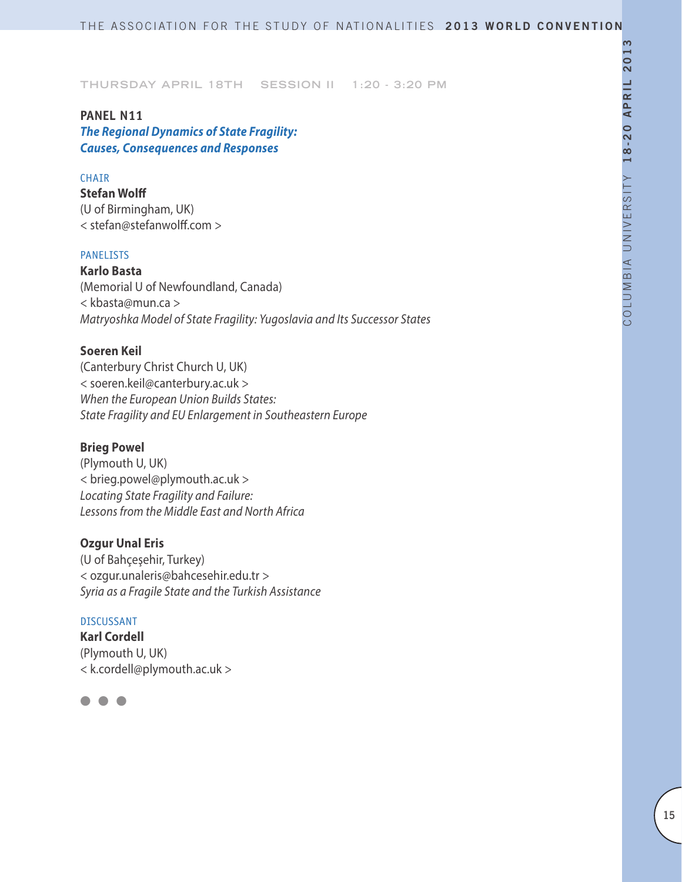# **PANEL N11**

*The Regional Dynamics of State Fragility: Causes, Consequences and Responses* 

### CHAIR

**Stefan Wolff** (U of Birmingham, UK) < stefan@stefanwolff.com >

#### PANELISTS

**Karlo Basta** (Memorial U of Newfoundland, Canada) < kbasta@mun.ca > *Matryoshka Model of State Fragility: Yugoslavia and Its Successor States*

### **Soeren Keil**

(Canterbury Christ Church U, UK) < soeren.keil@canterbury.ac.uk > *When the European Union Builds States: State Fragility and EU Enlargement in Southeastern Europe*

### **Brieg Powel**

(Plymouth U, UK) < brieg.powel@plymouth.ac.uk > *Locating State Fragility and Failure: Lessons from the Middle East and North Africa*

#### **Ozgur Unal Eris**

(U of Bahçeşehir, Turkey) < ozgur.unaleris@bahcesehir.edu.tr > *Syria as a Fragile State and the Turkish Assistance*

#### DISCUSSANT

**Karl Cordell** (Plymouth U, UK) < k.cordell@plymouth.ac.uk >

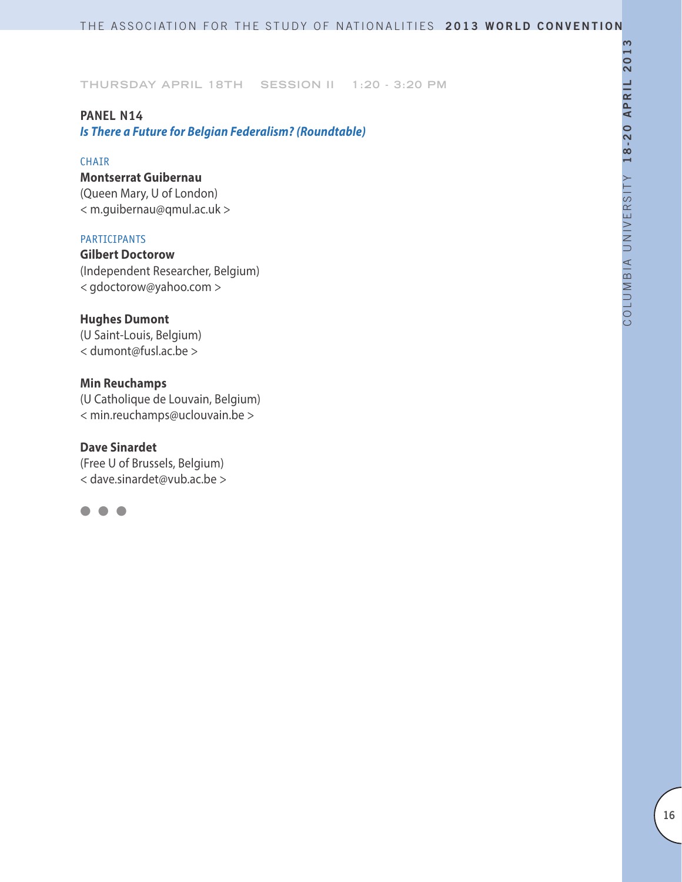## **PANEL N14**

*Is There a Future for Belgian Federalism? (Roundtable)*

#### CHAIR

### **Montserrat Guibernau**

(Queen Mary, U of London) < m.guibernau@qmul.ac.uk >

### PARTICIPANTS

**Gilbert Doctorow** (Independent Researcher, Belgium) *<* gdoctorow@yahoo.com *>*

### **Hughes Dumont**

(U Saint-Louis, Belgium) < dumont@fusl.ac.be >

### **Min Reuchamps**

(U Catholique de Louvain, Belgium) < min.reuchamps@uclouvain.be >

# **Dave Sinardet** (Free U of Brussels, Belgium)

< dave.sinardet@vub.ac.be >

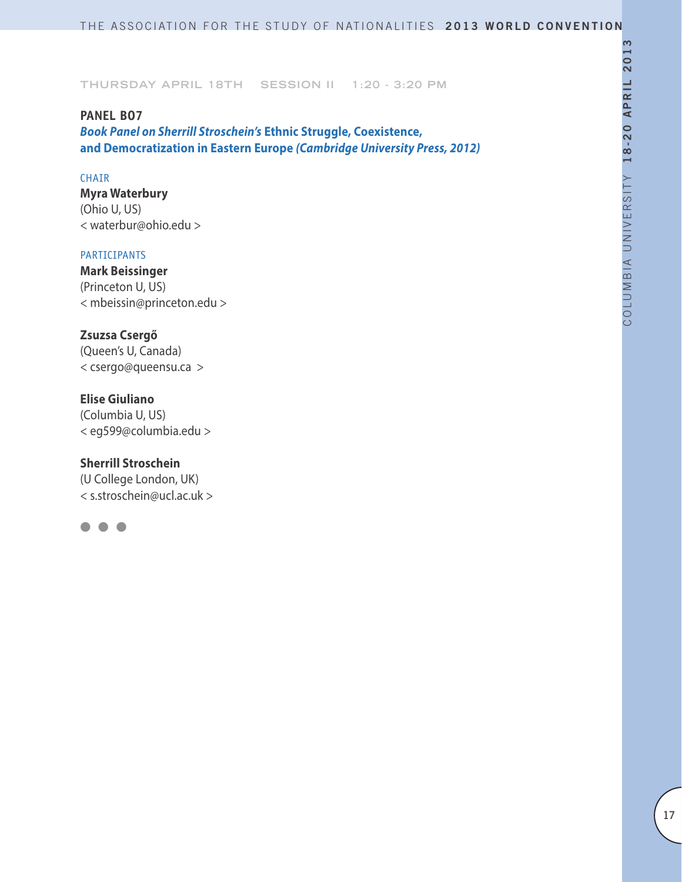#### **PANEL BO7**

*Book Panel on Sherrill Stroschein's* **Ethnic Struggle, Coexistence, and Democratization in Eastern Europe** *(Cambridge University Press, 2012)*

### CHAIR

**Myra Waterbury** (Ohio U, US) < waterbur@ohio.edu >

#### PARTICIPANTS

**Mark Beissinger** (Princeton U, US) < mbeissin@princeton.edu >

### **Zsuzsa Csergő**

(Queen's U, Canada) < csergo@queensu.ca >

### **Elise Giuliano**

(Columbia U, US) < eg599@columbia.edu >

#### **Sherrill Stroschein**

(U College London, UK) < s.stroschein@ucl.ac.uk >

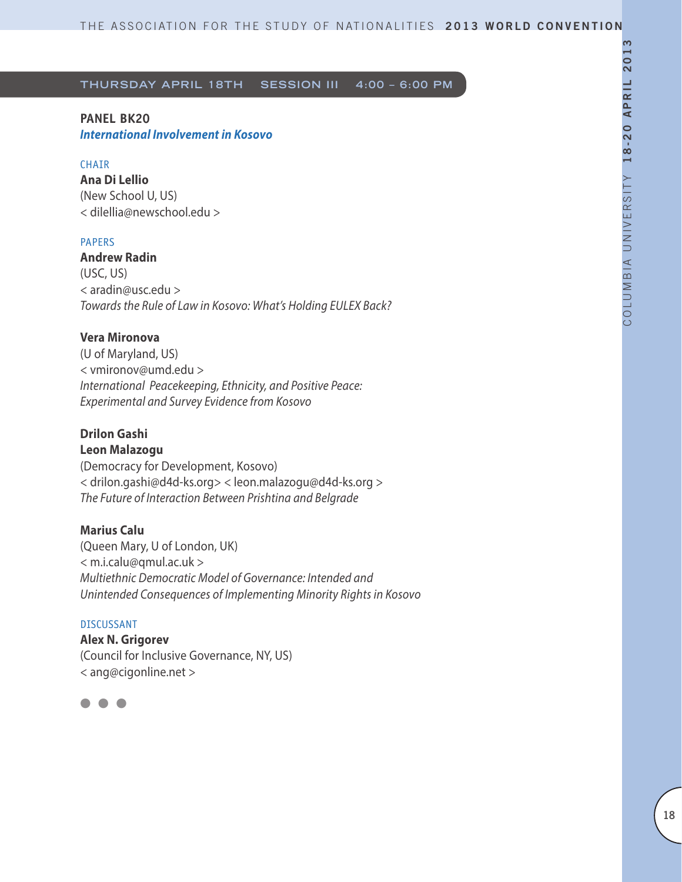**PANEL BK20**  *International Involvement in Kosovo*

#### CHAIR

**Ana Di Lellio** (New School U, US) < dilellia@newschool.edu >

### PAPERS

**Andrew Radin**  (USC, US) < aradin@usc.edu > *Towards the Rule of Law in Kosovo: What's Holding EULEX Back?*

### **Vera Mironova**

(U of Maryland, US) < vmironov@umd.edu > *International Peacekeeping, Ethnicity, and Positive Peace: Experimental and Survey Evidence from Kosovo*

# **Drilon Gashi**

**Leon Malazogu**  (Democracy for Development, Kosovo) < drilon.gashi@d4d-ks.org> < leon.malazogu@d4d-ks.org > *The Future of Interaction Between Prishtina and Belgrade*

### **Marius Calu**

(Queen Mary, U of London, UK) < m.i.calu@qmul.ac.uk > *Multiethnic Democratic Model of Governance: Intended and Unintended Consequences of Implementing Minority Rights in Kosovo*

#### DISCUSSANT

**Alex N. Grigorev** (Council for Inclusive Governance, NY, US) < ang@cigonline.net >

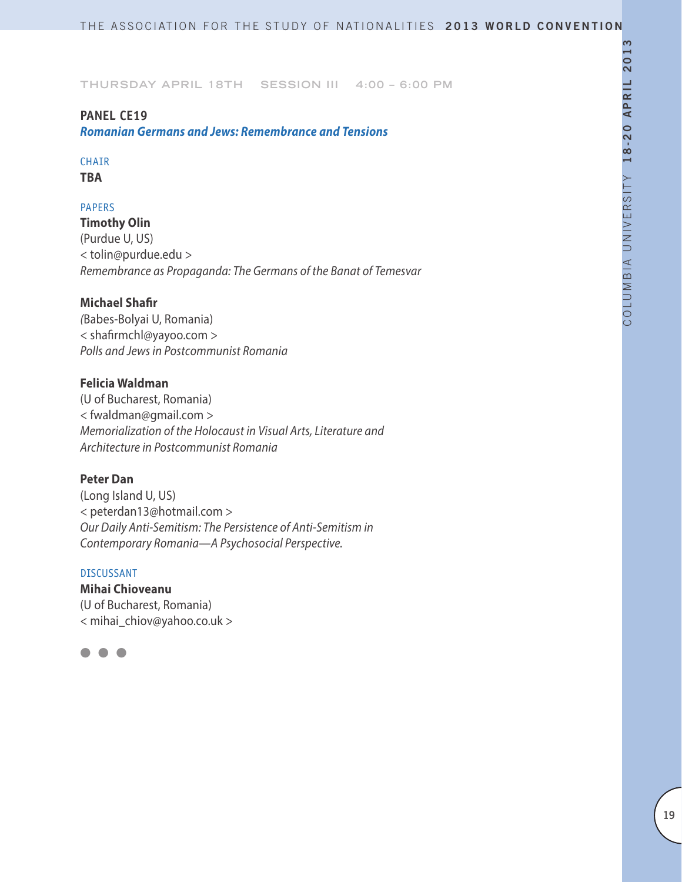## **PANEL CE19**

*Romanian Germans and Jews: Remembrance and Tensions*

# **CHAIR**

**TBA**

## PAPERS

**Timothy Olin** (Purdue U, US) < tolin@purdue.edu > *Remembrance as Propaganda: The Germans of the Banat of Temesvar*

### **Michael Shafir**

*(*Babes-Bolyai U, Romania) < shafirmchl@yayoo.com > *Polls and Jews in Postcommunist Romania*

### **Felicia Waldman**

(U of Bucharest, Romania) < fwaldman@gmail.com > *Memorialization of the Holocaust in Visual Arts, Literature and Architecture in Postcommunist Romania*

### **Peter Dan**

(Long Island U, US) < peterdan13@hotmail.com > *Our Daily Anti-Semitism: The Persistence of Anti-Semitism in Contemporary Romania—A Psychosocial Perspective.*

#### DISCUSSANT

# **Mihai Chioveanu**

(U of Bucharest, Romania) < mihai\_chiov@yahoo.co.uk >

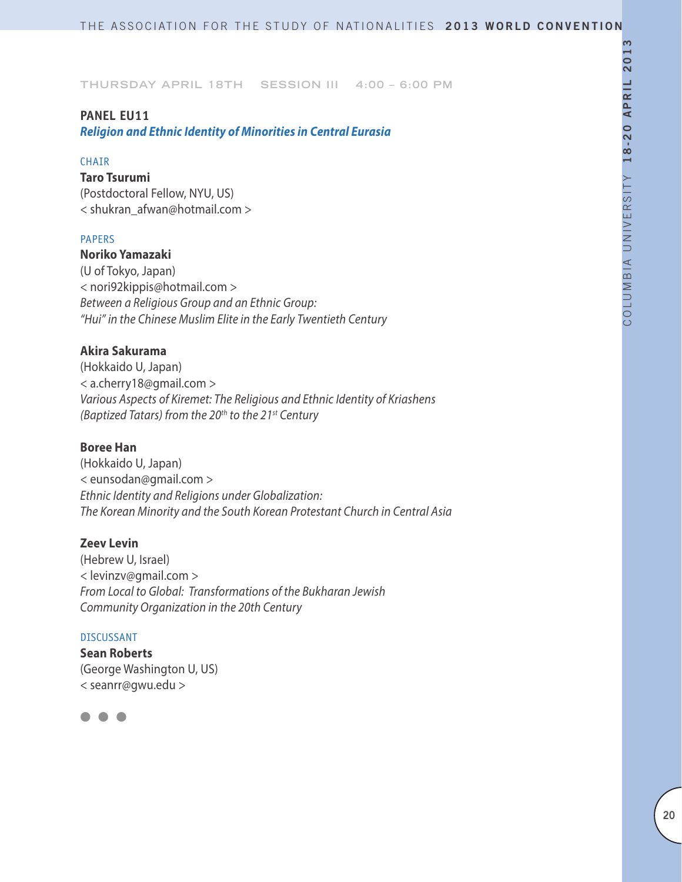### **PANEL EU11**

*Religion and Ethnic Identity of Minorities in Central Eurasia*

#### **CHAIR**

**Taro Tsurumi** (Postdoctoral Fellow, NYU, US) < shukran\_afwan@hotmail.com >

#### PAPERS

### **Noriko Yamazaki**

(U of Tokyo, Japan) < nori92kippis@hotmail.com > *Between a Religious Group and an Ethnic Group: "Hui" in the Chinese Muslim Elite in the Early Twentieth Century*

### **Akira Sakurama**

(Hokkaido U, Japan) < a.cherry18@gmail.com > *Various Aspects of Kiremet: The Religious and Ethnic Identity of Kriashens (Baptized Tatars) from the 20th to the 21st Century*

#### **Boree Han**

(Hokkaido U, Japan) < eunsodan@gmail.com > *Ethnic Identity and Religions under Globalization: The Korean Minority and the South Korean Protestant Church in Central Asia*

#### **Zeev Levin**

(Hebrew U, Israel) < levinzv@gmail.com > *From Local to Global: Transformations of the Bukharan Jewish Community Organization in the 20th Century*

#### DISCUSSANT

**Sean Roberts** (George Washington U, US) < seanrr@gwu.edu >

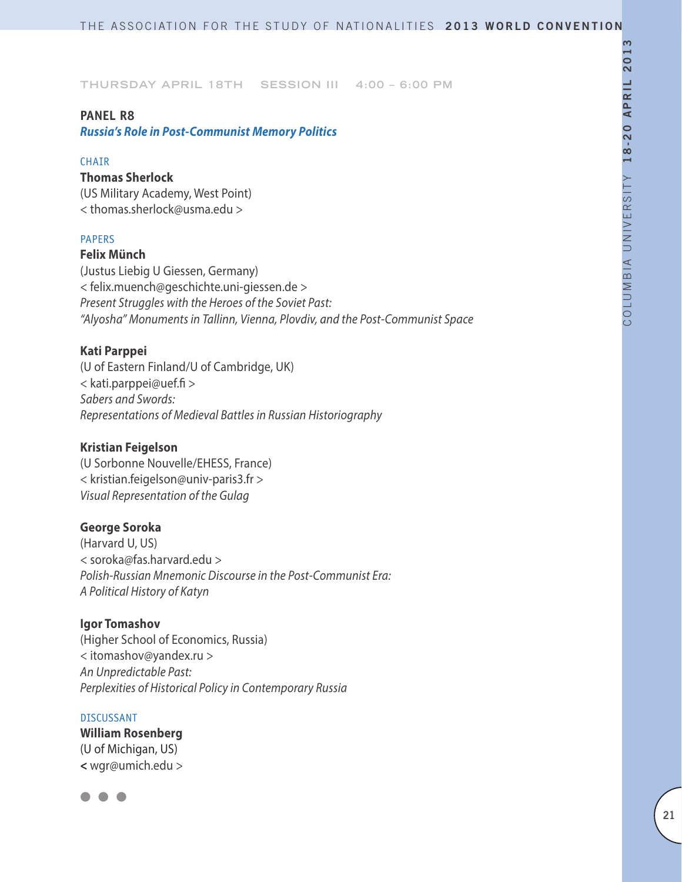#### **PANEL R8**

*Russia's Role in Post-Communist Memory Politics*

#### **CHAIR**

### **Thomas Sherlock**

(US Military Academy, West Point) < thomas.sherlock@usma.edu >

### PAPERS

### **Felix Münch**

(Justus Liebig U Giessen, Germany) < felix.muench@geschichte.uni-giessen.de > *Present Struggles with the Heroes of the Soviet Past: "Alyosha" Monuments in Tallinn, Vienna, Plovdiv, and the Post-Communist Space*

### **Kati Parppei**

(U of Eastern Finland/U of Cambridge, UK) < kati.parppei@uef.fi > *Sabers and Swords: Representations of Medieval Battles in Russian Historiography*

### **Kristian Feigelson**

(U Sorbonne Nouvelle/EHESS, France) < kristian.feigelson@univ-paris3.fr > *Visual Representation of the Gulag*

### **George Soroka**

(Harvard U, US) < soroka@fas.harvard.edu > *Polish-Russian Mnemonic Discourse in the Post-Communist Era: A Political History of Katyn*

### **Igor Tomashov**

(Higher School of Economics, Russia) < itomashov@yandex.ru > *An Unpredictable Past: Perplexities of Historical Policy in Contemporary Russia*

#### DISCUSSANT

### **William Rosenberg** (U of Michigan, US) **<** wgr@umich.edu >

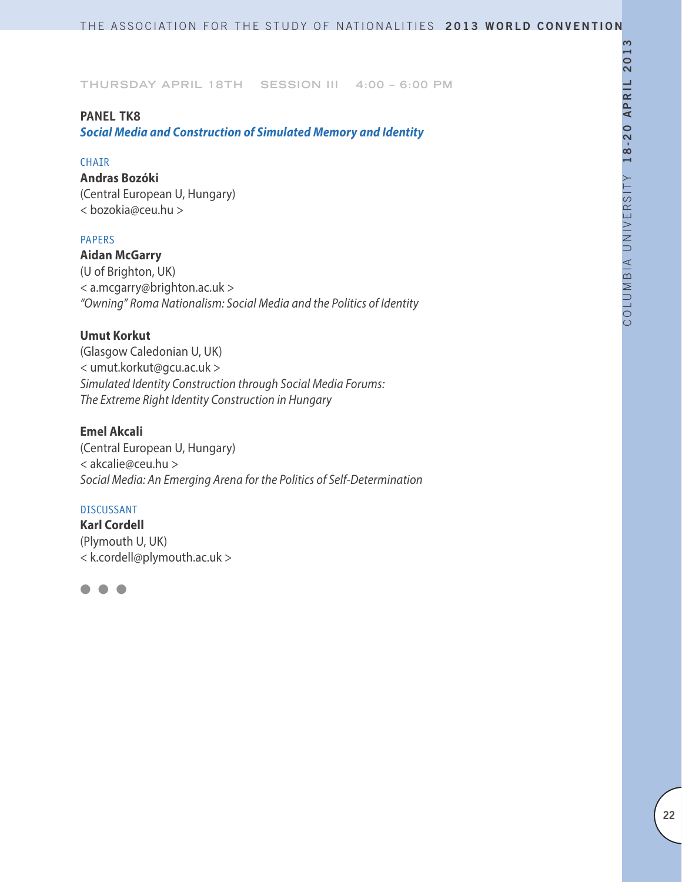### **Panel TK8**

*Social Media and Construction of Simulated Memory and Identity*

#### **CHATR**

**Andras Bozóki** (Central European U, Hungary) < bozokia@ceu.hu >

#### PAPERS

**Aidan McGarry** (U of Brighton, UK) < a.mcgarry@brighton.ac.uk > *"Owning" Roma Nationalism: Social Media and the Politics of Identity*

### **Umut Korkut**

(Glasgow Caledonian U, UK) < umut.korkut@gcu.ac.uk > *Simulated Identity Construction through Social Media Forums: The Extreme Right Identity Construction in Hungary*

### **Emel Akcali**

(Central European U, Hungary) < akcalie@ceu.hu > *Social Media: An Emerging Arena for the Politics of Self-Determination*

#### DISCUSSANT

**Karl Cordell** (Plymouth U, UK) < k.cordell@plymouth.ac.uk >

 $\bullet$   $\bullet$   $\bullet$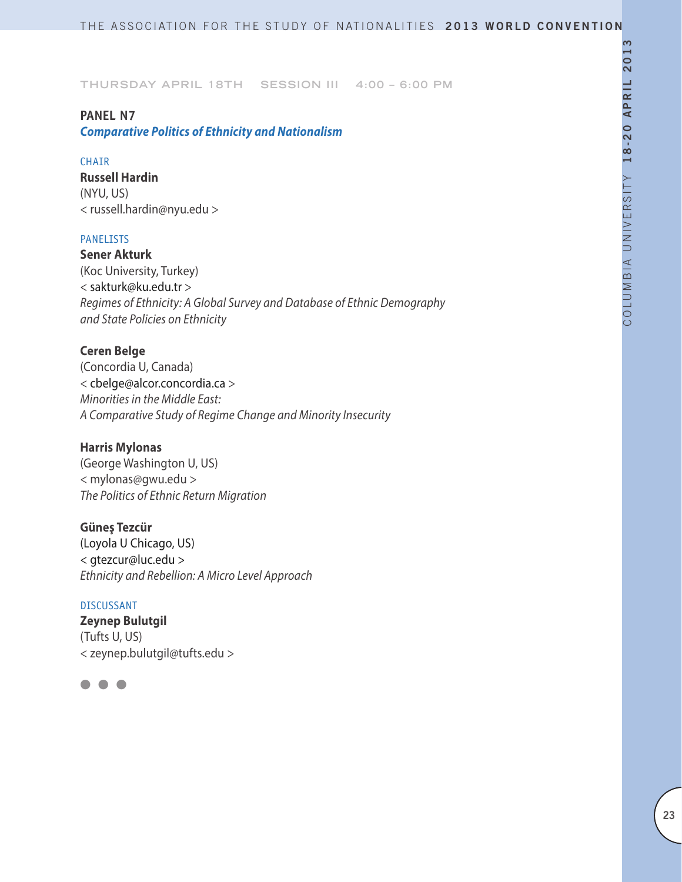### **PANEL N7**

*Comparative Politics of Ethnicity and Nationalism* 

### **CHAIR**

**Russell Hardin** (NYU, US) < russell.hardin@nyu.edu >

### PANELISTS

**Sener Akturk** (Koc University, Turkey) < sakturk@ku.edu.tr > *Regimes of Ethnicity: A Global Survey and Database of Ethnic Demography and State Policies on Ethnicity*

### **Ceren Belge**

(Concordia U, Canada) < cbelge@alcor.concordia.ca > *Minorities in the Middle East: A Comparative Study of Regime Change and Minority Insecurity*

### **Harris Mylonas**

(George Washington U, US) < mylonas@gwu.edu > *The Politics of Ethnic Return Migration*

**Güneş Tezcür** (Loyola U Chicago, US) < gtezcur@luc.edu > *Ethnicity and Rebellion: A Micro Level Approach*

#### DISCUSSANT

**Zeynep Bulutgil** (Tufts U, US) < zeynep.bulutgil@tufts.edu >

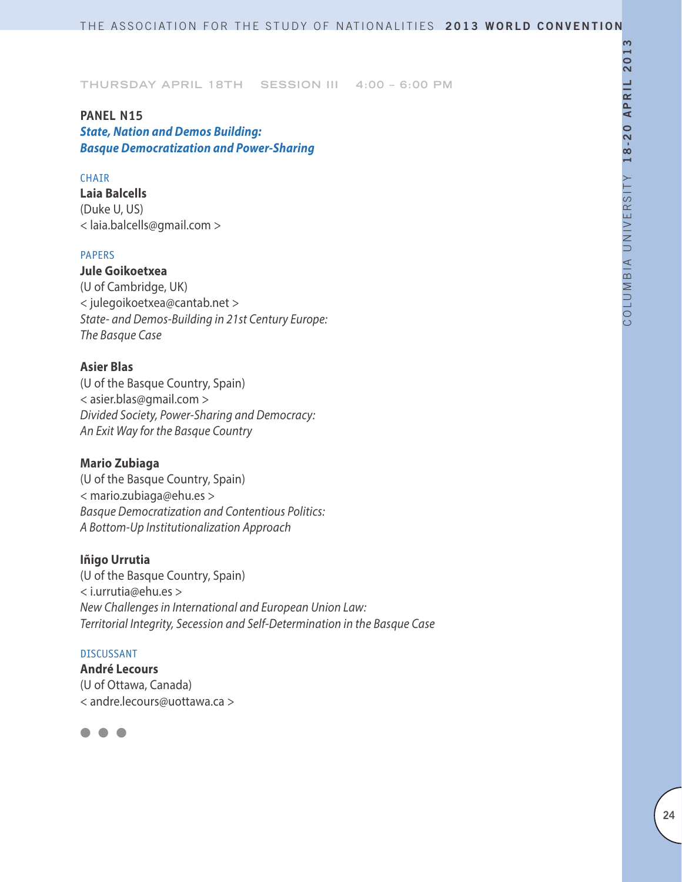# **PANEL N15**

*State, Nation and Demos Building: Basque Democratization and Power-Sharing*

### CHAIR

**Laia Balcells** (Duke U, US) < laia.balcells@gmail.com >

### PAPERS

**Jule Goikoetxea** (U of Cambridge, UK) < julegoikoetxea@cantab.net > *State- and Demos-Building in 21st Century Europe: The Basque Case*

### **Asier Blas**

(U of the Basque Country, Spain) < asier.blas@gmail.com > *Divided Society, Power-Sharing and Democracy: An Exit Way for the Basque Country*

### **Mario Zubiaga**

(U of the Basque Country, Spain) < mario.zubiaga@ehu.es > *Basque Democratization and Contentious Politics: A Bottom-Up Institutionalization Approach*

### **Iñigo Urrutia**

(U of the Basque Country, Spain) < i.urrutia@ehu.es > *New Challenges in International and European Union Law: Territorial Integrity, Secession and Self-Determination in the Basque Case*

#### DISCUSSANT

**André Lecours** (U of Ottawa, Canada) < andre.lecours@uottawa.ca >

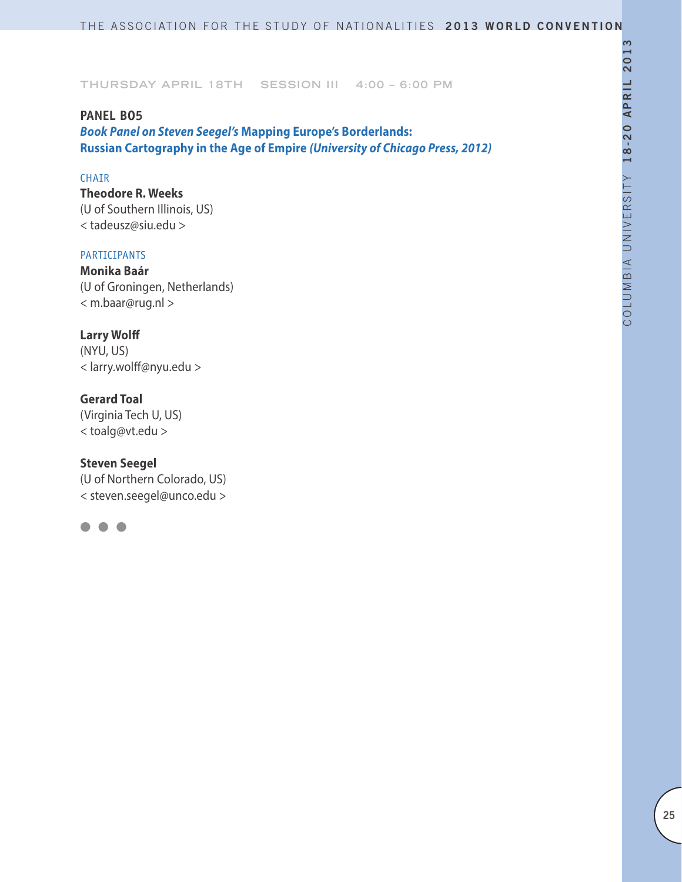# **PANEL BO5** *Book Panel on Steven Seegel's* **Mapping Europe's Borderlands: Russian Cartography in the Age of Empire** *(University of Chicago Press, 2012)*

### CHAIR

**Theodore R. Weeks** (U of Southern Illinois, US) < tadeusz@siu.edu >

#### PARTICIPANTS

**Monika Baár** (U of Groningen, Netherlands) < m.baar@rug.nl >

### **Larry Wolff**

(NYU, US) < larry.wolff@nyu.edu >

### **Gerard Toal**

(Virginia Tech U, US) < toalg@vt.edu >

### **Steven Seegel**

(U of Northern Colorado, US) < steven.seegel@unco.edu >

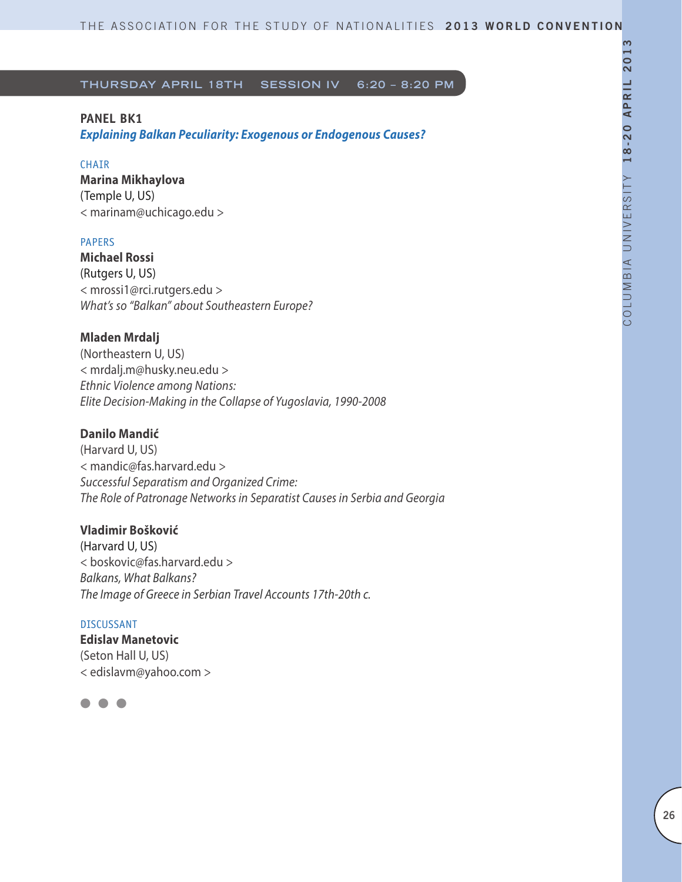### **PANEL BK1**

*Explaining Balkan Peculiarity: Exogenous or Endogenous Causes?*

### CHAIR

**Marina Mikhaylova**  (Temple U, US) < marinam@uchicago.edu >

### PAPERS

**Michael Rossi** (Rutgers U, US) < mrossi1@rci.rutgers.edu > *What's so "Balkan" about Southeastern Europe?*

### **Mladen Mrdalj**

(Northeastern U, US) < mrdalj.m@husky.neu.edu > *Ethnic Violence among Nations: Elite Decision-Making in the Collapse of Yugoslavia, 1990-2008*

### **Danilo Mandić**

(Harvard U, US) < mandic@fas.harvard.edu > *Successful Separatism and Organized Crime: The Role of Patronage Networks in Separatist Causes in Serbia and Georgia*

#### **Vladimir Bošković**

(Harvard U, US) < boskovic@fas.harvard.edu > *Balkans, What Balkans? The Image of Greece in Serbian Travel Accounts 17th-20th c.*

### DISCUSSANT

**Edislav Manetovic** (Seton Hall U, US) < edislavm@yahoo.com >

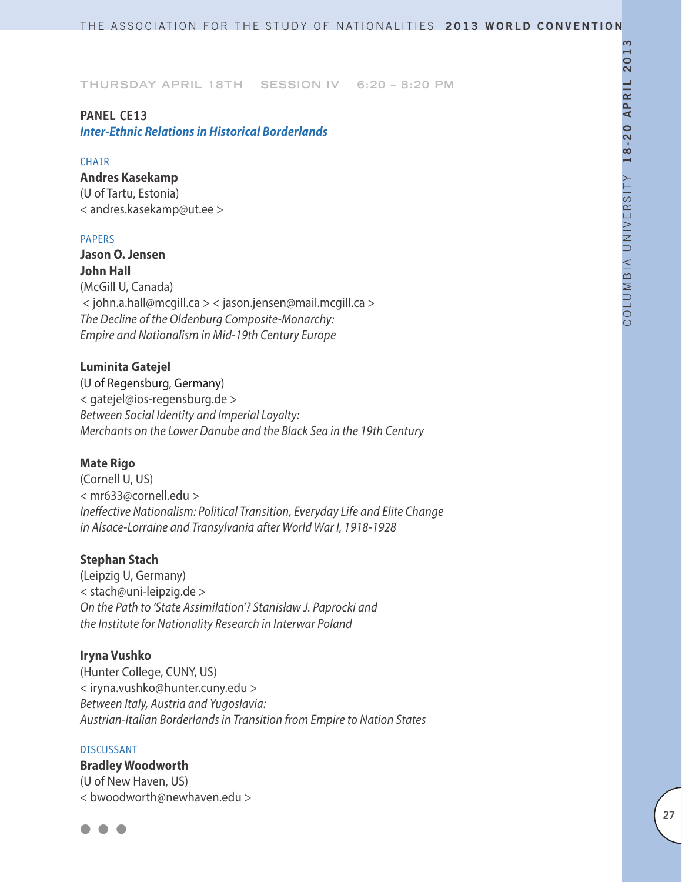#### **PANEL CE13**

*Inter-Ethnic Relations in Historical Borderlands*

#### **CHAIR**

**Andres Kasekamp** (U of Tartu, Estonia) < andres.kasekamp@ut.ee >

#### PAPERS

**Jason O. Jensen John Hall** (McGill U, Canada) < john.a.hall@mcgill.ca > < jason.jensen@mail.mcgill.ca > *The Decline of the Oldenburg Composite-Monarchy: Empire and Nationalism in Mid-19th Century Europe*

### **Luminita Gatejel**

(U of Regensburg, Germany) < gatejel@ios-regensburg.de > *Between Social Identity and Imperial Loyalty: Merchants on the Lower Danube and the Black Sea in the 19th Century*

#### **Mate Rigo**

(Cornell U, US) < mr633@cornell.edu > *Ineffective Nationalism: Political Transition, Everyday Life and Elite Change in Alsace-Lorraine and Transylvania after World War I, 1918-1928*

#### **Stephan Stach**

(Leipzig U, Germany) < stach@uni-leipzig.de > *On the Path to 'State Assimilation'? Stanisław J. Paprocki and the Institute for Nationality Research in Interwar Poland*

#### **Iryna Vushko**

(Hunter College, CUNY, US) < iryna.vushko@hunter.cuny.edu > *Between Italy, Austria and Yugoslavia: Austrian-Italian Borderlands in Transition from Empire to Nation States*

#### DISCUSSANT

**Bradley Woodworth** (U of New Haven, US) < bwoodworth@newhaven.edu >

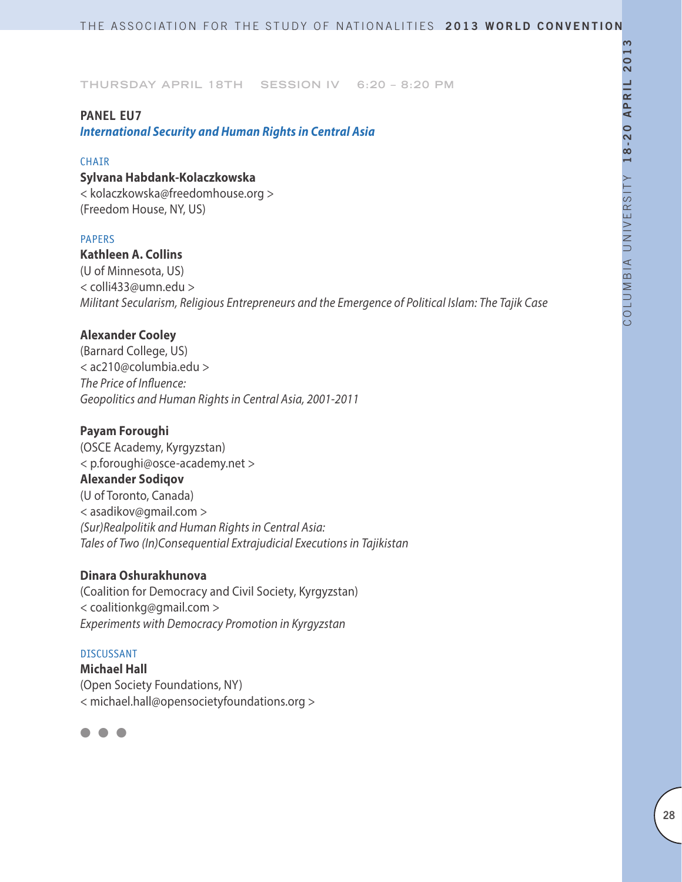### **PANEL EU7**

*International Security and Human Rights in Central Asia*

#### **CHAIR**

# **Sylvana Habdank-Kolaczkowska**

< kolaczkowska@freedomhouse.org > (Freedom House, NY, US)

#### PAPERS

### **Kathleen A. Collins**

(U of Minnesota, US) < colli433@umn.edu > *Militant Secularism, Religious Entrepreneurs and the Emergence of Political Islam: The Tajik Case*

### **Alexander Cooley**

(Barnard College, US) < ac210@columbia.edu > *The Price of Influence: Geopolitics and Human Rights in Central Asia, 2001-2011*

### **Payam Foroughi**

(OSCE Academy, Kyrgyzstan) < p.foroughi@osce-academy.net > **Alexander Sodiqov**  (U of Toronto, Canada) < asadikov@gmail.com > *(Sur)Realpolitik and Human Rights in Central Asia: Tales of Two (In)Consequential Extrajudicial Executions in Tajikistan*

#### **Dinara Oshurakhunova**

(Coalition for Democracy and Civil Society, Kyrgyzstan) < coalitionkg@gmail.com > *Experiments with Democracy Promotion in Kyrgyzstan*

#### DISCUSSANT

**Michael Hall**  (Open Society Foundations, NY) < michael.hall@opensocietyfoundations.org >

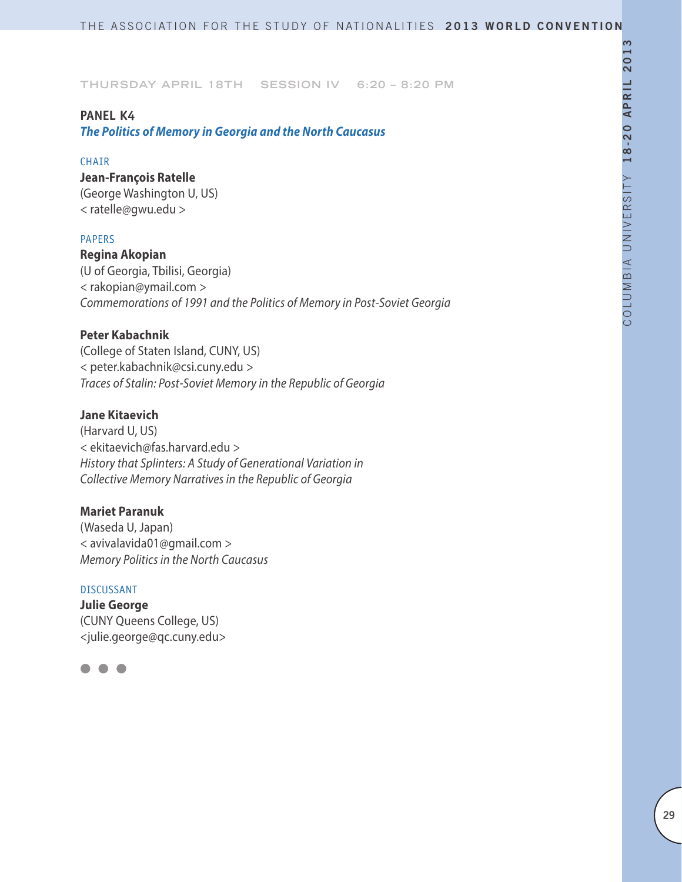### **PANEL K4**

*The Politics of Memory in Georgia and the North Caucasus*

#### **CHAIR**

**Jean-François Ratelle** (George Washington U, US)

< ratelle@gwu.edu >

#### PAPERS

**Regina Akopian** (U of Georgia, Tbilisi, Georgia) < rakopian@ymail.com > *Commemorations of 1991 and the Politics of Memory in Post-Soviet Georgia*

### **Peter Kabachnik**

(College of Staten Island, CUNY, US) < peter.kabachnik@csi.cuny.edu > *Traces of Stalin: Post-Soviet Memory in the Republic of Georgia*

#### **Jane Kitaevich**

(Harvard U, US) < ekitaevich@fas.harvard.edu > *History that Splinters: A Study of Generational Variation in Collective Memory Narratives in the Republic of Georgia*

#### **Mariet Paranuk**

(Waseda U, Japan) < avivalavida01@gmail.com > *Memory Politics in the North Caucasus*

#### DISCUSSANT

**Julie George** (CUNY Queens College, US) <julie.george@qc.cuny.edu>

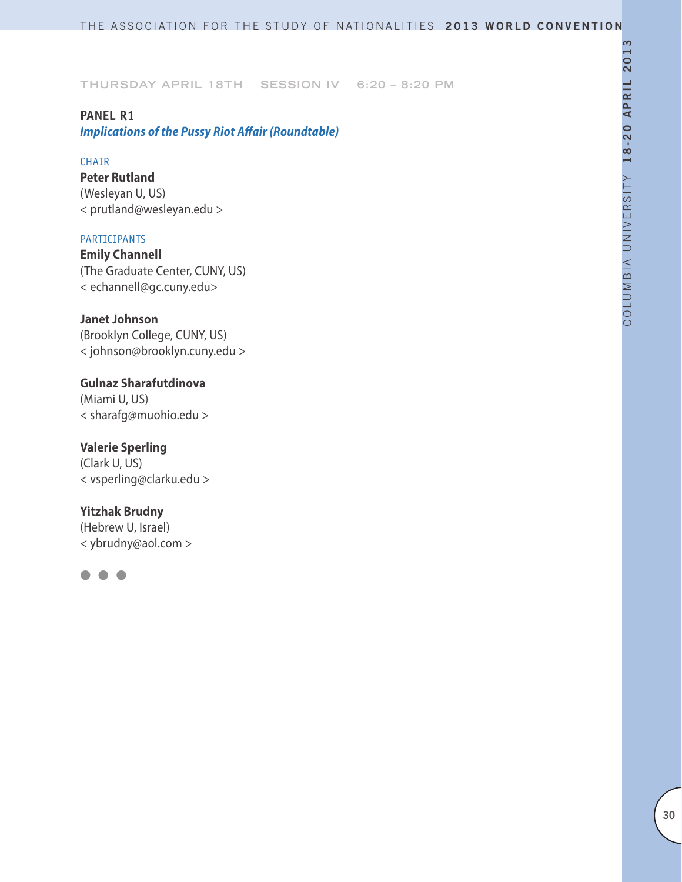### **PANEL R1**

*Implications of the Pussy Riot Affair (Roundtable)*

#### CHAIR

**Peter Rutland**  (Wesleyan U, US) < prutland@wesleyan.edu >

### **PARTICIPANTS**

**Emily Channell** (The Graduate Center, CUNY, US) < echannell@gc.cuny.edu>

### **Janet Johnson**

(Brooklyn College, CUNY, US) < johnson@brooklyn.cuny.edu >

**Gulnaz Sharafutdinova** (Miami U, US) < sharafg@muohio.edu >

**Valerie Sperling** (Clark U, US) < vsperling@clarku.edu >

### **Yitzhak Brudny**

(Hebrew U, Israel) < ybrudny@aol.com >

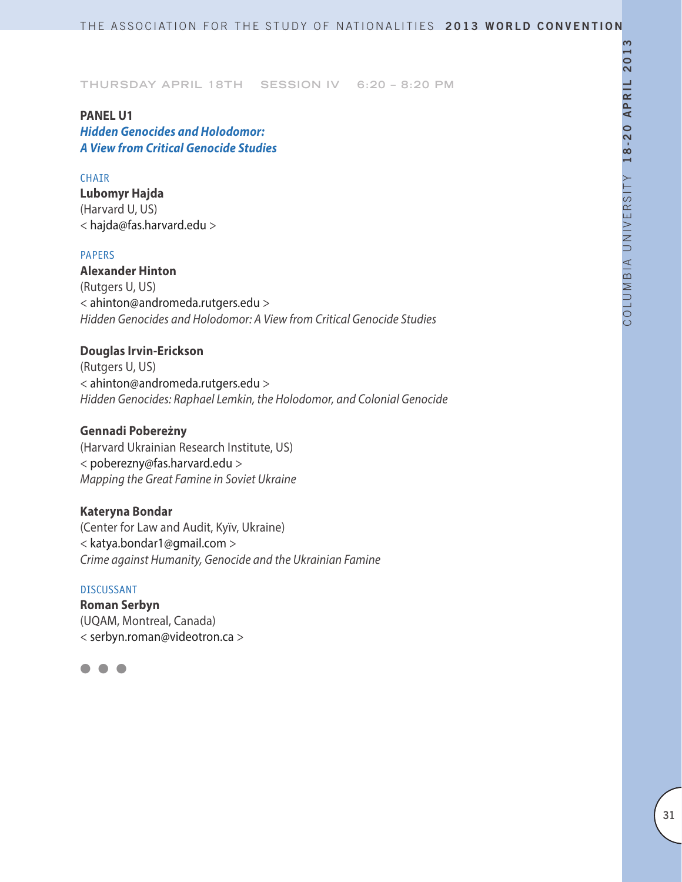**PANEL U1** *Hidden Genocides and Holodomor: A View from Critical Genocide Studies*

#### CHAIR

**Lubomyr Hajda** (Harvard U, US) < hajda@fas.harvard.edu >

#### PAPERS

**Alexander Hinton** (Rutgers U, US) < ahinton@andromeda.rutgers.edu > *Hidden Genocides and Holodomor: A View from Critical Genocide Studies*

## **Douglas Irvin-Erickson**

(Rutgers U, US) < ahinton@andromeda.rutgers.edu > *Hidden Genocides: Raphael Lemkin, the Holodomor, and Colonial Genocide*

### **Gennadi Pobereżny**

(Harvard Ukrainian Research Institute, US) < poberezny@fas.harvard.edu > *Mapping the Great Famine in Soviet Ukraine*

#### **Kateryna Bondar**

(Center for Law and Audit, Kyïv, Ukraine) < katya.bondar1@gmail.com > *Crime against Humanity, Genocide and the Ukrainian Famine*

#### DISCUSSANT

**Roman Serbyn** (UQAM, Montreal, Canada) < serbyn.roman@videotron.ca >

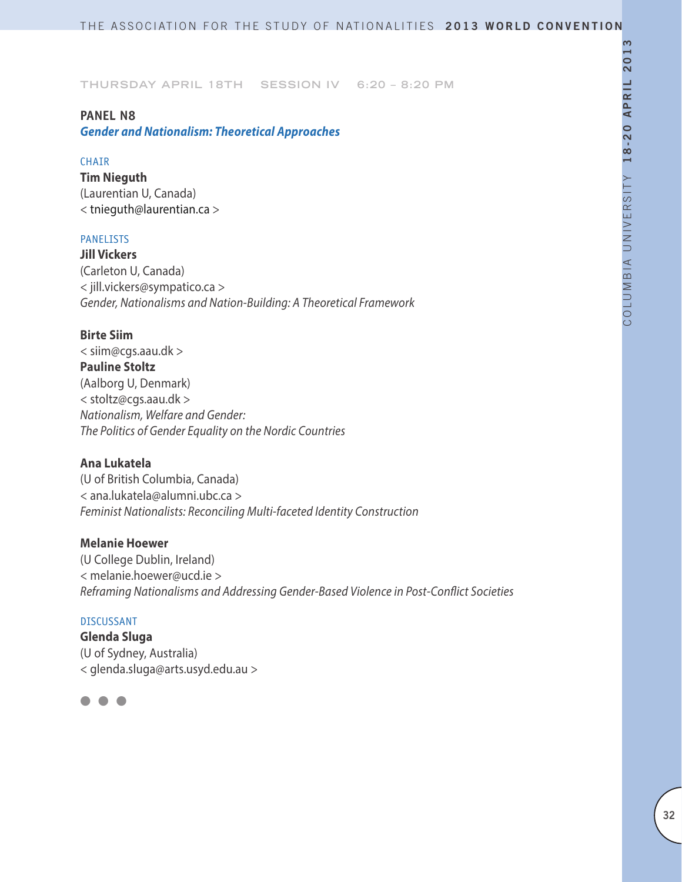#### **PANEL N8**

*Gender and Nationalism: Theoretical Approaches*

#### **CHAIR**

**Tim Nieguth** (Laurentian U, Canada) < tnieguth@laurentian.ca >

### PANELISTS

**Jill Vickers** (Carleton U, Canada) < jill.vickers@sympatico.ca > *Gender, Nationalisms and Nation-Building: A Theoretical Framework*

### **Birte Siim**

< siim@cgs.aau.dk > **Pauline Stoltz** (Aalborg U, Denmark) < stoltz@cgs.aau.dk > *Nationalism, Welfare and Gender: The Politics of Gender Equality on the Nordic Countries*

#### **Ana Lukatela**

(U of British Columbia, Canada) < ana.lukatela@alumni.ubc.ca > *Feminist Nationalists: Reconciling Multi-faceted Identity Construction*

#### **Melanie Hoewer**

(U College Dublin, Ireland) < melanie.hoewer@ucd.ie > *Reframing Nationalisms and Addressing Gender-Based Violence in Post-Conflict Societies*

#### DISCUSSANT

**Glenda Sluga** (U of Sydney, Australia) < glenda.sluga@arts.usyd.edu.au >

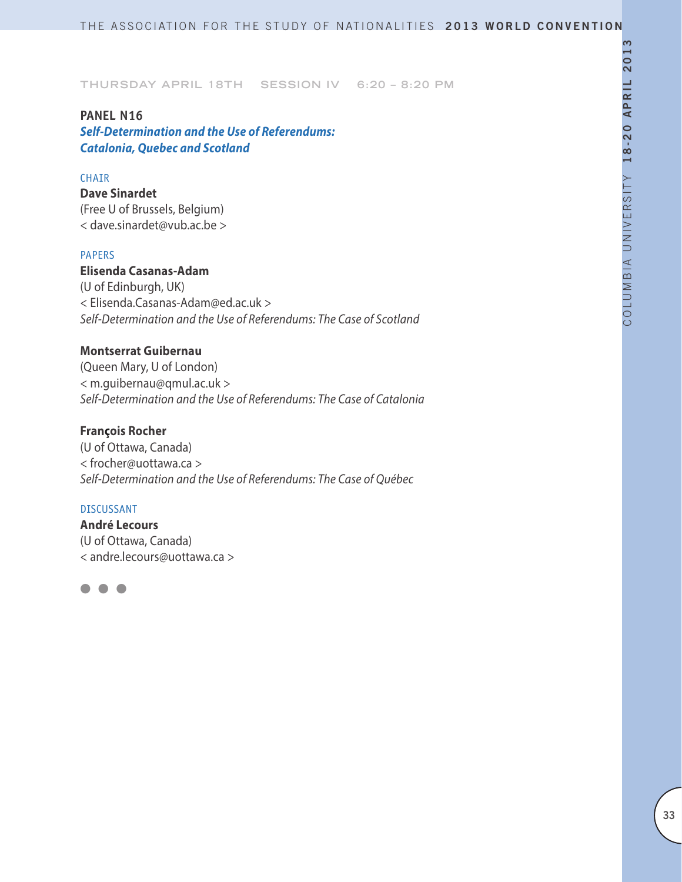# **PANEL N16**

*Self-Determination and the Use of Referendums: Catalonia, Quebec and Scotland* 

#### CHAIR

**Dave Sinardet** (Free U of Brussels, Belgium) < dave.sinardet@vub.ac.be >

### PAPERS

**Elisenda Casanas-Adam** (U of Edinburgh, UK) < Elisenda.Casanas-Adam@ed.ac.uk > *Self-Determination and the Use of Referendums: The Case of Scotland*

### **Montserrat Guibernau**

(Queen Mary, U of London) < m.guibernau@qmul.ac.uk > *Self-Determination and the Use of Referendums: The Case of Catalonia*

### **François Rocher**

(U of Ottawa, Canada) < frocher@uottawa.ca > *Self-Determination and the Use of Referendums: The Case of Québec*

#### DISCUSSANT

**André Lecours** (U of Ottawa, Canada) < andre.lecours@uottawa.ca >

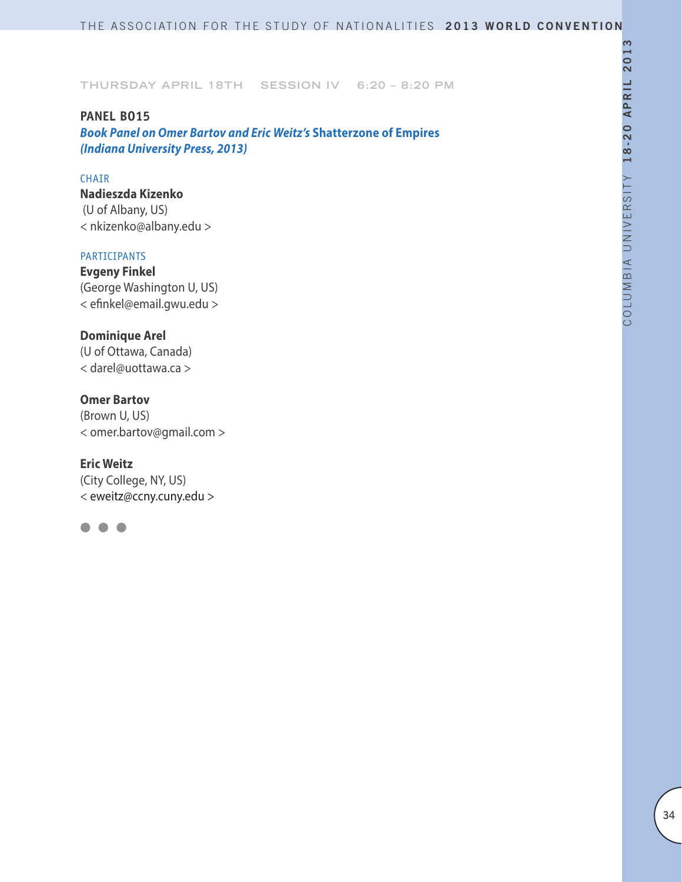#### **PANEL BO15**

*Book Panel on Omer Bartov and Eric Weitz's* **Shatterzone of Empires**  *(Indiana University Press, 2013)*

### CHAIR

**Nadieszda Kizenko** (U of Albany, US) < nkizenko@albany.edu >

#### PARTICIPANTS

**Evgeny Finkel** (George Washington U, US) < efinkel@email.gwu.edu >

### **Dominique Arel**

(U of Ottawa, Canada) < darel@uottawa.ca >

### **Omer Bartov**

(Brown U, US) < omer.bartov@gmail.com >

### **Eric Weitz**

(City College, NY, US) < eweitz@ccny.cuny.edu >

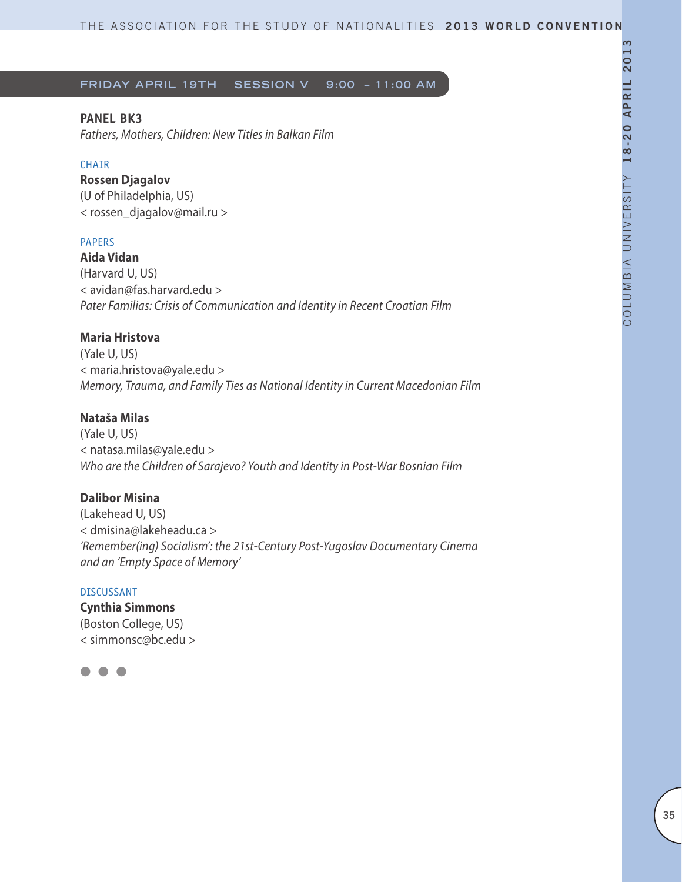**Friday April 19th Session V 9:00 – 11:00 AM**

### **PANEL BK3**

*Fathers, Mothers, Children: New Titles in Balkan Film*

#### CHAIR

# **Rossen Djagalov**

(U of Philadelphia, US) < rossen\_djagalov@mail.ru >

### PAPERS

**Aida Vidan** (Harvard U, US) < avidan@fas.harvard.edu > *Pater Familias: Crisis of Communication and Identity in Recent Croatian Film* 

### **Maria Hristova**

(Yale U, US) < maria.hristova@yale.edu > *Memory, Trauma, and Family Ties as National Identity in Current Macedonian Film*

### **Nataša Milas**

(Yale U, US) < natasa.milas@yale.edu > *Who are the Children of Sarajevo? Youth and Identity in Post-War Bosnian Film*

### **Dalibor Misina**

(Lakehead U, US) < dmisina@lakeheadu.ca > *'Remember(ing) Socialism': the 21st-Century Post-Yugoslav Documentary Cinema and an 'Empty Space of Memory'*

#### DISCUSSANT

**Cynthia Simmons** (Boston College, US) < simmonsc@bc.edu >

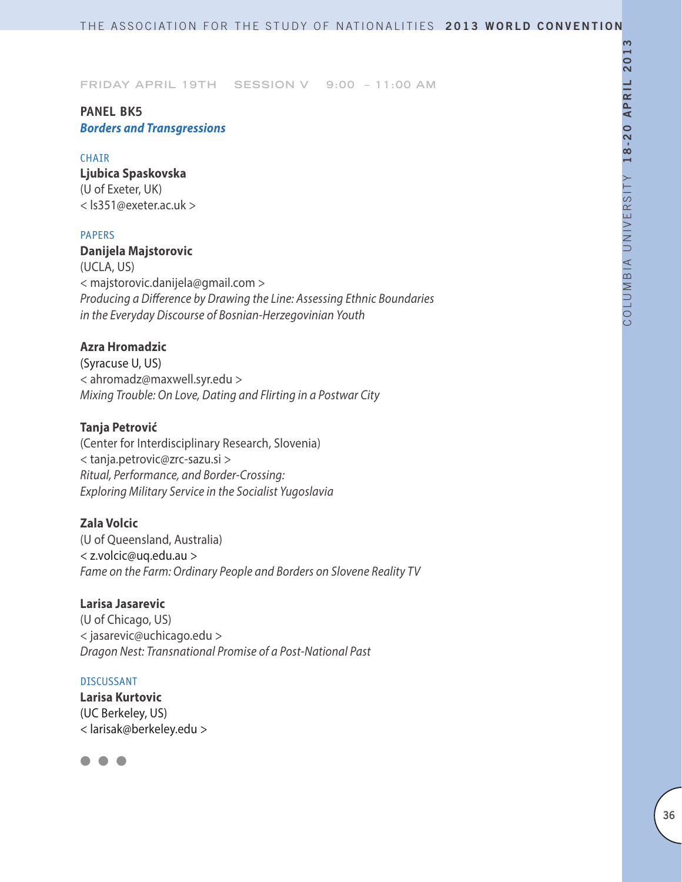**Friday April 19th Session V 9:00 – 11:00 AM**

### **PANEL BK5** *Borders and Transgressions*

#### CHAIR

**Ljubica Spaskovska**  (U of Exeter, UK) < ls351@exeter.ac.uk >

#### PAPERS

**Danijela Majstorovic** (UCLA, US) < majstorovic.danijela@gmail.com > *Producing a Difference by Drawing the Line: Assessing Ethnic Boundaries in the Everyday Discourse of Bosnian-Herzegovinian Youth*

### **Azra Hromadzic**

(Syracuse U, US) < ahromadz@maxwell.syr.edu > *Mixing Trouble: On Love, Dating and Flirting in a Postwar City*

### **Tanja Petrović**

(Center for Interdisciplinary Research, Slovenia) < tanja.petrovic@zrc-sazu.si > *Ritual, Performance, and Border-Crossing: Exploring Military Service in the Socialist Yugoslavia*

### **Zala Volcic**

(U of Queensland, Australia) < z.volcic@uq.edu.au > *Fame on the Farm: Ordinary People and Borders on Slovene Reality TV*

#### **Larisa Jasarevic**

(U of Chicago, US) < jasarevic@uchicago.edu > *Dragon Nest: Transnational Promise of a Post-National Past*

#### DISCUSSANT

**Larisa Kurtovic** (UC Berkeley, US) < larisak@berkeley.edu >

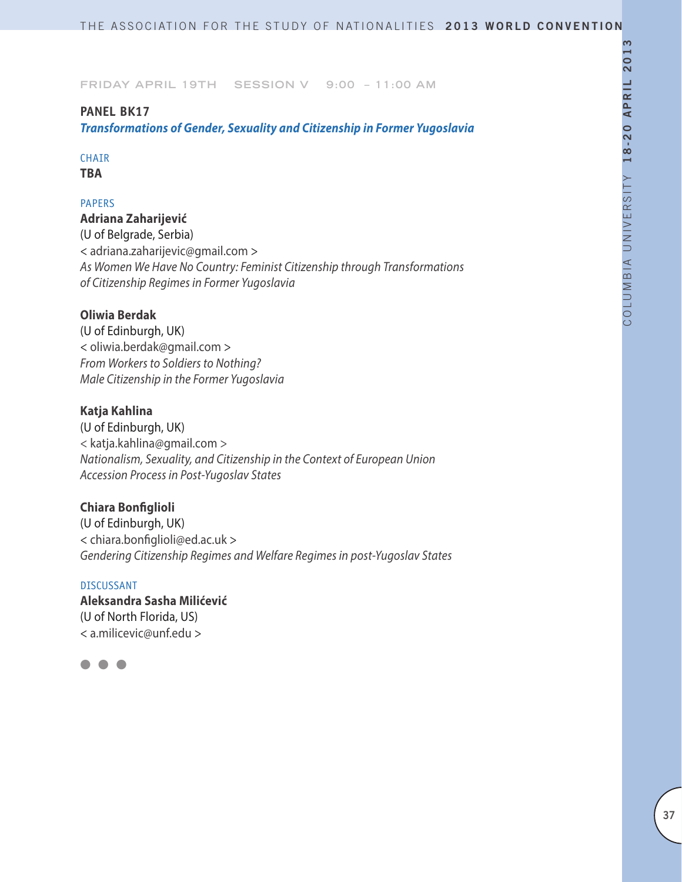## **PANEL BK17**

*Transformations of Gender, Sexuality and Citizenship in Former Yugoslavia*

# CHAIR

**TBA**

# PAPERS

**Adriana Zaharijević** (U of Belgrade, Serbia) < adriana.zaharijevic@gmail.com > *As Women We Have No Country: Feminist Citizenship through Transformations of Citizenship Regimes in Former Yugoslavia*

# **Oliwia Berdak**

(U of Edinburgh, UK) < oliwia.berdak@gmail.com > *From Workers to Soldiers to Nothing? Male Citizenship in the Former Yugoslavia*

# **Katja Kahlina**

(U of Edinburgh, UK) < katja.kahlina@gmail.com > *Nationalism, Sexuality, and Citizenship in the Context of European Union Accession Process in Post-Yugoslav States*

# **Chiara Bonfiglioli**

(U of Edinburgh, UK) < chiara.bonfiglioli@ed.ac.uk > *Gendering Citizenship Regimes and Welfare Regimes in post-Yugoslav States*

# DISCUSSANT **Aleksandra Sasha Milićević** (U of North Florida, US) < a.milicevic@unf.edu >

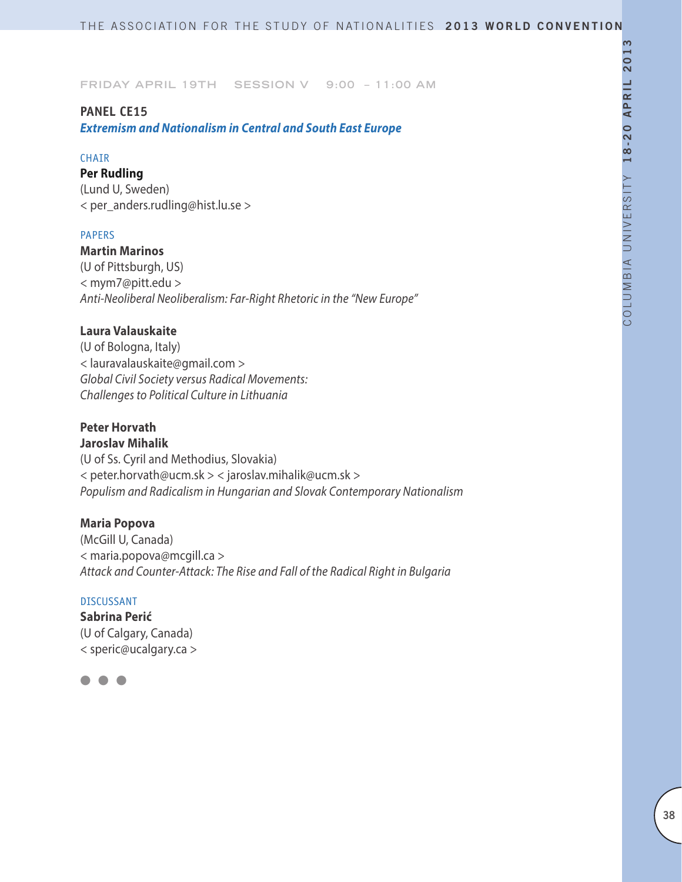## **PANEL CE15**

*Extremism and Nationalism in Central and South East Europe*

### CHAIR

**Per Rudling**

(Lund U, Sweden) < per\_anders.rudling@hist.lu.se >

### PAPERS

**Martin Marinos** (U of Pittsburgh, US) < mym7@pitt.edu > *Anti-Neoliberal Neoliberalism: Far-Right Rhetoric in the "New Europe"*

# **Laura Valauskaite**

(U of Bologna, Italy) < lauravalauskaite@gmail.com > *Global Civil Society versus Radical Movements: Challenges to Political Culture in Lithuania*

# **Peter Horvath**

**Jaroslav Mihalik** (U of Ss. Cyril and Methodius, Slovakia) < peter.horvath@ucm.sk > < jaroslav.mihalik@ucm.sk > *Populism and Radicalism in Hungarian and Slovak Contemporary Nationalism*

# **Maria Popova**

(McGill U, Canada) < maria.popova@mcgill.ca > *Attack and Counter-Attack: The Rise and Fall of the Radical Right in Bulgaria*

### DISCUSSANT

**Sabrina Perić** (U of Calgary, Canada) < speric@ucalgary.ca >

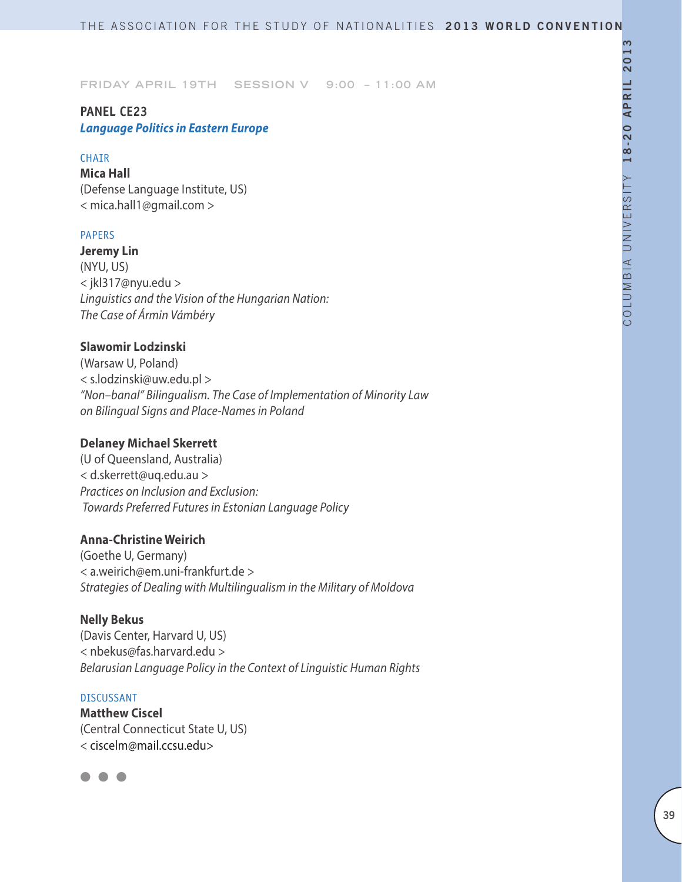# **PANEL CE23** *Language Politics in Eastern Europe*

### CHAIR

**Mica Hall** (Defense Language Institute, US) < mica.hall1@gmail.com >

### PAPERS

**Jeremy Lin** (NYU, US) < jkl317@nyu.edu > *Linguistics and the Vision of the Hungarian Nation: The Case of Ármin Vámbéry*

## **Slawomir Lodzinski**

(Warsaw U, Poland) < s.lodzinski@uw.edu.pl > *"Non–banal" Bilingualism. The Case of Implementation of Minority Law on Bilingual Signs and Place-Names in Poland*

# **Delaney Michael Skerrett**

(U of Queensland, Australia) < d.skerrett@uq.edu.au > *Practices on Inclusion and Exclusion: Towards Preferred Futures in Estonian Language Policy*

# **Anna-Christine Weirich**

(Goethe U, Germany) < a.weirich@em.uni-frankfurt.de > *Strategies of Dealing with Multilingualism in the Military of Moldova*

## **Nelly Bekus**

(Davis Center, Harvard U, US) < nbekus@fas.harvard.edu > *Belarusian Language Policy in the Context of Linguistic Human Rights*

## DISCUSSANT

**Matthew Ciscel** (Central Connecticut State U, US) < ciscelm@mail.ccsu.edu>

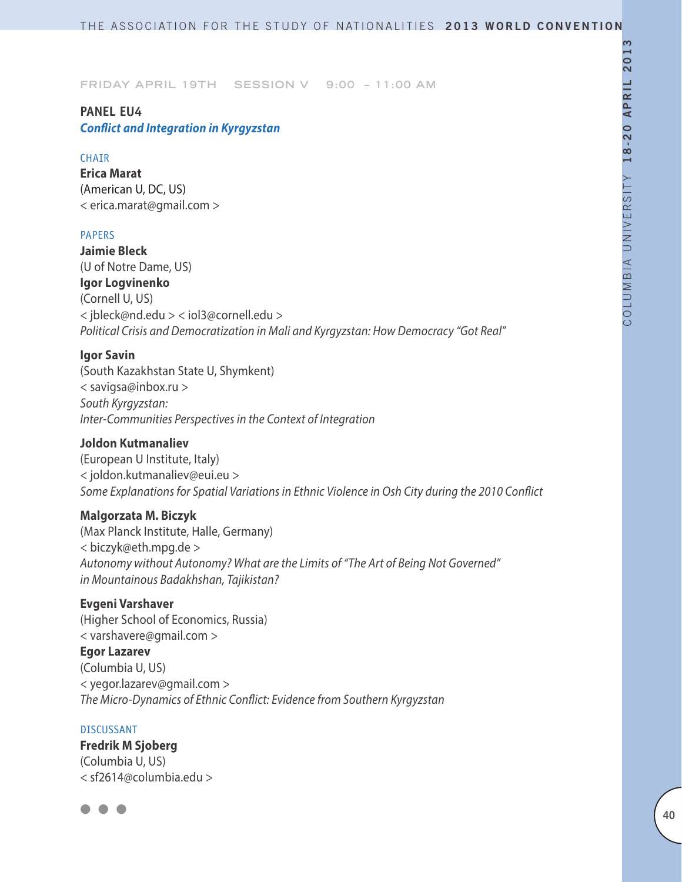# **PANEL EU4** *Conflict and Integration in Kyrgyzstan*

#### CHAIR

**Erica Marat** (American U, DC, US) < erica.marat@gmail.com >

#### PAPERS

**Jaimie Bleck**  (U of Notre Dame, US) **Igor Logvinenko** (Cornell U, US) < jbleck@nd.edu > < iol3@cornell.edu > *Political Crisis and Democratization in Mali and Kyrgyzstan: How Democracy "Got Real"*

### **Igor Savin**

(South Kazakhstan State U, Shymkent) < savigsa@inbox.ru > *South Kyrgyzstan: Inter-Communities Perspectives in the Context of Integration*

## **Joldon Kutmanaliev**

(European U Institute, Italy) < joldon.kutmanaliev@eui.eu > *Some Explanations for Spatial Variations in Ethnic Violence in Osh City during the 2010 Conflict* 

## **Malgorzata M. Biczyk**

(Max Planck Institute, Halle, Germany) < biczyk@eth.mpg.de > *Autonomy without Autonomy? What are the Limits of "The Art of Being Not Governed" in Mountainous Badakhshan, Tajikistan?*

### **Evgeni Varshaver**

(Higher School of Economics, Russia) < varshavere@gmail.com > **Egor Lazarev** (Columbia U, US) < yegor.lazarev@gmail.com > *The Micro-Dynamics of Ethnic Conflict: Evidence from Southern Kyrgyzstan*

### DISCUSSANT

**Fredrik M Sjoberg** (Columbia U, US) < sf2614@columbia.edu >

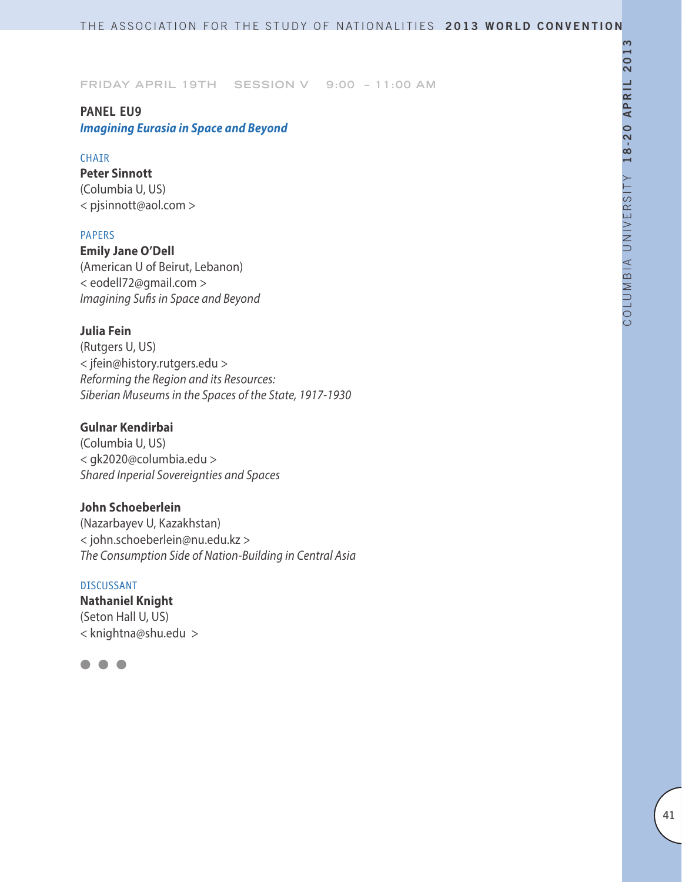# **PANEL EU9** *Imagining Eurasia in Space and Beyond*

### CHAIR

**Peter Sinnott** (Columbia U, US) < pjsinnott@aol.com >

### PAPERS

**Emily Jane O'Dell** (American U of Beirut, Lebanon) < eodell72@gmail.com > *Imagining Sufis in Space and Beyond*

# **Julia Fein**

(Rutgers U, US) < jfein@history.rutgers.edu > *Reforming the Region and its Resources: Siberian Museums in the Spaces of the State, 1917-1930*

# **Gulnar Kendirbai**

(Columbia U, US) < gk2020@columbia.edu > *Shared Inperial Sovereignties and Spaces*

## **John Schoeberlein**

(Nazarbayev U, Kazakhstan) < john.schoeberlein@nu.edu.kz > *The Consumption Side of Nation-Building in Central Asia*

### DISCUSSANT

**Nathaniel Knight**  (Seton Hall U, US) < knightna@shu.edu >

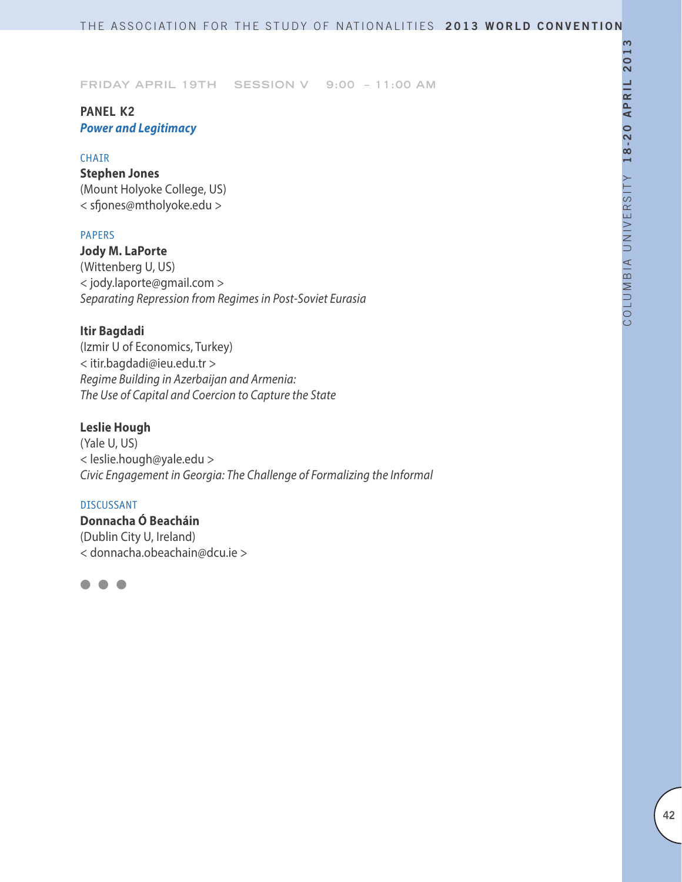# **PANEL K2** *Power and Legitimacy*

## CHAIR

**Stephen Jones** (Mount Holyoke College, US) < sfjones@mtholyoke.edu >

## PAPERS

**Jody M. LaPorte** (Wittenberg U, US) < jody.laporte@gmail.com > *Separating Repression from Regimes in Post-Soviet Eurasia*

# **Itir Bagdadi**

(Izmir U of Economics, Turkey) < itir.bagdadi@ieu.edu.tr > *Regime Building in Azerbaijan and Armenia: The Use of Capital and Coercion to Capture the State*

## **Leslie Hough**

(Yale U, US) < leslie.hough@yale.edu > *Civic Engagement in Georgia: The Challenge of Formalizing the Informal*

### DISCUSSANT

**Donnacha Ó Beacháin** (Dublin City U, Ireland) < donnacha.obeachain@dcu.ie >

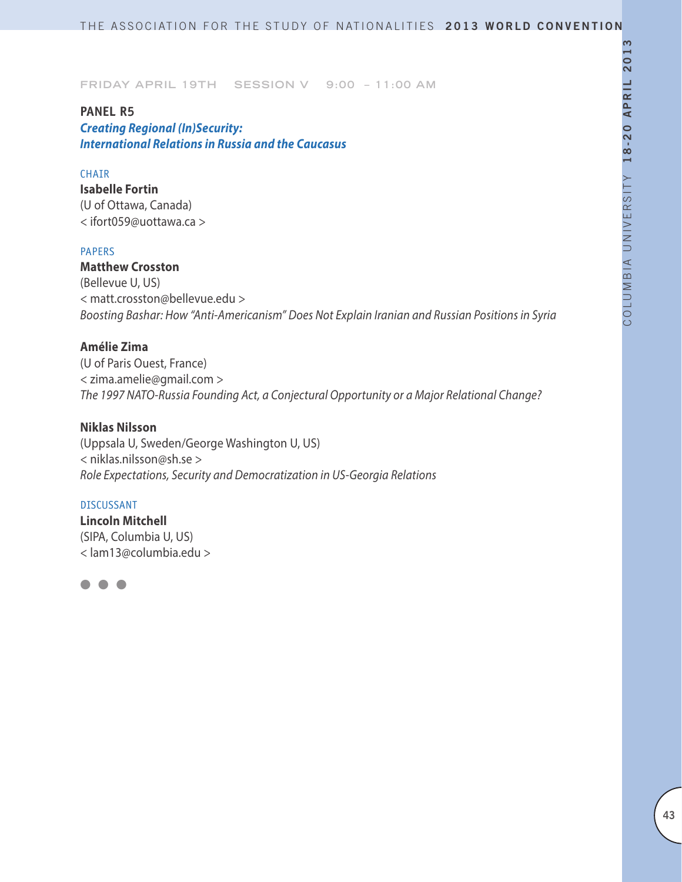## **PANEL R5**

*Creating Regional (In)Security: International Relations in Russia and the Caucasus*

### **CHATR**

**Isabelle Fortin** (U of Ottawa, Canada) < ifort059@uottawa.ca >

### PAPERS

**Matthew Crosston** (Bellevue U, US) < matt.crosston@bellevue.edu > *Boosting Bashar: How "Anti-Americanism" Does Not Explain Iranian and Russian Positions in Syria*

# **Amélie Zima**

(U of Paris Ouest, France) < zima.amelie@gmail.com > *The 1997 NATO-Russia Founding Act, a Conjectural Opportunity or a Major Relational Change?*

### **Niklas Nilsson**

(Uppsala U, Sweden/George Washington U, US) < niklas.nilsson@sh.se > *Role Expectations, Security and Democratization in US-Georgia Relations*

#### DISCUSSANT

**Lincoln Mitchell** (SIPA, Columbia U, US) < lam13@columbia.edu >

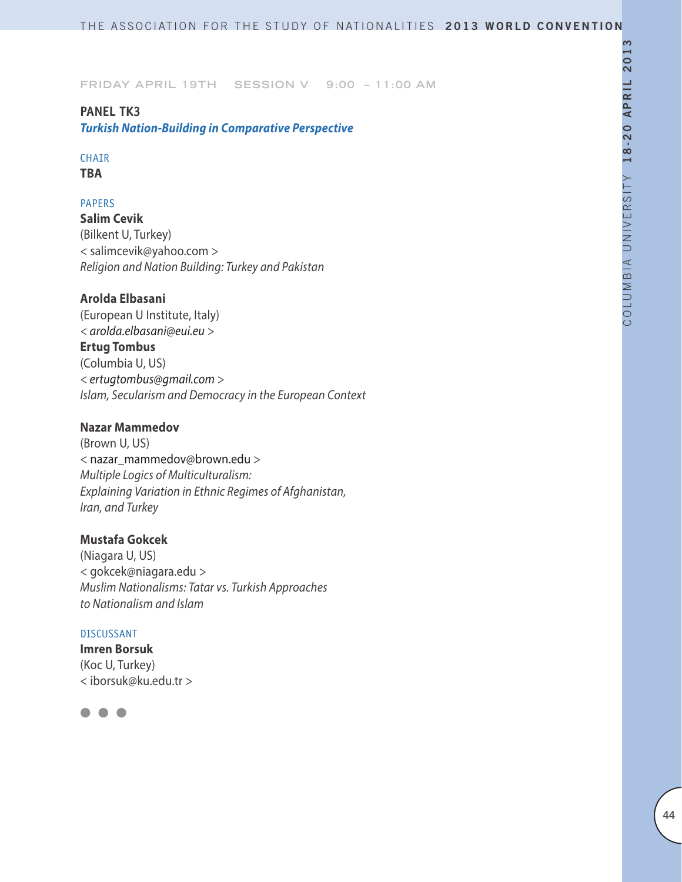# **PANEL TK3** *Turkish Nation-Building in Comparative Perspective*

## CHAIR

**TBA**

## PAPERS

**Salim Cevik** (Bilkent U, Turkey) < salimcevik@yahoo.com > *Religion and Nation Building: Turkey and Pakistan*

# **Arolda Elbasani**

(European U Institute, Italy) *< arolda.elbasani@eui.eu >*  **Ertug Tombus** (Columbia U, US) *< ertugtombus@gmail.com > Islam, Secularism and Democracy in the European Context*

## **Nazar Mammedov**

(Brown U, US) < nazar\_mammedov@brown.edu > *Multiple Logics of Multiculturalism: Explaining Variation in Ethnic Regimes of Afghanistan, Iran, and Turkey*

# **Mustafa Gokcek**

(Niagara U, US) < gokcek@niagara.edu > *Muslim Nationalisms: Tatar vs. Turkish Approaches to Nationalism and Islam*

### DISCUSSANT

**Imren Borsuk** (Koc U, Turkey) < iborsuk@ku.edu.tr >

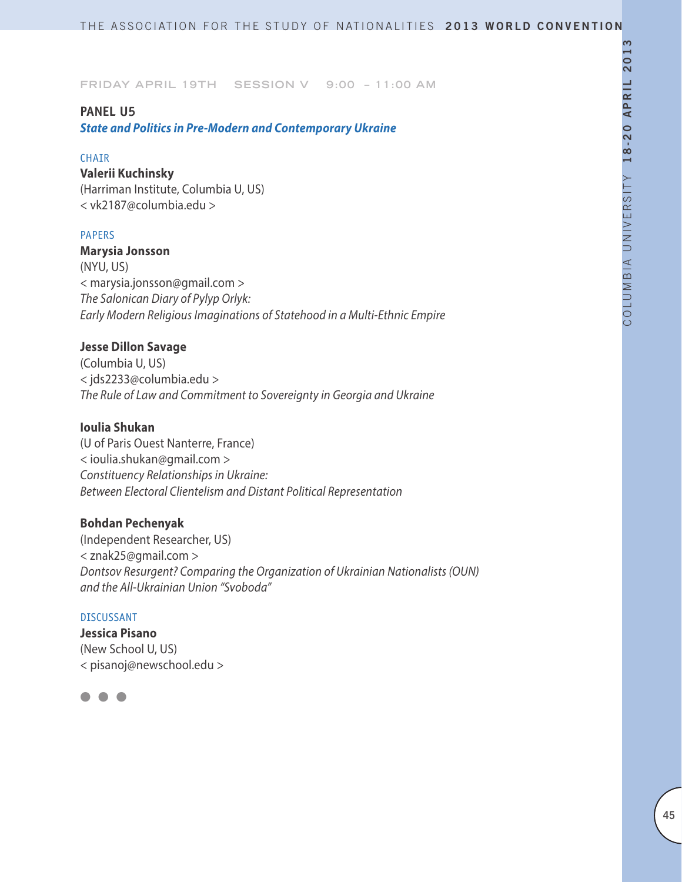## **PANEL U5**

*State and Politics in Pre-Modern and Contemporary Ukraine*

### CHAIR

#### **Valerii Kuchinsky**

(Harriman Institute, Columbia U, US) < vk2187@columbia.edu >

### PAPERS

**Marysia Jonsson**  (NYU, US) < marysia.jonsson@gmail.com > *The Salonican Diary of Pylyp Orlyk: Early Modern Religious Imaginations of Statehood in a Multi-Ethnic Empire*

## **Jesse Dillon Savage**

(Columbia U, US) < jds2233@columbia.edu > *The Rule of Law and Commitment to Sovereignty in Georgia and Ukraine*

## **Ioulia Shukan**

(U of Paris Ouest Nanterre, France) < ioulia.shukan@gmail.com > *Constituency Relationships in Ukraine: Between Electoral Clientelism and Distant Political Representation*

# **Bohdan Pechenyak**

(Independent Researcher, US) < znak25@gmail.com > *Dontsov Resurgent? Comparing the Organization of Ukrainian Nationalists (OUN) and the All-Ukrainian Union "Svoboda"*

#### DISCUSSANT

**Jessica Pisano** (New School U, US) < pisanoj@newschool.edu >

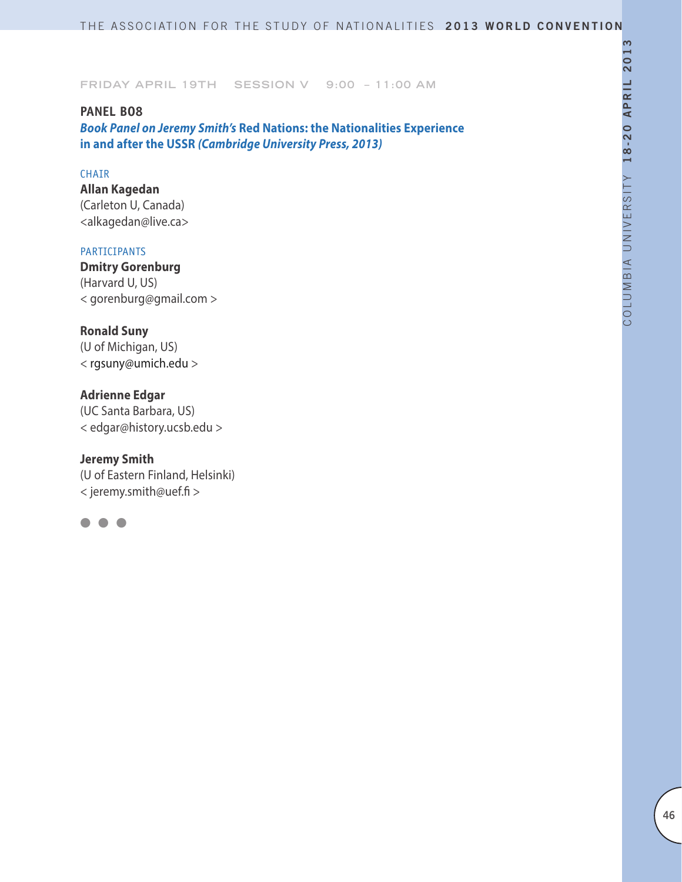# **PANEL BO8**

*Book Panel on Jeremy Smith's* **Red Nations: the Nationalities Experience in and after the USSR** *(Cambridge University Press, 2013)*

### CHAIR

**Allan Kagedan**  (Carleton U, Canada) <alkagedan@live.ca>

## PARTICIPANTS

**Dmitry Gorenburg**  (Harvard U, US) < gorenburg@gmail.com >

# **Ronald Suny**

(U of Michigan, US) < rgsuny@umich.edu >

# **Adrienne Edgar**

(UC Santa Barbara, US) < edgar@history.ucsb.edu >

## **Jeremy Smith**

(U of Eastern Finland, Helsinki) < jeremy.smith@uef.fi >

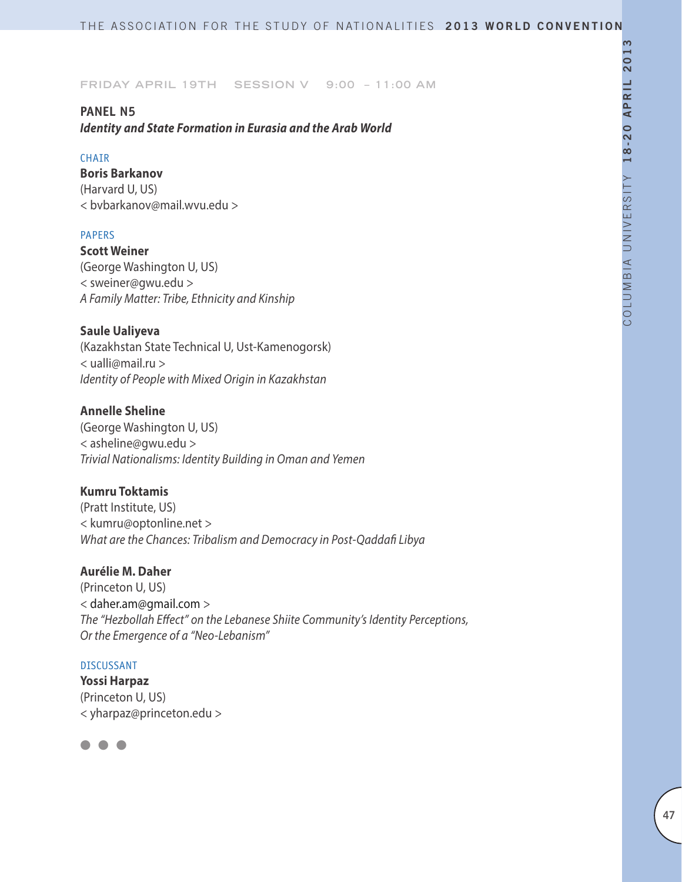# **PANEL N5**

*Identity and State Formation in Eurasia and the Arab World*

## CHAIR

**Boris Barkanov** 

(Harvard U, US) < bvbarkanov@mail.wvu.edu >

# PAPERS

**Scott Weiner** (George Washington U, US) < sweiner@gwu.edu > *A Family Matter: Tribe, Ethnicity and Kinship*

# **Saule Ualiyeva**

(Kazakhstan State Technical U, Ust-Kamenogorsk) < ualli@mail.ru > *Identity of People with Mixed Origin in Kazakhstan* 

# **Annelle Sheline**

(George Washington U, US) < asheline@gwu.edu > *Trivial Nationalisms: Identity Building in Oman and Yemen*

# **Kumru Toktamis**

(Pratt Institute, US) < kumru@optonline.net > *What are the Chances: Tribalism and Democracy in Post-Qaddafi Libya*

# **Aurélie M. Daher**

(Princeton U, US) < daher.am@gmail.com > *The "Hezbollah Effect" on the Lebanese Shiite Community's Identity Perceptions, Or the Emergence of a "Neo-Lebanism"*

# DISCUSSANT

**Yossi Harpaz** (Princeton U, US) < yharpaz@princeton.edu >

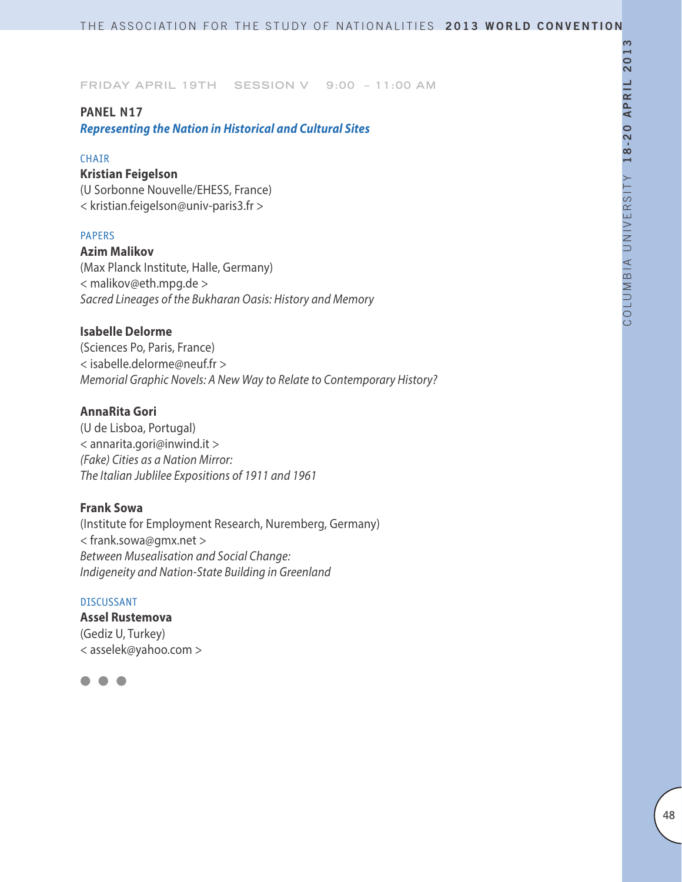# **PANEL N17**

*Representing the Nation in Historical and Cultural Sites*

### **CHAIR**

### **Kristian Feigelson**

(U Sorbonne Nouvelle/EHESS, France) < kristian.feigelson@univ-paris3.fr >

### PAPERS

**Azim Malikov** (Max Planck Institute, Halle, Germany) < malikov@eth.mpg.de > *Sacred Lineages of the Bukharan Oasis: History and Memory*

# **Isabelle Delorme**

(Sciences Po, Paris, France) < isabelle.delorme@neuf.fr > *Memorial Graphic Novels: A New Way to Relate to Contemporary History?*

# **AnnaRita Gori**

(U de Lisboa, Portugal) < annarita.gori@inwind.it > *(Fake) Cities as a Nation Mirror: The Italian Jublilee Expositions of 1911 and 1961*

## **Frank Sowa**

(Institute for Employment Research, Nuremberg, Germany) < frank.sowa@gmx.net > *Between Musealisation and Social Change: Indigeneity and Nation-State Building in Greenland*

### DISCUSSANT

**Assel Rustemova** (Gediz U, Turkey) < asselek@yahoo.com >

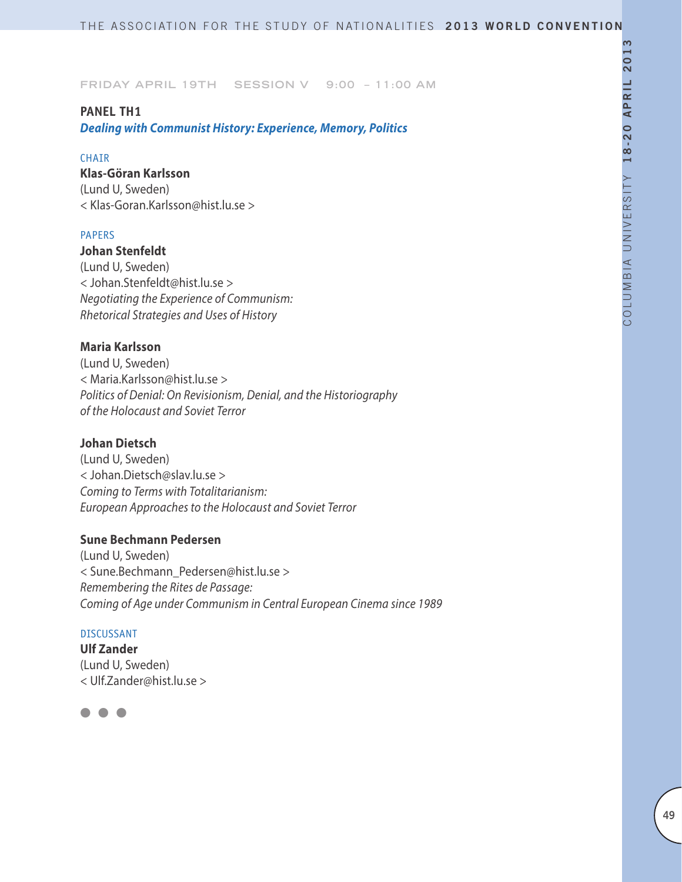# **PANEL TH1**

*Dealing with Communist History: Experience, Memory, Politics*

### CHAIR

# **Klas-Göran Karlsson**

(Lund U, Sweden) < Klas-Goran.Karlsson@hist.lu.se >

### PAPERS

**Johan Stenfeldt** (Lund U, Sweden) < Johan.Stenfeldt@hist.lu.se >

*Negotiating the Experience of Communism: Rhetorical Strategies and Uses of History*

# **Maria Karlsson**

(Lund U, Sweden) < Maria.Karlsson@hist.lu.se > *Politics of Denial: On Revisionism, Denial, and the Historiography of the Holocaust and Soviet Terror*

# **Johan Dietsch**

(Lund U, Sweden) < Johan.Dietsch@slav.lu.se > *Coming to Terms with Totalitarianism: European Approaches to the Holocaust and Soviet Terror* 

# **Sune Bechmann Pedersen**

(Lund U, Sweden) < Sune.Bechmann\_Pedersen@hist.lu.se > *Remembering the Rites de Passage: Coming of Age under Communism in Central European Cinema since 1989*

## DISCUSSANT

**Ulf Zander** (Lund U, Sweden) < Ulf.Zander@hist.lu.se >

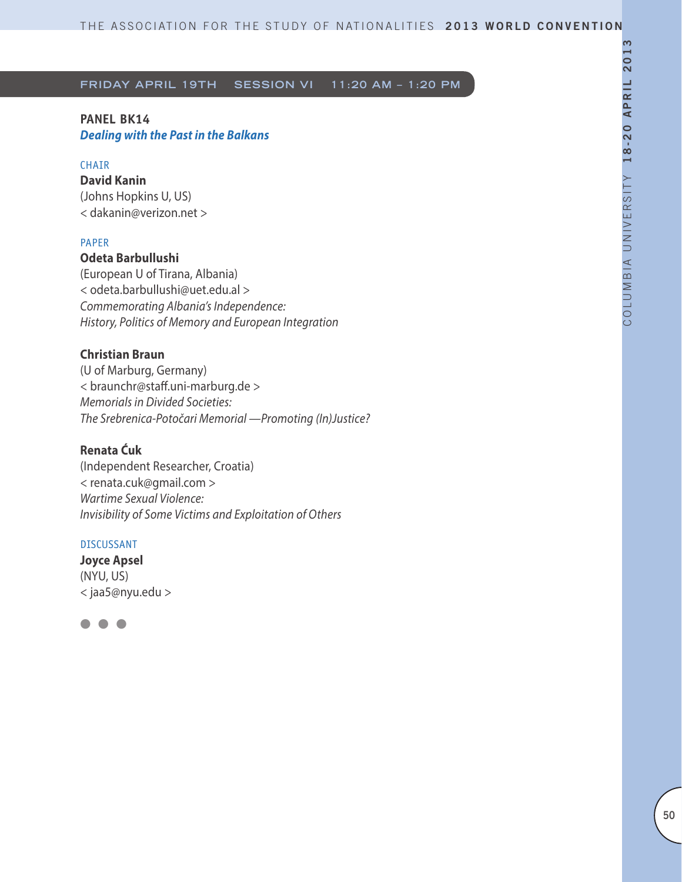# **PANEL BK14**  *Dealing with the Past in the Balkans*

## **CHAIR**

**David Kanin** (Johns Hopkins U, US) < dakanin@verizon.net >

### PAPER

## **Odeta Barbullushi**

(European U of Tirana, Albania) < odeta.barbullushi@uet.edu.al > *Commemorating Albania's Independence: History, Politics of Memory and European Integration*

# **Christian Braun**

(U of Marburg, Germany) < braunchr@staff.uni-marburg.de > *Memorials in Divided Societies: The Srebrenica-Potočari Memorial —Promoting (In)Justice?*

### **Renata Ćuk**

(Independent Researcher, Croatia) < renata.cuk@gmail.com > *Wartime Sexual Violence: Invisibility of Some Victims and Exploitation of Others*

### DISCUSSANT

**Joyce Apsel** (NYU, US) < jaa5@nyu.edu >

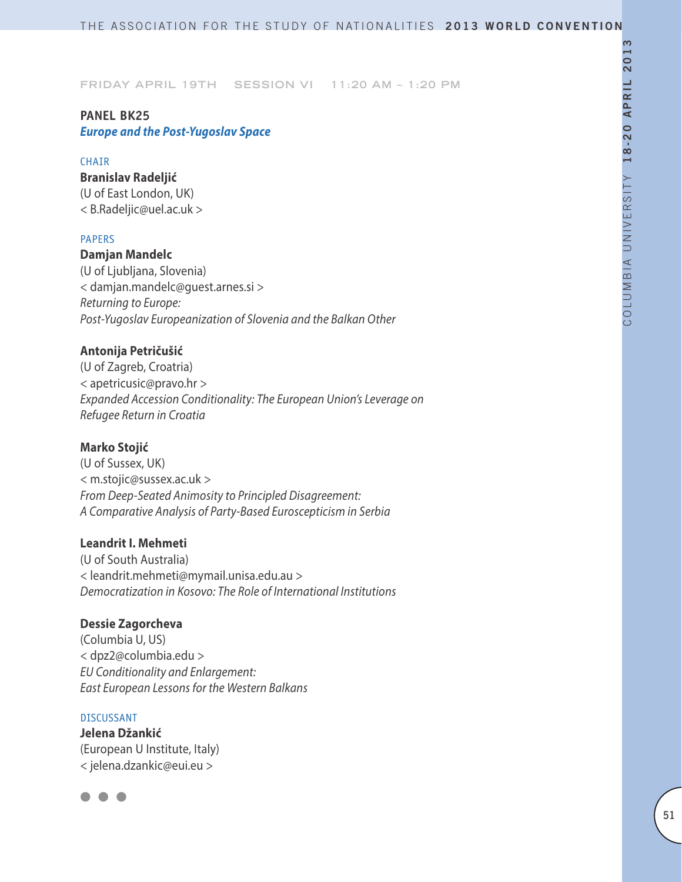# **Panel BK25** *Europe and the Post-Yugoslav Space*

### **CHAIR**

**Branislav Radeljić** (U of East London, UK) < B.Radeljic@uel.ac.uk >

### PAPERS

**Damjan Mandelc**

(U of Ljubljana, Slovenia) < damjan.mandelc@guest.arnes.si > *Returning to Europe: Post-Yugoslav Europeanization of Slovenia and the Balkan Other*

## **Antonija Petričušić**

(U of Zagreb, Croatria) < apetricusic@pravo.hr > *Expanded Accession Conditionality: The European Union's Leverage on Refugee Return in Croatia*

# **Marko Stojić**

(U of Sussex, UK) < m.stojic@sussex.ac.uk > *From Deep-Seated Animosity to Principled Disagreement: A Comparative Analysis of Party-Based Euroscepticism in Serbia*

## **Leandrit I. Mehmeti**

(U of South Australia) < leandrit.mehmeti@mymail.unisa.edu.au > *Democratization in Kosovo: The Role of International Institutions*

## **Dessie Zagorcheva**

(Columbia U, US) < dpz2@columbia.edu > *EU Conditionality and Enlargement: East European Lessons for the Western Balkans*

### DISCUSSANT

**Jelena Džankić**  (European U Institute, Italy) < jelena.dzankic@eui.eu >

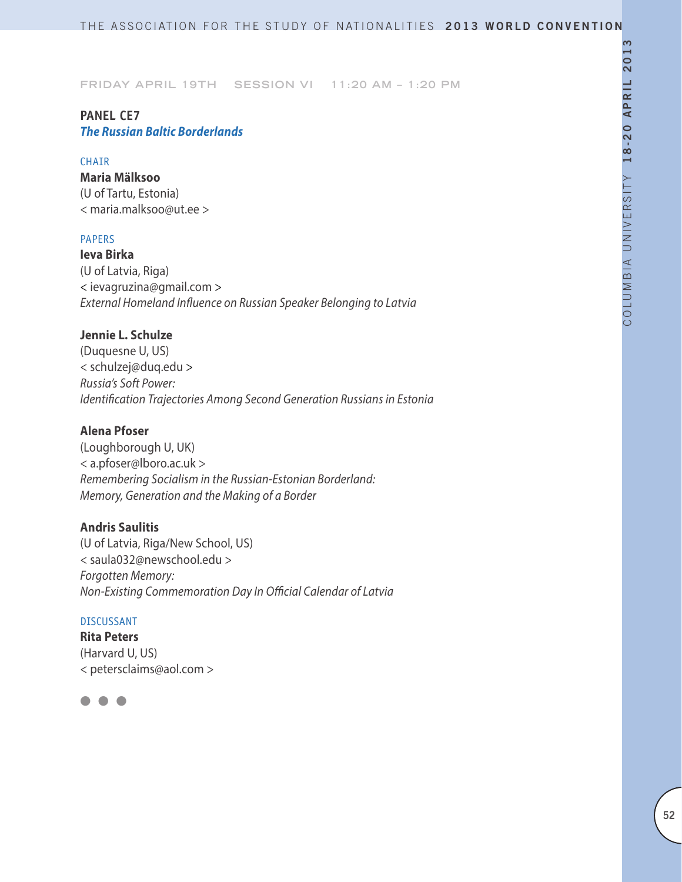## **PANEL CE7** *The Russian Baltic Borderlands*

#### **CHAIR**

**Maria Mälksoo** (U of Tartu, Estonia) < maria.malksoo@ut.ee >

## PAPERS

**Ieva Birka** (U of Latvia, Riga) < ievagruzina@gmail.com > *External Homeland Influence on Russian Speaker Belonging to Latvia*

# **Jennie L. Schulze**

(Duquesne U, US) < schulzej@duq.edu > *Russia's Soft Power: Identification Trajectories Among Second Generation Russians in Estonia*

# **Alena Pfoser**

(Loughborough U, UK) < a.pfoser@lboro.ac.uk > *Remembering Socialism in the Russian-Estonian Borderland: Memory, Generation and the Making of a Border*

## **Andris Saulitis**

(U of Latvia, Riga/New School, US) < saula032@newschool.edu > *Forgotten Memory: Non-Existing Commemoration Day In Official Calendar of Latvia*

### DISCUSSANT

**Rita Peters** (Harvard U, US) < petersclaims@aol.com >

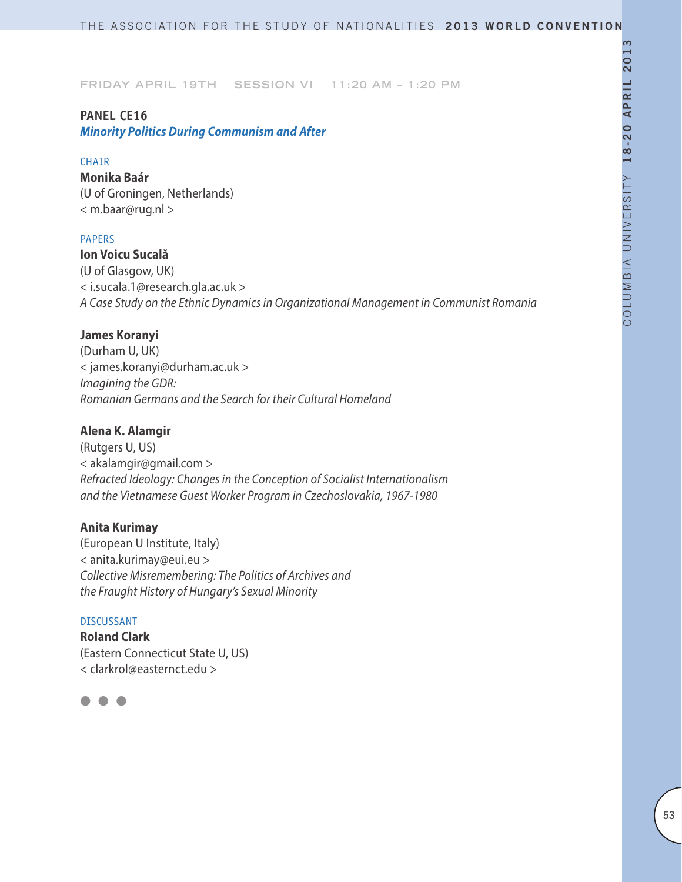### **PANEL CE16**

*Minority Politics During Communism and After*

### **CHAIR**

**Monika Baár** (U of Groningen, Netherlands) < m.baar@rug.nl >

## PAPERS

**Ion Voicu Sucală** (U of Glasgow, UK) < i.sucala.1@research.gla.ac.uk > *A Case Study on the Ethnic Dynamics in Organizational Management in Communist Romania*

### **James Koranyi**

(Durham U, UK) < james.koranyi@durham.ac.uk > *Imagining the GDR: Romanian Germans and the Search for their Cultural Homeland*

# **Alena K. Alamgir**

(Rutgers U, US) < akalamgir@gmail.com > *Refracted Ideology: Changes in the Conception of Socialist Internationalism and the Vietnamese Guest Worker Program in Czechoslovakia, 1967-1980*

## **Anita Kurimay**

(European U Institute, Italy) < anita.kurimay@eui.eu > *Collective Misremembering: The Politics of Archives and the Fraught History of Hungary's Sexual Minority*

## DISCUSSANT

**Roland Clark** (Eastern Connecticut State U, US) < clarkrol@easternct.edu >

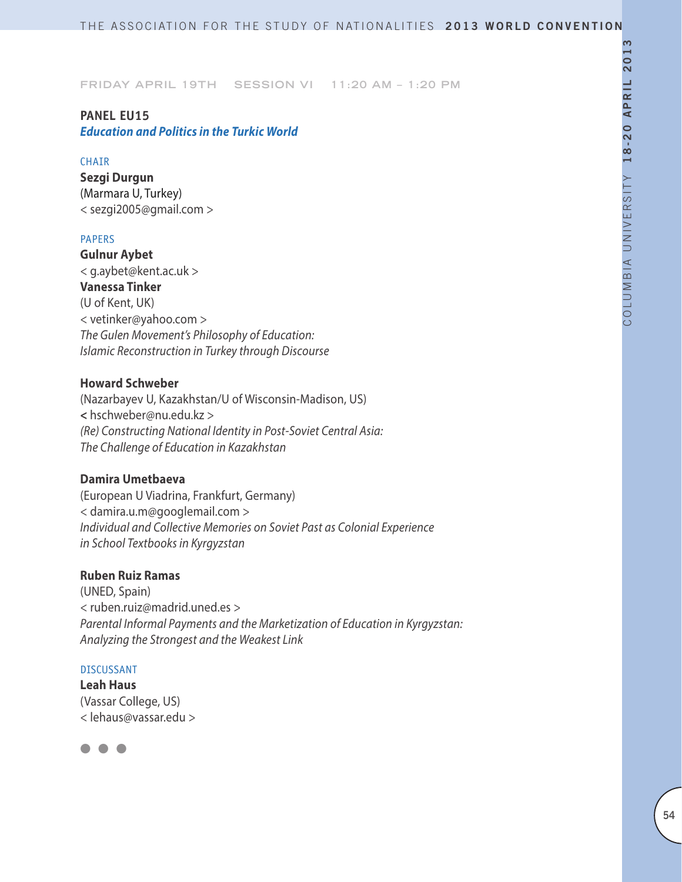# **PANEL EU15**

# *Education and Politics in the Turkic World*

### **CHAIR**

**Sezgi Durgun** (Marmara U, Turkey) < sezgi2005@gmail.com >

## PAPERS

**Gulnur Aybet**  < g.aybet@kent.ac.uk > **Vanessa Tinker** (U of Kent, UK) < vetinker@yahoo.com > *The Gulen Movement's Philosophy of Education: Islamic Reconstruction in Turkey through Discourse*

## **Howard Schweber**

(Nazarbayev U, Kazakhstan/U of Wisconsin-Madison, US) **<** hschweber@nu.edu.kz > *(Re) Constructing National Identity in Post-Soviet Central Asia: The Challenge of Education in Kazakhstan*

## **Damira Umetbaeva**

(European U Viadrina, Frankfurt, Germany) < damira.u.m@googlemail.com > *Individual and Collective Memories on Soviet Past as Colonial Experience in School Textbooks in Kyrgyzstan*

# **Ruben Ruiz Ramas**

(UNED, Spain) < ruben.ruiz@madrid.uned.es > *Parental Informal Payments and the Marketization of Education in Kyrgyzstan: Analyzing the Strongest and the Weakest Link*

### DISCUSSANT

**Leah Haus** (Vassar College, US) < lehaus@vassar.edu >

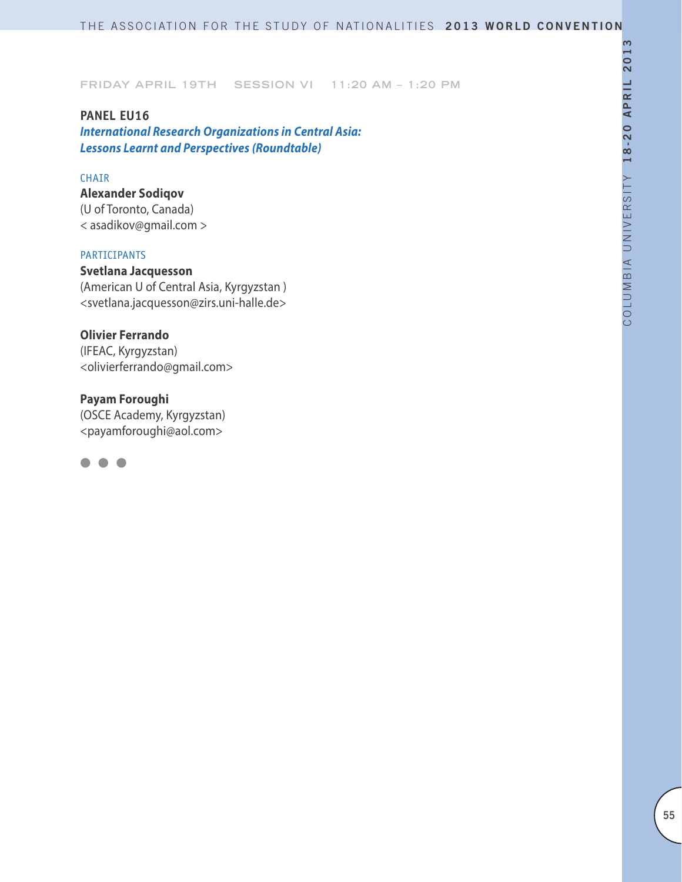**PANEL EU16**  *International Research Organizations in Central Asia: Lessons Learnt and Perspectives (Roundtable)*

### CHAIR

**Alexander Sodiqov**  (U of Toronto, Canada) < asadikov@gmail.com >

### PARTICIPANTS

**Svetlana Jacquesson** (American U of Central Asia, Kyrgyzstan ) <svetlana.jacquesson@zirs.uni-halle.de>

**Olivier Ferrando** (IFEAC, Kyrgyzstan) <olivierferrando@gmail.com>

**Payam Foroughi** (OSCE Academy, Kyrgyzstan) <payamforoughi@aol.com>

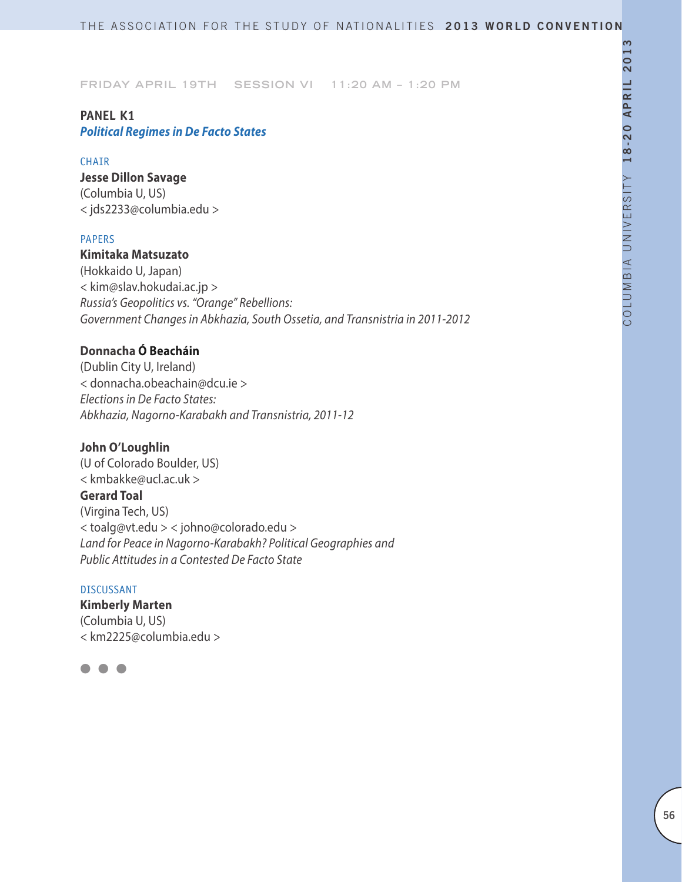# **PANEL K1** *Political Regimes in De Facto States*

### **CHAIR**

**Jesse Dillon Savage** (Columbia U, US)

< jds2233@columbia.edu >

# PAPERS

# **Kimitaka Matsuzato**

(Hokkaido U, Japan) < kim@slav.hokudai.ac.jp > *Russia's Geopolitics vs. "Orange" Rebellions: Government Changes in Abkhazia, South Ossetia, and Transnistria in 2011-2012*

# **Donnacha Ó Beacháin**

(Dublin City U, Ireland) < donnacha.obeachain@dcu.ie > *Elections in De Facto States: Abkhazia, Nagorno-Karabakh and Transnistria, 2011-12*

# **John O'Loughlin**

(U of Colorado Boulder, US) < kmbakke@ucl.ac.uk > **Gerard Toal** (Virgina Tech, US) < toalg@vt.edu > < johno@colorado.edu > *Land for Peace in Nagorno-Karabakh? Political Geographies and Public Attitudes in a Contested De Facto State*

### DISCUSSANT

**Kimberly Marten** (Columbia U, US) < km2225@columbia.edu >

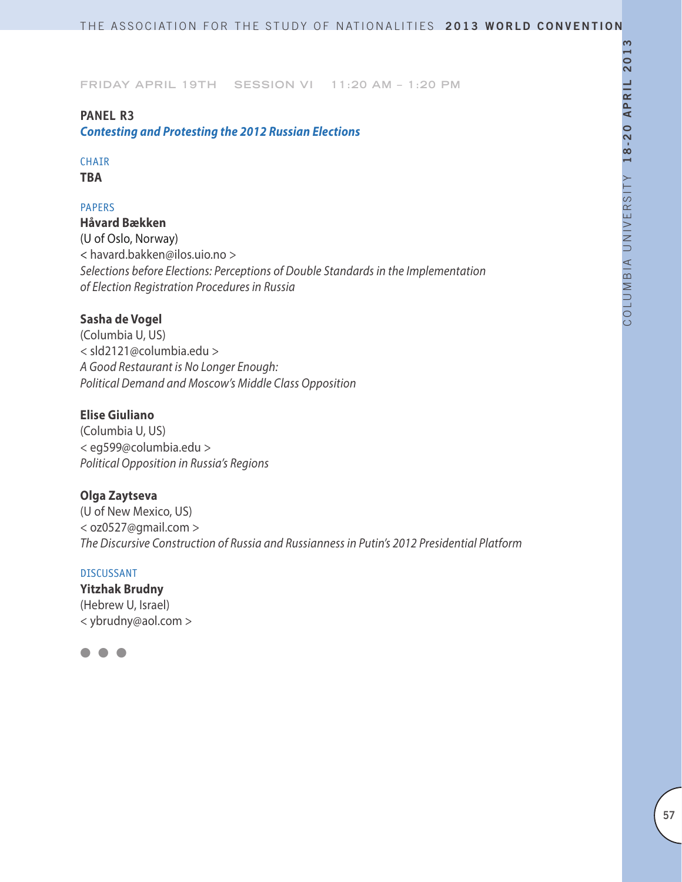# **PANEL R3**

*Contesting and Protesting the 2012 Russian Elections*

# **CHAIR**

**TBA**

## PAPERS

**Håvard Bækken** (U of Oslo, Norway) < havard.bakken@ilos.uio.no > *Selections before Elections: Perceptions of Double Standards in the Implementation of Election Registration Procedures in Russia*

# **Sasha de Vogel**

(Columbia U, US) < sld2121@columbia.edu > *A Good Restaurant is No Longer Enough: Political Demand and Moscow's Middle Class Opposition*

# **Elise Giuliano**

(Columbia U, US) < eg599@columbia.edu > *Political Opposition in Russia's Regions*

## **Olga Zaytseva**

(U of New Mexico, US) < oz0527@gmail.com > *The Discursive Construction of Russia and Russianness in Putin's 2012 Presidential Platform*

#### DISCUSSANT

**Yitzhak Brudny** (Hebrew U, Israel) < ybrudny@aol.com >

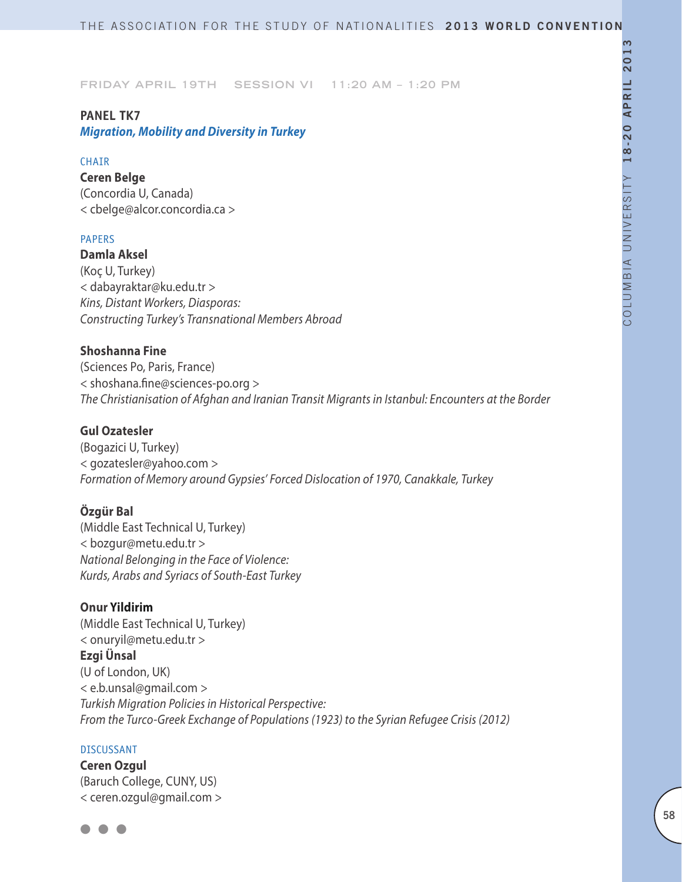## **PANEL TK7**

*Migration, Mobility and Diversity in Turkey*

### **CHAIR**

**Ceren Belge** (Concordia U, Canada) < cbelge@alcor.concordia.ca >

### PAPERS

**Damla Aksel** (Koç U, Turkey) < dabayraktar@ku.edu.tr > *Kins, Distant Workers, Diasporas: Constructing Turkey's Transnational Members Abroad*

# **Shoshanna Fine**

(Sciences Po, Paris, France) < shoshana.fine@sciences-po.org > *The Christianisation of Afghan and Iranian Transit Migrants in Istanbul: Encounters at the Border*

# **Gul Ozatesler**

(Bogazici U, Turkey) < gozatesler@yahoo.com > *Formation of Memory around Gypsies' Forced Dislocation of 1970, Canakkale, Turkey*

# **Özgür Bal**

(Middle East Technical U, Turkey) < bozgur@metu.edu.tr > *National Belonging in the Face of Violence: Kurds, Arabs and Syriacs of South-East Turkey*

# **Onur Yildirim**

(Middle East Technical U, Turkey) < onuryil@metu.edu.tr > **Ezgi Ünsal** (U of London, UK) < e.b.unsal@gmail.com > *Turkish Migration Policies in Historical Perspective: From the Turco-Greek Exchange of Populations (1923) to the Syrian Refugee Crisis (2012)*

#### DISCUSSANT

**Ceren Ozgul** (Baruch College, CUNY, US) < ceren.ozgul@gmail.com >

 $\bullet$   $\bullet$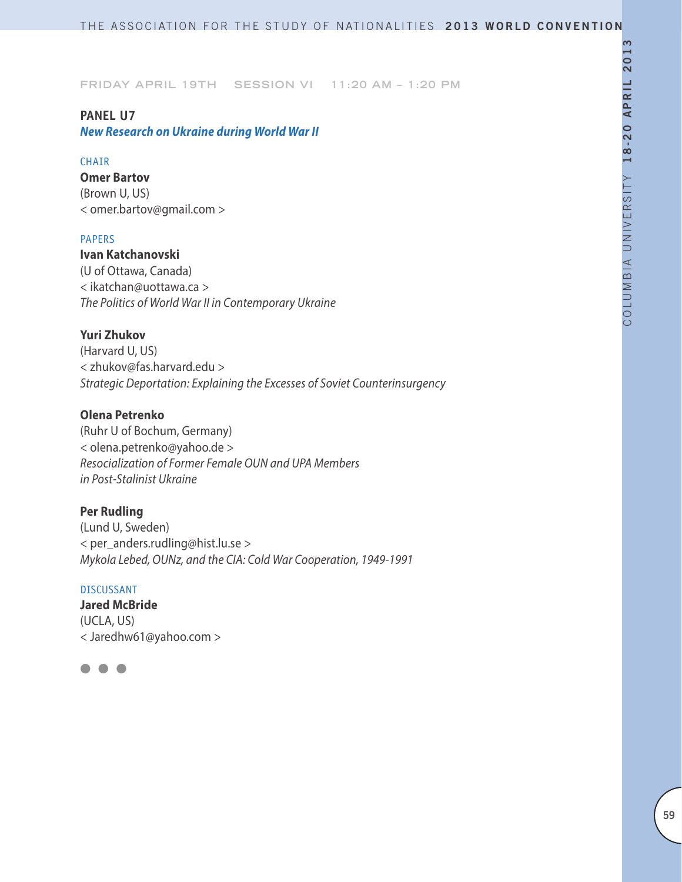### **PANEL U7**

*New Research on Ukraine during World War II*

### **CHAIR**

**Omer Bartov** (Brown U, US) < omer.bartov@gmail.com >

### PAPERS

**Ivan Katchanovski** (U of Ottawa, Canada) < ikatchan@uottawa.ca > *The Politics of World War II in Contemporary Ukraine*

# **Yuri Zhukov**

(Harvard U, US) < zhukov@fas.harvard.edu > *Strategic Deportation: Explaining the Excesses of Soviet Counterinsurgency*

# **Olena Petrenko**

(Ruhr U of Bochum, Germany) < olena.petrenko@yahoo.de > *Resocialization of Former Female OUN and UPA Members in Post-Stalinist Ukraine*

### **Per Rudling**

(Lund U, Sweden) < per\_anders.rudling@hist.lu.se > *Mykola Lebed, OUNz, and the CIA: Cold War Cooperation, 1949-1991*

### DISCUSSANT

**Jared McBride** (UCLA, US) < Jaredhw61@yahoo.com >

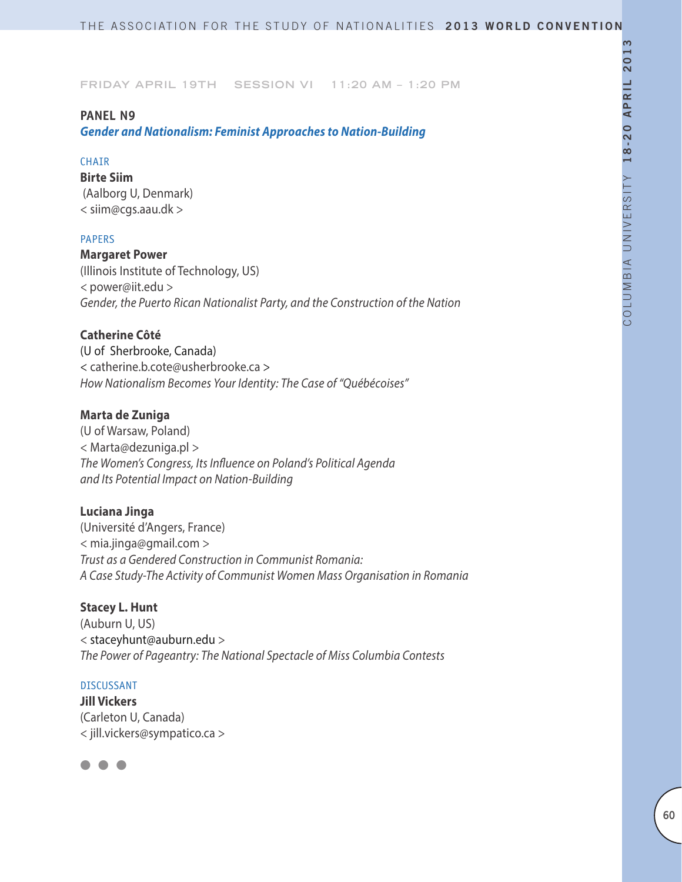# **PANEL N9**

*Gender and Nationalism: Feminist Approaches to Nation-Building*

### **CHAIR**

**Birte Siim**  (Aalborg U, Denmark) < siim@cgs.aau.dk >

### PAPERS

**Margaret Power** (Illinois Institute of Technology, US) *<* power@iit.edu *> Gender, the Puerto Rican Nationalist Party, and the Construction of the Nation*

### **Catherine Côté**

(U of Sherbrooke, Canada) < catherine.b.cote@usherbrooke.ca > *How Nationalism Becomes Your Identity: The Case of "Québécoises"*

## **Marta de Zuniga**

(U of Warsaw, Poland) < Marta@dezuniga.pl > *The Women's Congress, Its Influence on Poland's Political Agenda and Its Potential Impact on Nation-Building*

# **Luciana Jinga**

(Université d'Angers, France) < mia.jinga@gmail.com > *Trust as a Gendered Construction in Communist Romania: A Case Study-The Activity of Communist Women Mass Organisation in Romania*

## **Stacey L. Hunt**

(Auburn U, US) < staceyhunt@auburn.edu > *The Power of Pageantry: The National Spectacle of Miss Columbia Contests*

### DISCUSSANT

**Jill Vickers** (Carleton U, Canada) < jill.vickers@sympatico.ca >

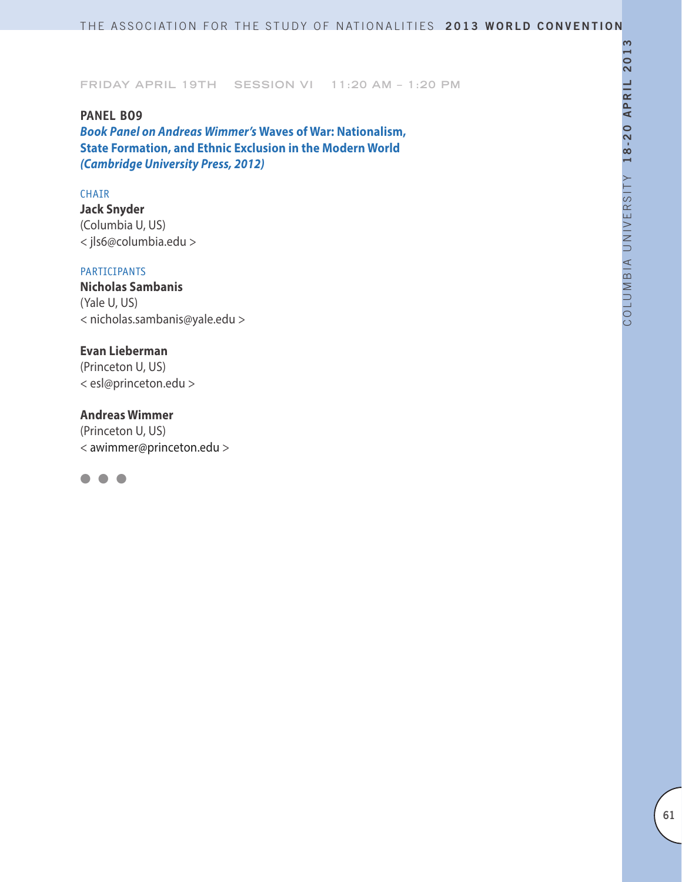**PANEL BO9** *Book Panel on Andreas Wimmer's* **Waves of War: Nationalism, State Formation, and Ethnic Exclusion in the Modern World**  *(Cambridge University Press, 2012)*

#### CHAIR

**Jack Snyder** (Columbia U, US) < jls6@columbia.edu >

# PARTICIPANTS

**Nicholas Sambanis** (Yale U, US) < nicholas.sambanis@yale.edu >

## **Evan Lieberman**

(Princeton U, US) < esl@princeton.edu >

## **Andreas Wimmer**

(Princeton U, US) < awimmer@princeton.edu >

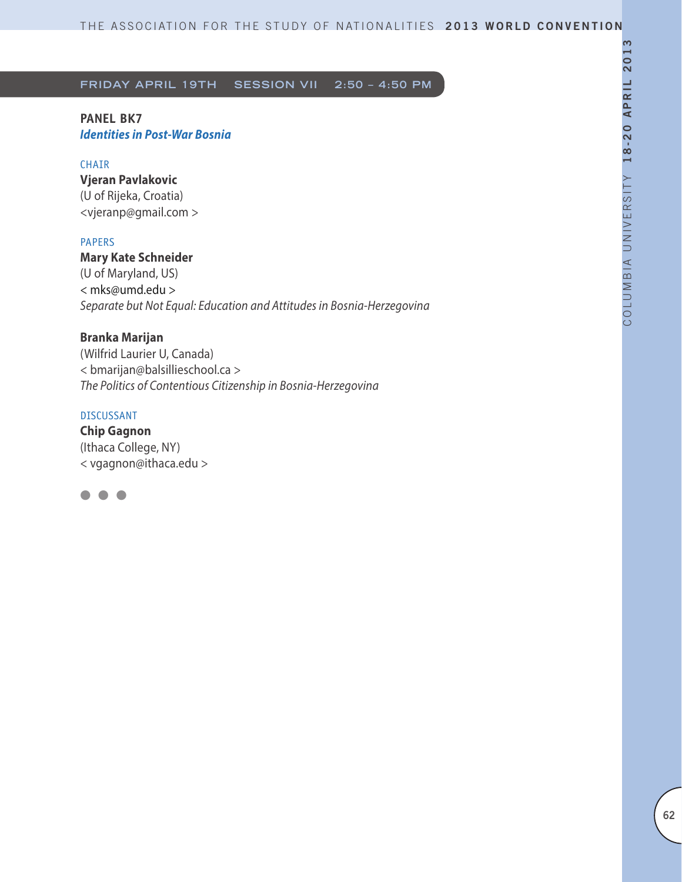# **PANEL BK7** *Identities in Post-War Bosnia*

## CHAIR

**Vjeran Pavlakovic**  (U of Rijeka, Croatia) <vjeranp@gmail.com >

### PAPERS

**Mary Kate Schneider** 

(U of Maryland, US) < mks@umd.edu > *Separate but Not Equal: Education and Attitudes in Bosnia-Herzegovina*

## **Branka Marijan**

(Wilfrid Laurier U, Canada) < bmarijan@balsillieschool.ca > *The Politics of Contentious Citizenship in Bosnia-Herzegovina*

## DISCUSSANT

**Chip Gagnon** (Ithaca College, NY) < vgagnon@ithaca.edu >

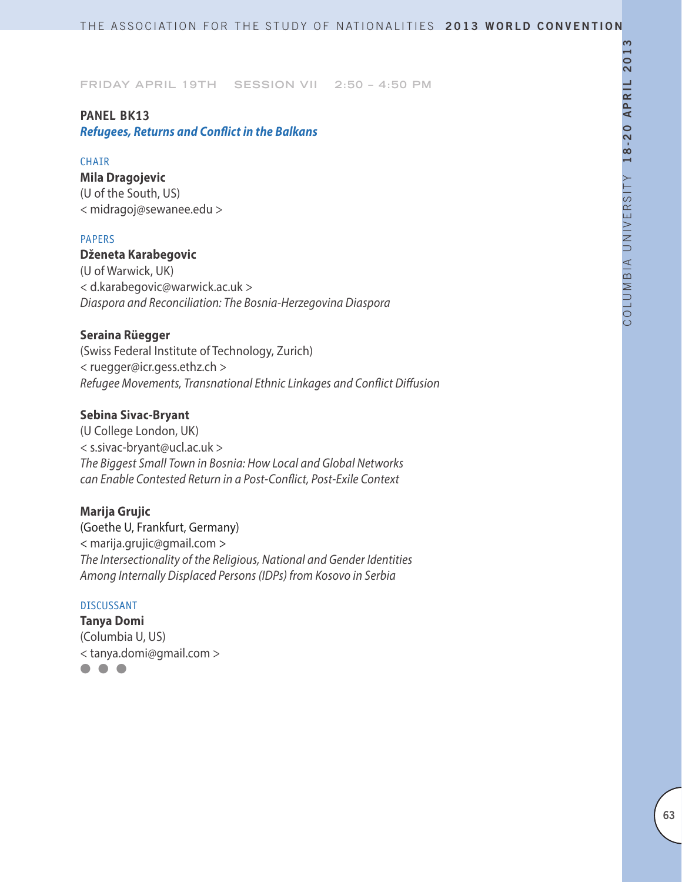## **PANEL BK13**

*Refugees, Returns and Conflict in the Balkans*

### **CHAIR**

**Mila Dragojevic** (U of the South, US) < midragoj@sewanee.edu >

### PAPERS

# **Dženeta Karabegovic**

(U of Warwick, UK) < d.karabegovic@warwick.ac.uk > *Diaspora and Reconciliation: The Bosnia-Herzegovina Diaspora*

## **Seraina Rüegger**

(Swiss Federal Institute of Technology, Zurich) < ruegger@icr.gess.ethz.ch > *Refugee Movements, Transnational Ethnic Linkages and Conflict Diffusion*

### **Sebina Sivac-Bryant**

(U College London, UK) < s.sivac-bryant@ucl.ac.uk > *The Biggest Small Town in Bosnia: How Local and Global Networks can Enable Contested Return in a Post-Conflict, Post-Exile Context*

# **Marija Grujic**

(Goethe U, Frankfurt, Germany) < marija.grujic@gmail.com > *The Intersectionality of the Religious, National and Gender Identities Among Internally Displaced Persons (IDPs) from Kosovo in Serbia*

### DISCUSSANT

**Tanya Domi**  (Columbia U, US) < tanya.domi@gmail.com >

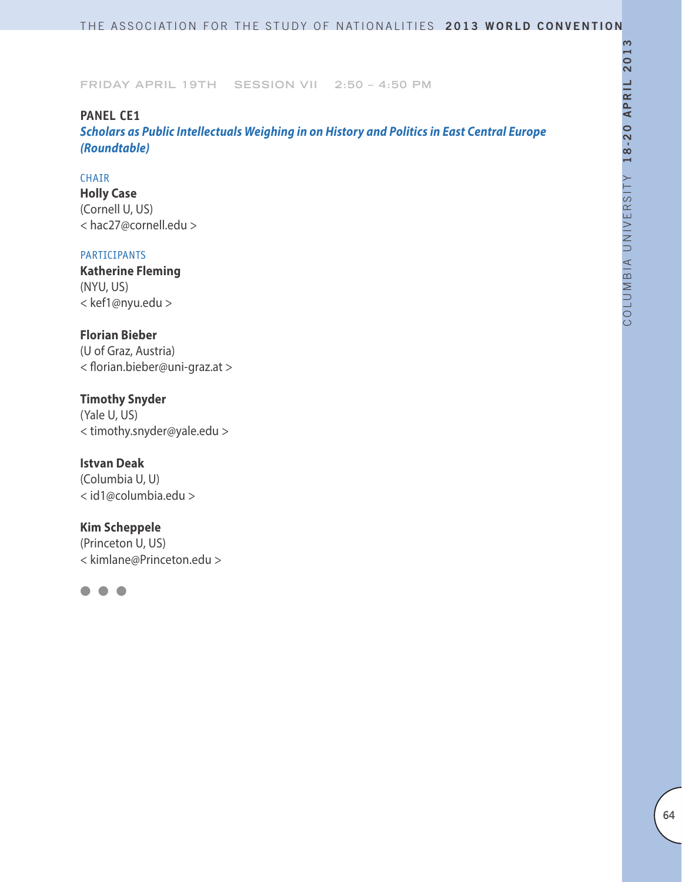# **PANEL CE1**

*Scholars as Public Intellectuals Weighing in on History and Politics in East Central Europe (Roundtable)*

## CHAIR

**Holly Case** (Cornell U, US) < hac27@cornell.edu >

### PARTICIPANTS

**Katherine Fleming** (NYU, US) < kef1@nyu.edu >

# **Florian Bieber**

(U of Graz, Austria) < florian.bieber@uni-graz.at >

# **Timothy Snyder**

(Yale U, US) < timothy.snyder@yale.edu >

# **Istvan Deak**

(Columbia U, U) < id1@columbia.edu >

# **Kim Scheppele**

(Princeton U, US) < kimlane@Princeton.edu >

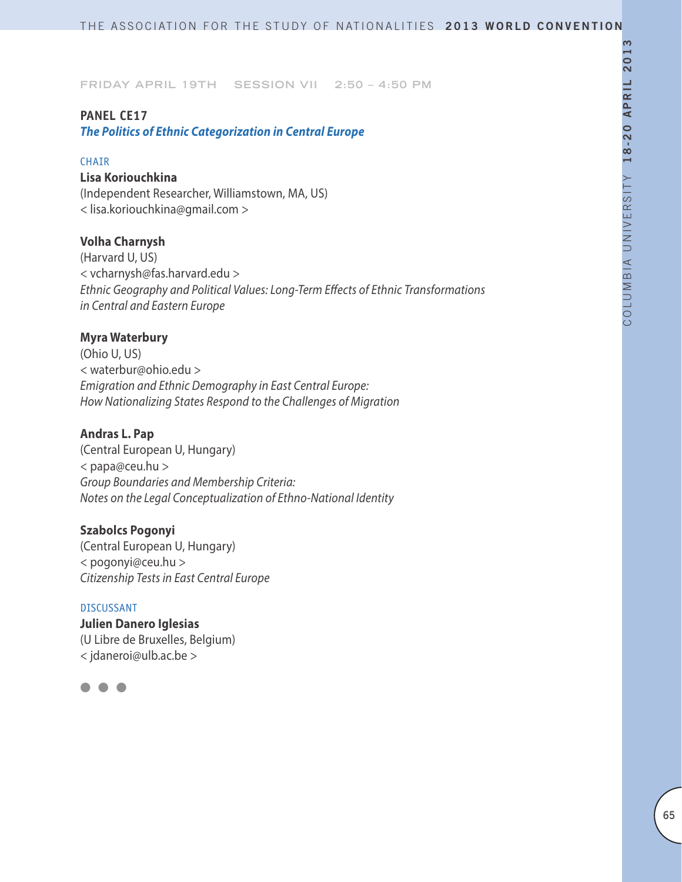# **PANEL CE17**

*The Politics of Ethnic Categorization in Central Europe*

### **CHAIR**

# **Lisa Koriouchkina**

(Independent Researcher, Williamstown, MA, US) < lisa.koriouchkina@gmail.com >

# **Volha Charnysh**

(Harvard U, US) < vcharnysh@fas.harvard.edu > *Ethnic Geography and Political Values: Long-Term Effects of Ethnic Transformations in Central and Eastern Europe*

# **Myra Waterbury**

(Ohio U, US) < waterbur@ohio.edu > *Emigration and Ethnic Demography in East Central Europe: How Nationalizing States Respond to the Challenges of Migration*

# **Andras L. Pap**

(Central European U, Hungary) < papa@ceu.hu > *Group Boundaries and Membership Criteria: Notes on the Legal Conceptualization of Ethno-National Identity*

# **Szabolcs Pogonyi**

(Central European U, Hungary) < pogonyi@ceu.hu > *Citizenship Tests in East Central Europe*

#### DISCUSSANT

**Julien Danero Iglesias** (U Libre de Bruxelles, Belgium) < jdaneroi@ulb.ac.be >

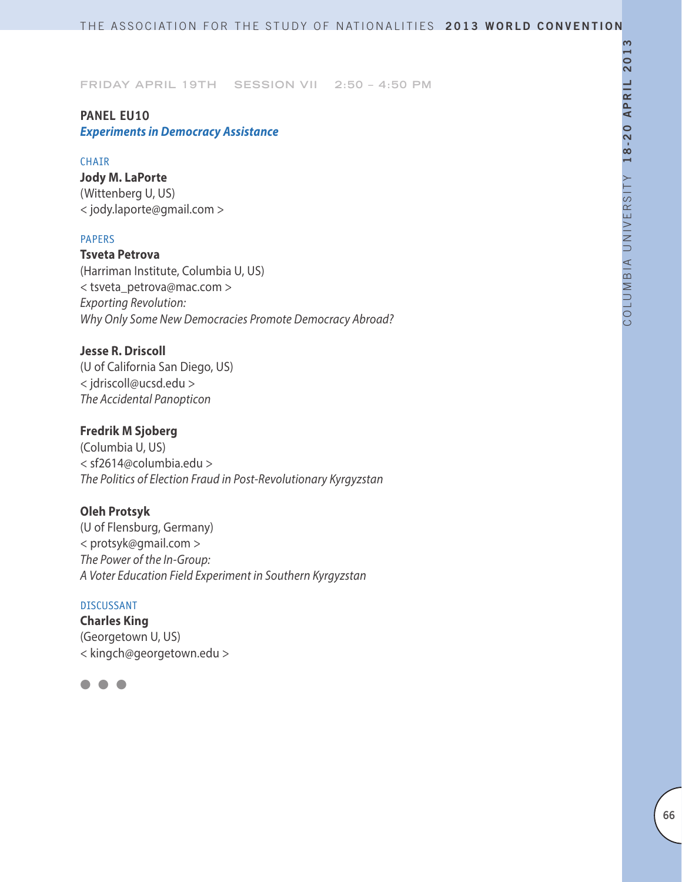# **PANEL EU10** *Experiments in Democracy Assistance*

## **CHAIR**

**Jody M. LaPorte** (Wittenberg U, US) < jody.laporte@gmail.com >

### PAPERS

**Tsveta Petrova** (Harriman Institute, Columbia U, US) < tsveta\_petrova@mac.com > *Exporting Revolution: Why Only Some New Democracies Promote Democracy Abroad?*

# **Jesse R. Driscoll**

(U of California San Diego, US) < jdriscoll@ucsd.edu > *The Accidental Panopticon*

# **Fredrik M Sjoberg**

(Columbia U, US) < sf2614@columbia.edu > *The Politics of Election Fraud in Post-Revolutionary Kyrgyzstan*

# **Oleh Protsyk**

(U of Flensburg, Germany) < protsyk@gmail.com > *The Power of the In-Group: A Voter Education Field Experiment in Southern Kyrgyzstan*

## DISCUSSANT

**Charles King** (Georgetown U, US) < kingch@georgetown.edu >

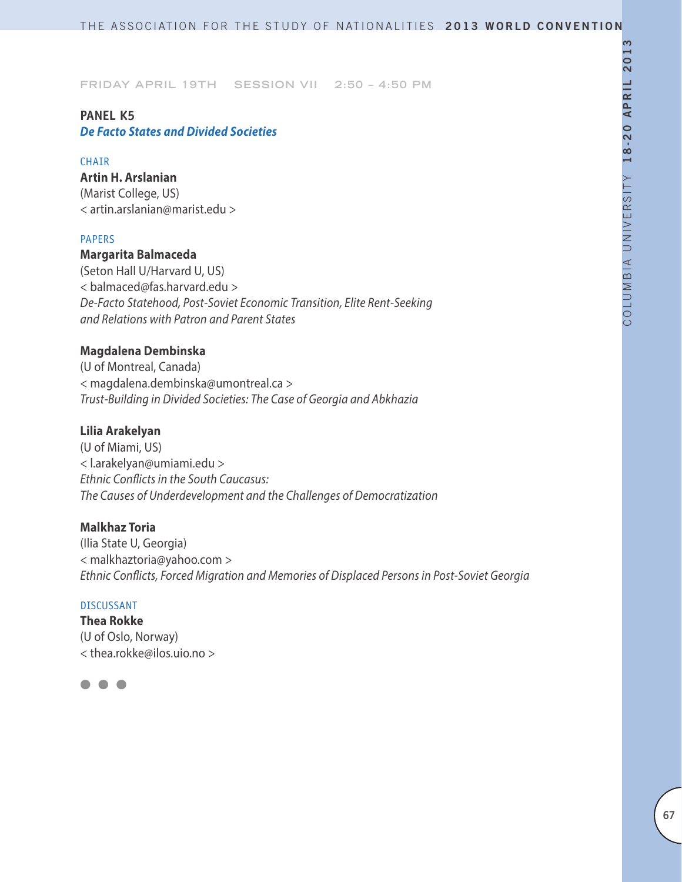### **PANEL K5** *De Facto States and Divided Societies*

### **CHAIR**

**Artin H. Arslanian** (Marist College, US) < artin.arslanian@marist.edu >

### PAPERS

# **Margarita Balmaceda**

(Seton Hall U/Harvard U, US) < balmaced@fas.harvard.edu > *De-Facto Statehood, Post-Soviet Economic Transition, Elite Rent-Seeking and Relations with Patron and Parent States*

# **Magdalena Dembinska**

(U of Montreal, Canada) < magdalena.dembinska@umontreal.ca > *Trust-Building in Divided Societies: The Case of Georgia and Abkhazia*

# **Lilia Arakelyan**

(U of Miami, US) < l.arakelyan@umiami.edu > *Ethnic Conflicts in the South Caucasus: The Causes of Underdevelopment and the Challenges of Democratization*

# **Malkhaz Toria**

(Ilia State U, Georgia) < malkhaztoria@yahoo.com > *Ethnic Conflicts, Forced Migration and Memories of Displaced Persons in Post-Soviet Georgia*

### DISCUSSANT

**Thea Rokke** (U of Oslo, Norway) < thea.rokke@ilos.uio.no >

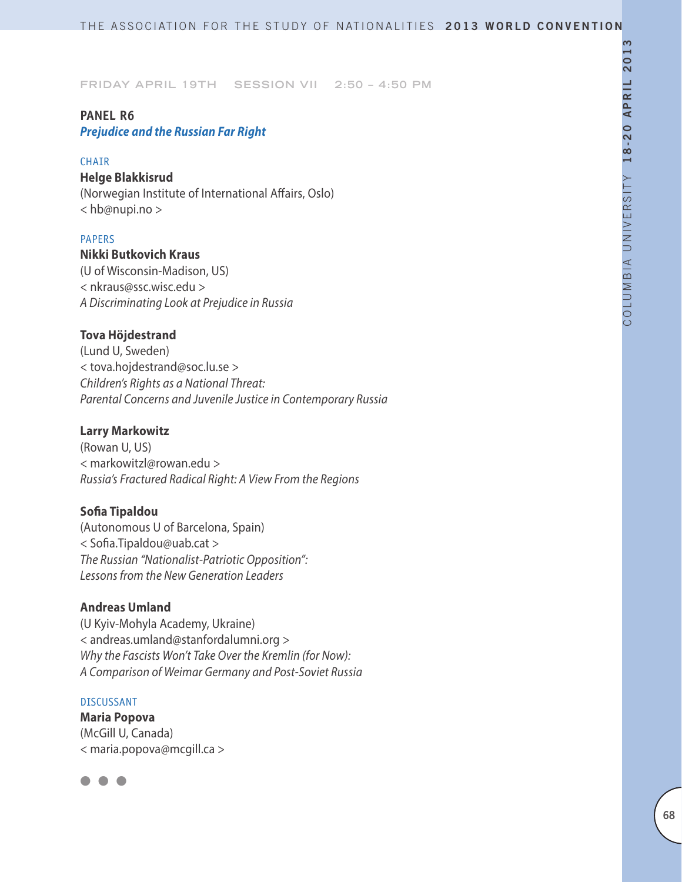# **PANEL R6**

*Prejudice and the Russian Far Right*

### **CHAIR**

# **Helge Blakkisrud**

(Norwegian Institute of International Affairs, Oslo) < hb@nupi.no >

## PAPERS

# **Nikki Butkovich Kraus**

(U of Wisconsin-Madison, US) < nkraus@ssc.wisc.edu > *A Discriminating Look at Prejudice in Russia*

## **Tova Höjdestrand**

(Lund U, Sweden) < tova.hojdestrand@soc.lu.se > *Children's Rights as a National Threat: Parental Concerns and Juvenile Justice in Contemporary Russia*

### **Larry Markowitz**

(Rowan U, US) < markowitzl@rowan.edu > *Russia's Fractured Radical Right: A View From the Regions*

## **Sofia Tipaldou**

(Autonomous U of Barcelona, Spain) < Sofia.Tipaldou@uab.cat > *The Russian "Nationalist-Patriotic Opposition": Lessons from the New Generation Leaders*

# **Andreas Umland**

(U Kyiv-Mohyla Academy, Ukraine) < andreas.umland@stanfordalumni.org > *Why the Fascists Won't Take Over the Kremlin (for Now): A Comparison of Weimar Germany and Post-Soviet Russia*

### DISCUSSANT

**Maria Popova** (McGill U, Canada) < maria.popova@mcgill.ca >

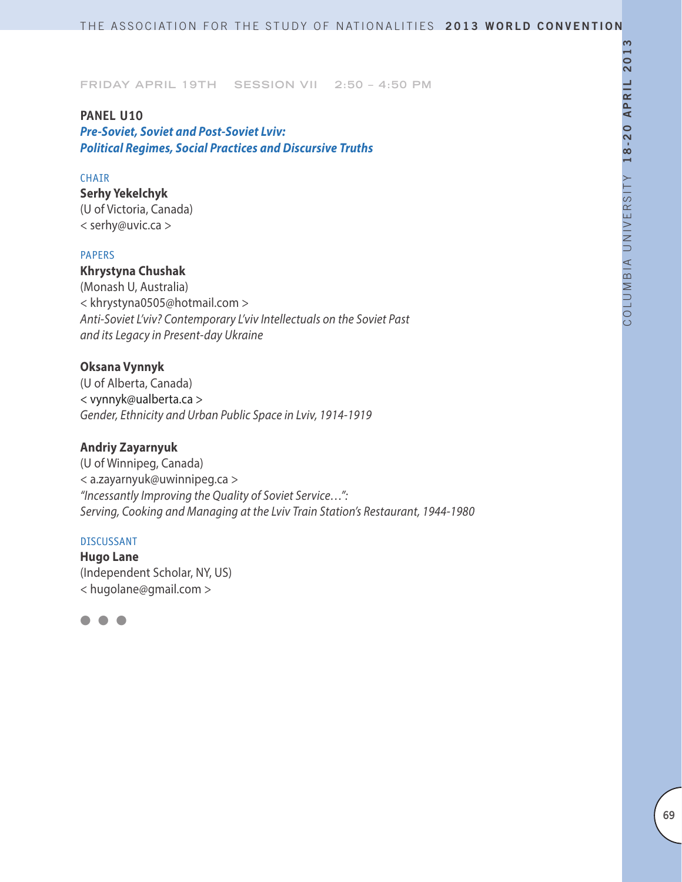### **PANEL U10**

*Pre-Soviet, Soviet and Post-Soviet Lviv: Political Regimes, Social Practices and Discursive Truths*

## CHAIR

**Serhy Yekelchyk** (U of Victoria, Canada)

< serhy@uvic.ca >

### PAPERS

# **Khrystyna Chushak**

(Monash U, Australia) < khrystyna0505@hotmail.com > *Anti-Soviet L'viv? Contemporary L'viv Intellectuals on the Soviet Past and its Legacy in Present-day Ukraine*

# **Oksana Vynnyk**

(U of Alberta, Canada) < vynnyk@ualberta.ca > *Gender, Ethnicity and Urban Public Space in Lviv, 1914-1919*

# **Andriy Zayarnyuk**

(U of Winnipeg, Canada) < a.zayarnyuk@uwinnipeg.ca > *"Incessantly Improving the Quality of Soviet Service…": Serving, Cooking and Managing at the Lviv Train Station's Restaurant, 1944-1980*

### DISCUSSANT

**Hugo Lane** (Independent Scholar, NY, US) < hugolane@gmail.com >

l l l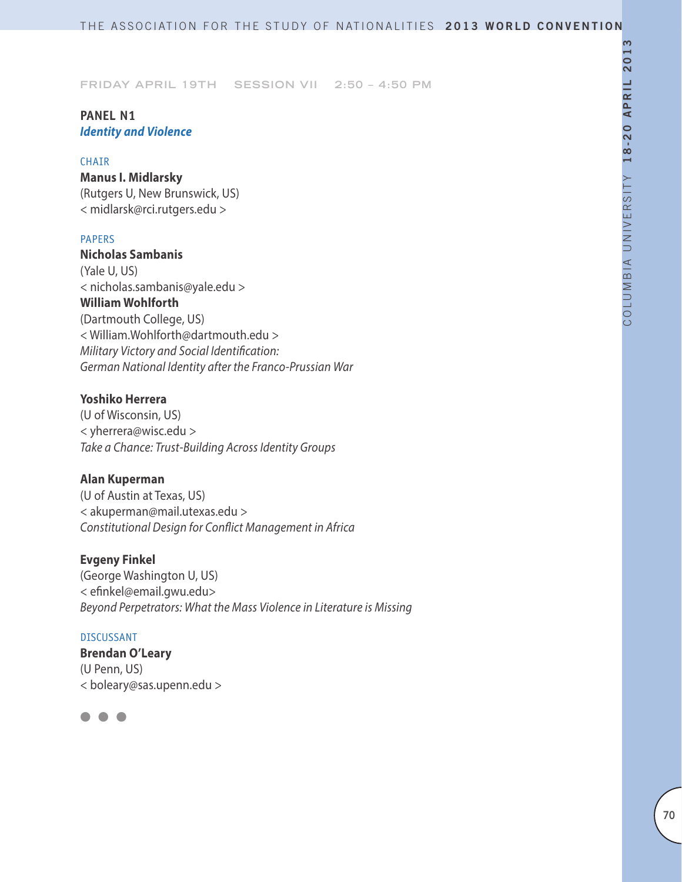# **PANEL N1** *Identity and Violence*

### **CHAIR**

**Manus I. Midlarsky** (Rutgers U, New Brunswick, US) < midlarsk@rci.rutgers.edu >

### PAPERS

**Nicholas Sambanis** (Yale U, US) < nicholas.sambanis@yale.edu > **William Wohlforth** (Dartmouth College, US) < William.Wohlforth@dartmouth.edu > *Military Victory and Social Identification: German National Identity after the Franco-Prussian War*

## **Yoshiko Herrera**

(U of Wisconsin, US) < yherrera@wisc.edu > *Take a Chance: Trust-Building Across Identity Groups*

### **Alan Kuperman**

(U of Austin at Texas, US) < akuperman@mail.utexas.edu > *Constitutional Design for Conflict Management in Africa*

# **Evgeny Finkel**

(George Washington U, US) < efinkel@email.gwu.edu> *Beyond Perpetrators: What the Mass Violence in Literature is Missing*

### DISCUSSANT

**Brendan O'Leary** (U Penn, US) < boleary@sas.upenn.edu >

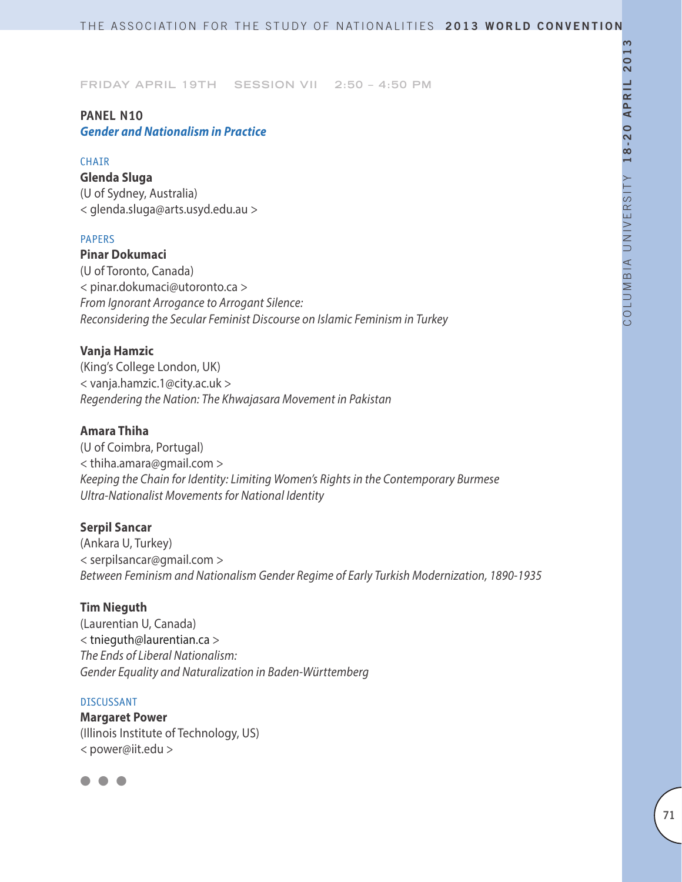# **PANEL N10**

*Gender and Nationalism in Practice*

## **CHAIR**

**Glenda Sluga** (U of Sydney, Australia) < glenda.sluga@arts.usyd.edu.au >

## PAPERS

**Pinar Dokumaci** (U of Toronto, Canada) < pinar.dokumaci@utoronto.ca > *From Ignorant Arrogance to Arrogant Silence: Reconsidering the Secular Feminist Discourse on Islamic Feminism in Turkey*

# **Vanja Hamzic**

(King's College London, UK) < vanja.hamzic.1@city.ac.uk > *Regendering the Nation: The Khwajasara Movement in Pakistan*

# **Amara Thiha**

(U of Coimbra, Portugal) < thiha.amara@gmail.com > *Keeping the Chain for Identity: Limiting Women's Rights in the Contemporary Burmese Ultra-Nationalist Movements for National Identity*

# **Serpil Sancar**

(Ankara U, Turkey) < serpilsancar@gmail.com > *Between Feminism and Nationalism Gender Regime of Early Turkish Modernization, 1890-1935*

# **Tim Nieguth**

(Laurentian U, Canada) < tnieguth@laurentian.ca > *The Ends of Liberal Nationalism: Gender Equality and Naturalization in Baden-Württemberg*

### DISCUSSANT

**Margaret Power** (Illinois Institute of Technology, US) *<* power@iit.edu *>*

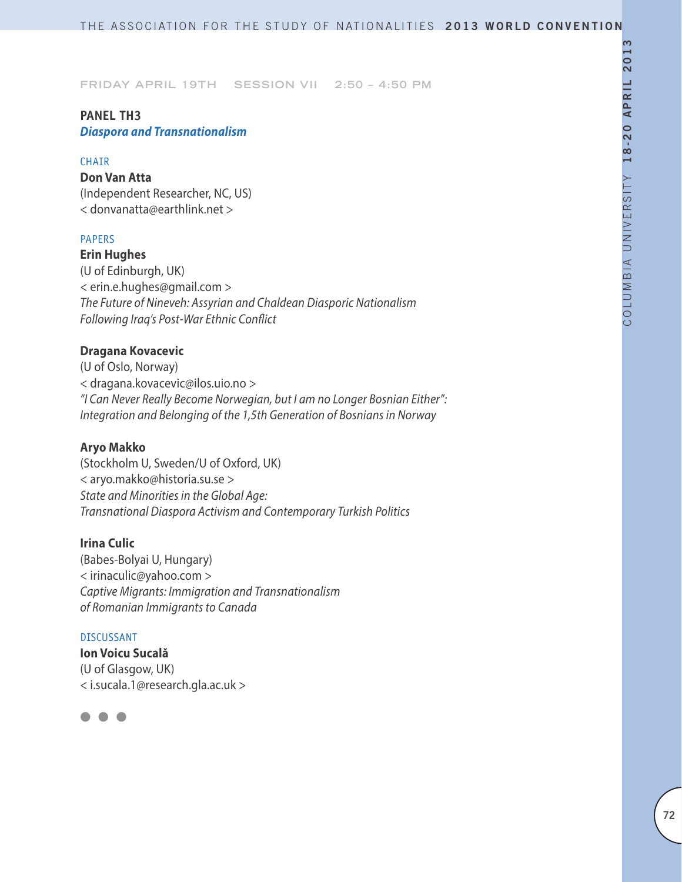# **PANEL TH3** *Diaspora and Transnationalism*

### **CHAIR**

# **Don Van Atta**

(Independent Researcher, NC, US) < donvanatta@earthlink.net >

## PAPERS

**Erin Hughes** (U of Edinburgh, UK) < erin.e.hughes@gmail.com > *The Future of Nineveh: Assyrian and Chaldean Diasporic Nationalism Following Iraq's Post-War Ethnic Conflict*

## **Dragana Kovacevic**

(U of Oslo, Norway) < dragana.kovacevic@ilos.uio.no > *"I Can Never Really Become Norwegian, but I am no Longer Bosnian Either": Integration and Belonging of the 1,5th Generation of Bosnians in Norway*

### **Aryo Makko**

(Stockholm U, Sweden/U of Oxford, UK) < aryo.makko@historia.su.se > *State and Minorities in the Global Age: Transnational Diaspora Activism and Contemporary Turkish Politics*

### **Irina Culic**

(Babes-Bolyai U, Hungary) < irinaculic@yahoo.com > *Captive Migrants: Immigration and Transnationalism of Romanian Immigrants to Canada*

### DISCUSSANT

**Ion Voicu Sucală** (U of Glasgow, UK) < i.sucala.1@research.gla.ac.uk >

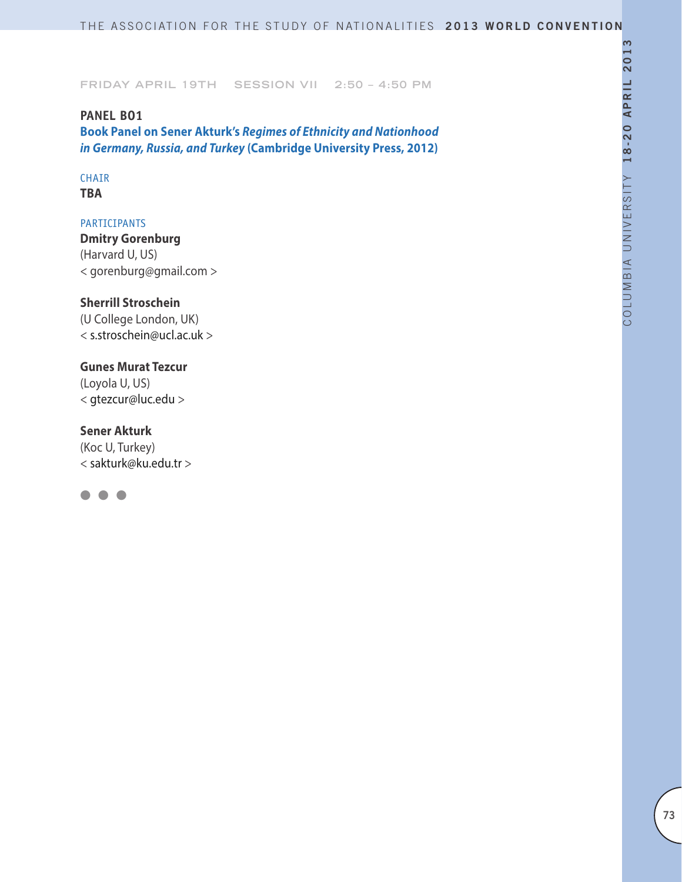**Friday April 19th Session VII 2:50 – 4:50 PM**

## **PANEL BO1**

**Book Panel on Sener Akturk's** *Regimes of Ethnicity and Nationhood in Germany, Russia, and Turkey* **(Cambridge University Press, 2012)**

# CHAIR

**TBA**

## PARTICIPANTS

**Dmitry Gorenburg**  (Harvard U, US) < gorenburg@gmail.com >

## **Sherrill Stroschein**

(U College London, UK) < s.stroschein@ucl.ac.uk >

## **Gunes Murat Tezcur**

(Loyola U, US) < gtezcur@luc.edu >

## **Sener Akturk**

(Koc U, Turkey) < sakturk@ku.edu.tr >

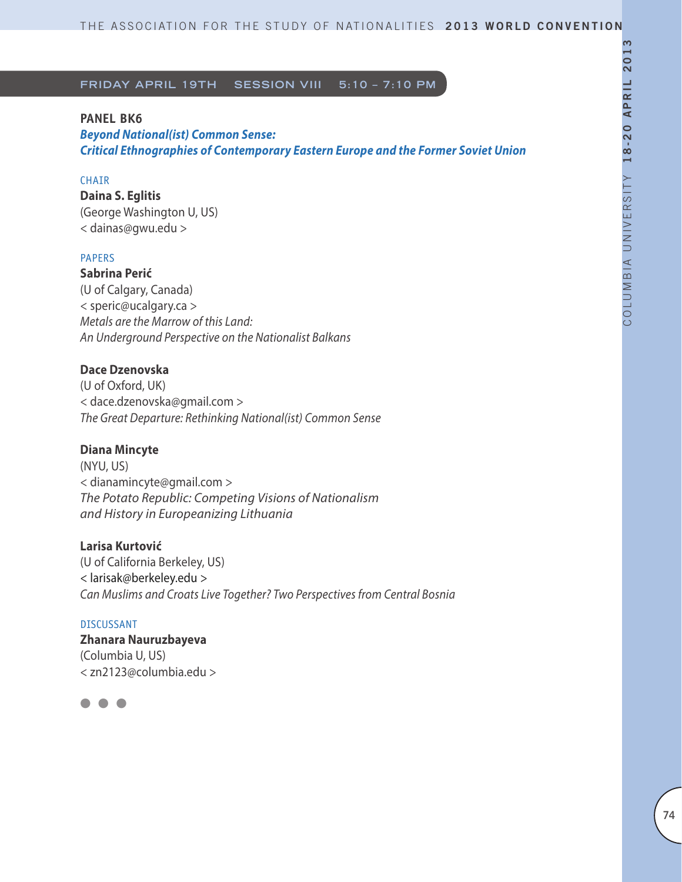## **PANEL BK6**

*Beyond National(ist) Common Sense: Critical Ethnographies of Contemporary Eastern Europe and the Former Soviet Union*

## **CHAIR**

**Daina S. Eglitis** (George Washington U, US) < dainas@gwu.edu >

#### PAPERS

**Sabrina Perić** (U of Calgary, Canada) < speric@ucalgary.ca > *Metals are the Marrow of this Land: An Underground Perspective on the Nationalist Balkans*

## **Dace Dzenovska**

(U of Oxford, UK) < dace.dzenovska@gmail.com > *The Great Departure: Rethinking National(ist) Common Sense* 

### **Diana Mincyte**

(NYU, US) < dianamincyte@gmail.com > *The Potato Republic: Competing Visions of Nationalism and History in Europeanizing Lithuania* 

### **Larisa Kurtović**

(U of California Berkeley, US) < larisak@berkeley.edu > *Can Muslims and Croats Live Together? Two Perspectives from Central Bosnia* 

## DISCUSSANT

**Zhanara Nauruzbayeva** (Columbia U, US) < zn2123@columbia.edu >

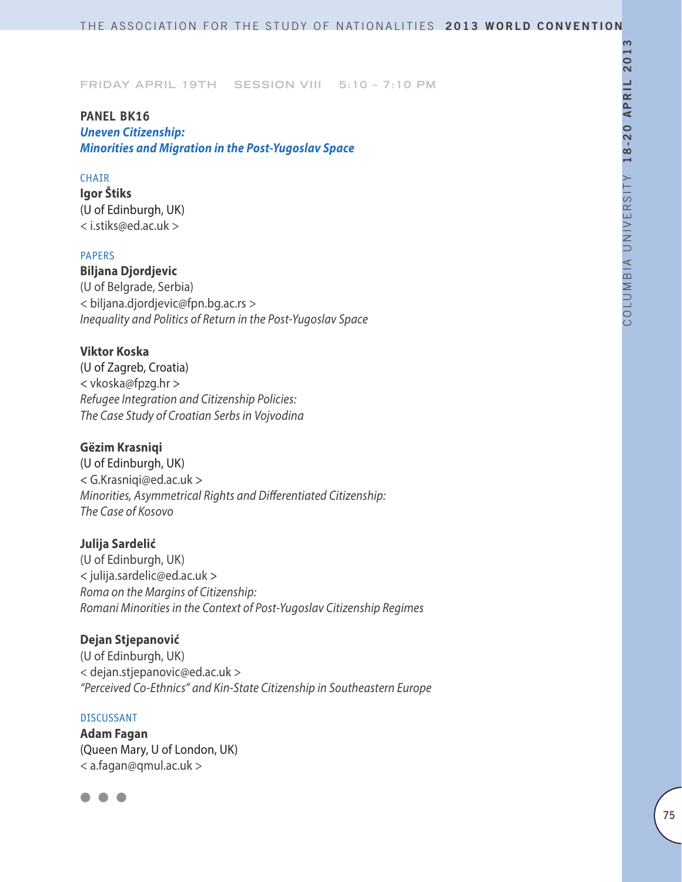## **PANEL BK16**  *Uneven Citizenship: Minorities and Migration in the Post-Yugoslav Space*

### **CHAIR**

**Igor Štiks** (U of Edinburgh, UK) < i.stiks@ed.ac.uk >

### PAPERS

**Biljana Djordjevic** (U of Belgrade, Serbia) < biljana.djordjevic@fpn.bg.ac.rs > *Inequality and Politics of Return in the Post-Yugoslav Space*

### **Viktor Koska**

(U of Zagreb, Croatia) < vkoska@fpzg.hr > *Refugee Integration and Citizenship Policies: The Case Study of Croatian Serbs in Vojvodina*

## **Gëzim Krasniqi**

(U of Edinburgh, UK) < G.Krasniqi@ed.ac.uk > *Minorities, Asymmetrical Rights and Differentiated Citizenship: The Case of Kosovo*

### **Julija Sardelić**

(U of Edinburgh, UK) < julija.sardelic@ed.ac.uk > *Roma on the Margins of Citizenship: Romani Minorities in the Context of Post-Yugoslav Citizenship Regimes*

### **Dejan Stjepanović**

(U of Edinburgh, UK) < dejan.stjepanovic@ed.ac.uk > *"Perceived Co-Ethnics" and Kin-State Citizenship in Southeastern Europe*

#### DISCUSSANT

**Adam Fagan** (Queen Mary, U of London, UK) < a.fagan@qmul.ac.uk >

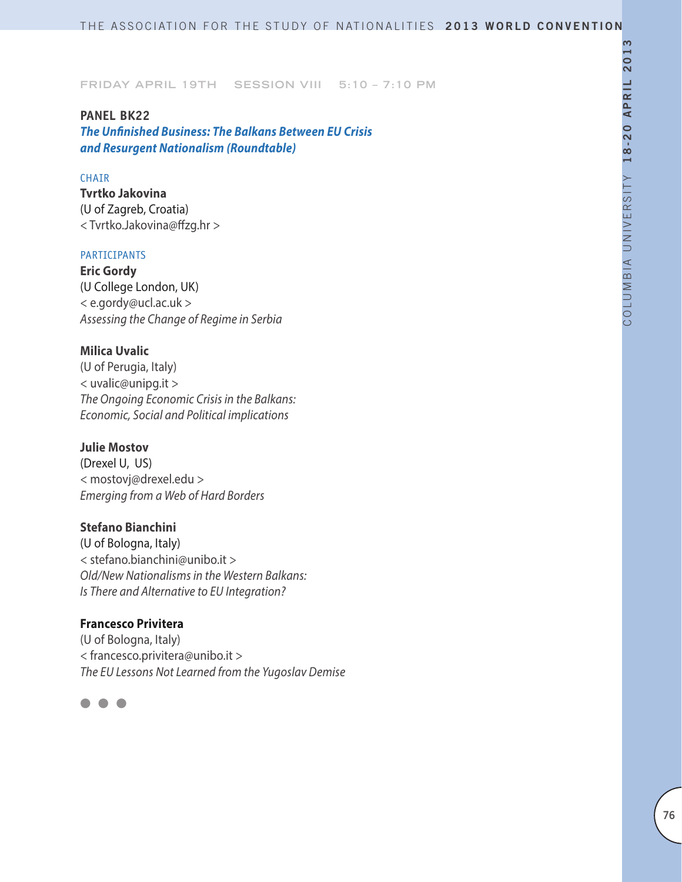**PANEL BK22** *The Unfinished Business: The Balkans Between EU Crisis and Resurgent Nationalism (Roundtable)*

### CHAIR

**Tvrtko Jakovina** (U of Zagreb, Croatia) < Tvrtko.Jakovina@ffzg.hr >

#### PARTICIPANTS

**Eric Gordy** (U College London, UK) < e.gordy@ucl.ac.uk > *Assessing the Change of Regime in Serbia*

### **Milica Uvalic**

(U of Perugia, Italy) < uvalic@unipg.it > *The Ongoing Economic Crisis in the Balkans: Economic, Social and Political implications*

## **Julie Mostov**

(Drexel U, US) < mostovj@drexel.edu > *Emerging from a Web of Hard Borders*

### **Stefano Bianchini**

(U of Bologna, Italy) < stefano.bianchini@unibo.it > *Old/New Nationalisms in the Western Balkans: Is There and Alternative to EU Integration?*

## **Francesco Privitera**

(U of Bologna, Italy) < francesco.privitera@unibo.it > *The EU Lessons Not Learned from the Yugoslav Demise*

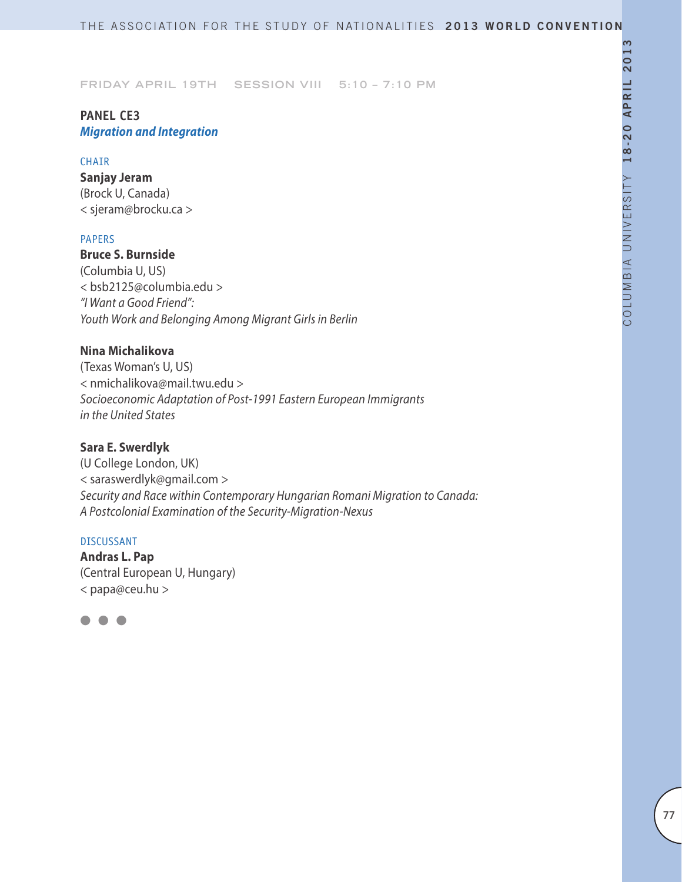## **PANEL CE3** *Migration and Integration*

#### **CHAIR**

**Sanjay Jeram** (Brock U, Canada) < sjeram@brocku.ca >

## PAPERS

## **Bruce S. Burnside**

(Columbia U, US) < bsb2125@columbia.edu > *"I Want a Good Friend": Youth Work and Belonging Among Migrant Girls in Berlin*

## **Nina Michalikova**

(Texas Woman's U, US) < nmichalikova@mail.twu.edu > *Socioeconomic Adaptation of Post-1991 Eastern European Immigrants in the United States*

## **Sara E. Swerdlyk**

(U College London, UK) < saraswerdlyk@gmail.com > *Security and Race within Contemporary Hungarian Romani Migration to Canada: A Postcolonial Examination of the Security-Migration-Nexus*

#### DISCUSSANT

**Andras L. Pap** (Central European U, Hungary) < papa@ceu.hu >

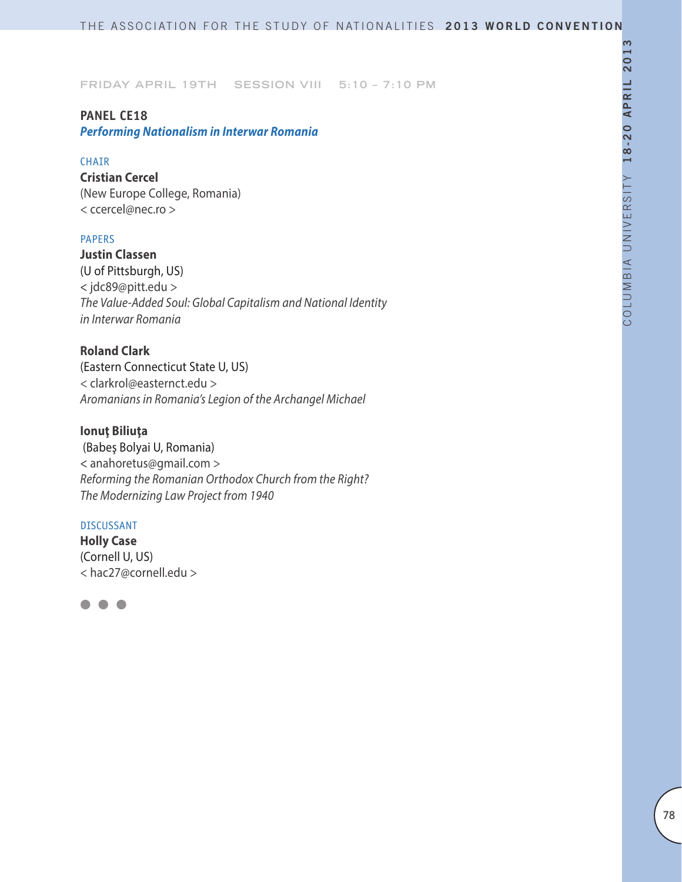# **PANEL CE18**

## *Performing Nationalism in Interwar Romania*

#### **CHAIR**

**Cristian Cercel** (New Europe College, Romania) < ccercel@nec.ro >

### PAPERS

**Justin Classen** (U of Pittsburgh, US) < jdc89@pitt.edu > *The Value-Added Soul: Global Capitalism and National Identity in Interwar Romania*

**Roland Clark** (Eastern Connecticut State U, US) < clarkrol@easternct.edu > *Aromanians in Romania's Legion of the Archangel Michael*

### **Ionuţ Biliuţa**

 (Babeş Bolyai U, Romania) < anahoretus@gmail.com > *Reforming the Romanian Orthodox Church from the Right? The Modernizing Law Project from 1940*

#### DISCUSSANT

**Holly Case** (Cornell U, US) < hac27@cornell.edu >

l l l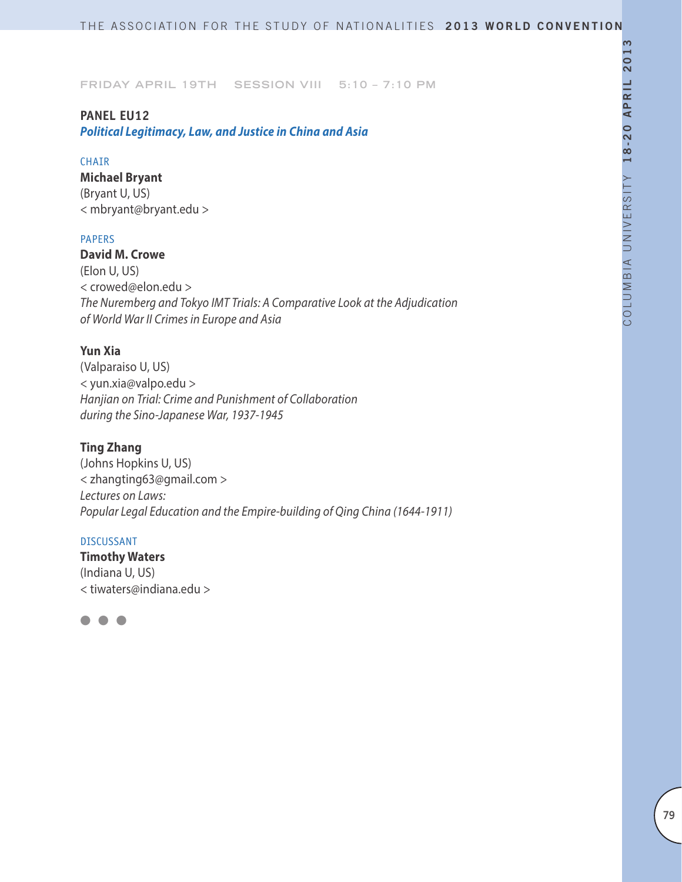## **PANEL EU12**

*Political Legitimacy, Law, and Justice in China and Asia*

### **CHAIR**

**Michael Bryant** (Bryant U, US) < mbryant@bryant.edu >

### PAPERS

**David M. Crowe** (Elon U, US) < crowed@elon.edu > *The Nuremberg and Tokyo IMT Trials: A Comparative Look at the Adjudication of World War II Crimes in Europe and Asia*

## **Yun Xia**

(Valparaiso U, US) < yun.xia@valpo.edu > *Hanjian on Trial: Crime and Punishment of Collaboration during the Sino-Japanese War, 1937-1945*

## **Ting Zhang**

(Johns Hopkins U, US) < zhangting63@gmail.com > *Lectures on Laws: Popular Legal Education and the Empire-building of Qing China (1644-1911)*

### DISCUSSANT

**Timothy Waters** (Indiana U, US) < tiwaters@indiana.edu >

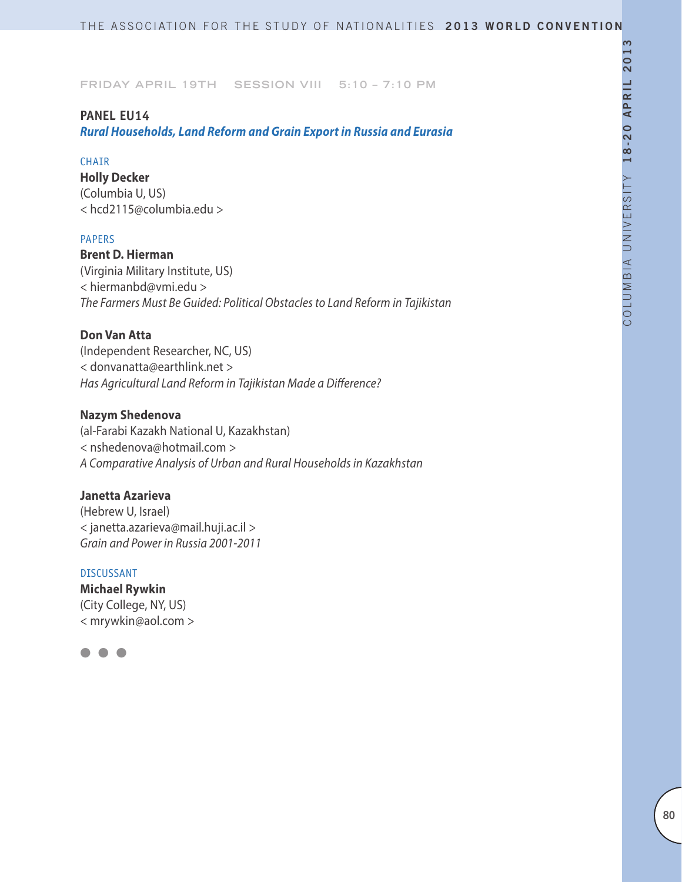### **PANEL EU14**

*Rural Households, Land Reform and Grain Export in Russia and Eurasia*

#### **CHAIR**

**Holly Decker** (Columbia U, US) < hcd2115@columbia.edu >

### PAPERS

**Brent D. Hierman** (Virginia Military Institute, US) < hiermanbd@vmi.edu > *The Farmers Must Be Guided: Political Obstacles to Land Reform in Tajikistan*

### **Don Van Atta**

(Independent Researcher, NC, US) < donvanatta@earthlink.net > *Has Agricultural Land Reform in Tajikistan Made a Difference?*

### **Nazym Shedenova**

(al-Farabi Kazakh National U, Kazakhstan) < nshedenova@hotmail.com > *A Comparative Analysis of Urban and Rural Households in Kazakhstan*

## **Janetta Azarieva**

(Hebrew U, Israel) < janetta.azarieva@mail.huji.ac.il > *Grain and Power in Russia 2001-2011*

#### DISCUSSANT

**Michael Rywkin** (City College, NY, US) < mrywkin@aol.com >

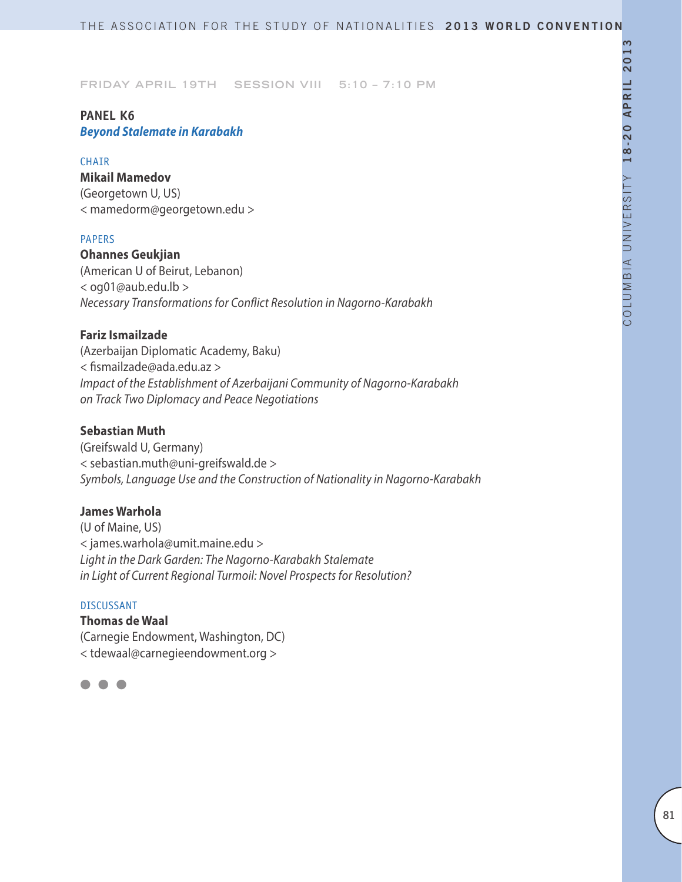## **PANEL K6** *Beyond Stalemate in Karabakh*

#### **CHAIR**

**Mikail Mamedov** (Georgetown U, US) < mamedorm@georgetown.edu >

#### PAPERS

**Ohannes Geukjian** (American U of Beirut, Lebanon) < og01@aub.edu.lb > *Necessary Transformations for Conflict Resolution in Nagorno-Karabakh*

## **Fariz Ismailzade**

(Azerbaijan Diplomatic Academy, Baku) < fismailzade@ada.edu.az > *Impact of the Establishment of Azerbaijani Community of Nagorno-Karabakh on Track Two Diplomacy and Peace Negotiations*

## **Sebastian Muth**

(Greifswald U, Germany) < sebastian.muth@uni-greifswald.de > *Symbols, Language Use and the Construction of Nationality in Nagorno-Karabakh*

## **James Warhola**

(U of Maine, US) < james.warhola@umit.maine.edu > *Light in the Dark Garden: The Nagorno-Karabakh Stalemate in Light of Current Regional Turmoil: Novel Prospects for Resolution?*

#### DISCUSSANT

**Thomas de Waal** (Carnegie Endowment, Washington, DC) < tdewaal@carnegieendowment.org >

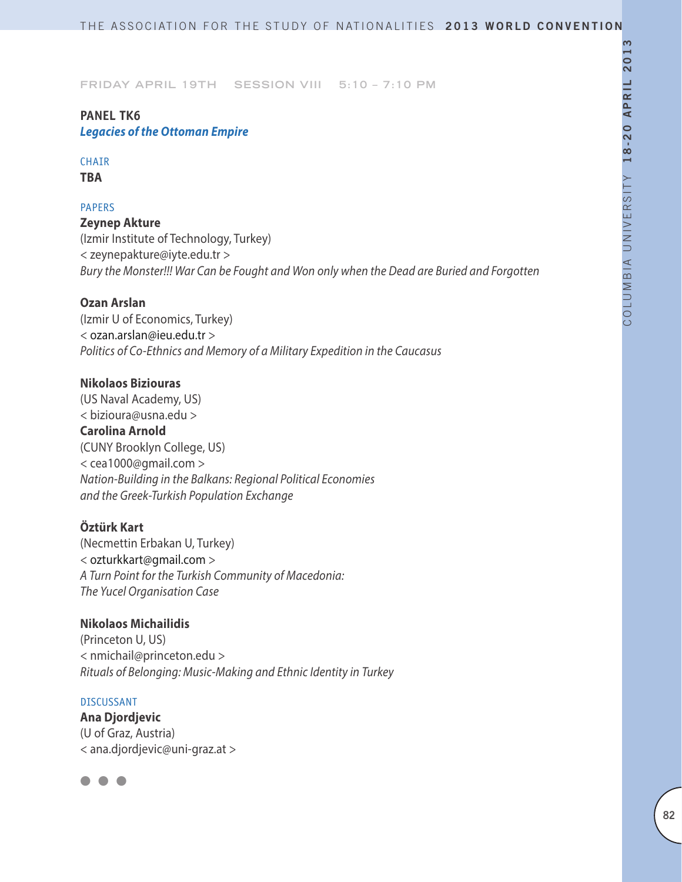## **PANEL TK6** *Legacies of the Ottoman Empire*

# CHAIR

**TBA**

## PAPERS

**Zeynep Akture**  (Izmir Institute of Technology, Turkey) < zeynepakture@iyte.edu.tr > *Bury the Monster!!! War Can be Fought and Won only when the Dead are Buried and Forgotten*

## **Ozan Arslan**

(Izmir U of Economics, Turkey) < ozan.arslan@ieu.edu.tr > *Politics of Co-Ethnics and Memory of a Military Expedition in the Caucasus*

## **Nikolaos Biziouras**

(US Naval Academy, US) < bizioura@usna.edu > **Carolina Arnold** (CUNY Brooklyn College, US) < cea1000@gmail.com > *Nation-Building in the Balkans: Regional Political Economies and the Greek-Turkish Population Exchange*

## **Öztürk Kart**

(Necmettin Erbakan U, Turkey) < ozturkkart@gmail.com > *A Turn Point for the Turkish Community of Macedonia: The Yucel Organisation Case*

### **Nikolaos Michailidis**

(Princeton U, US) < nmichail@princeton.edu > *Rituals of Belonging: Music-Making and Ethnic Identity in Turkey* 

### DISCUSSANT

**Ana Djordjevic** (U of Graz, Austria) < ana.djordjevic@uni-graz.at >

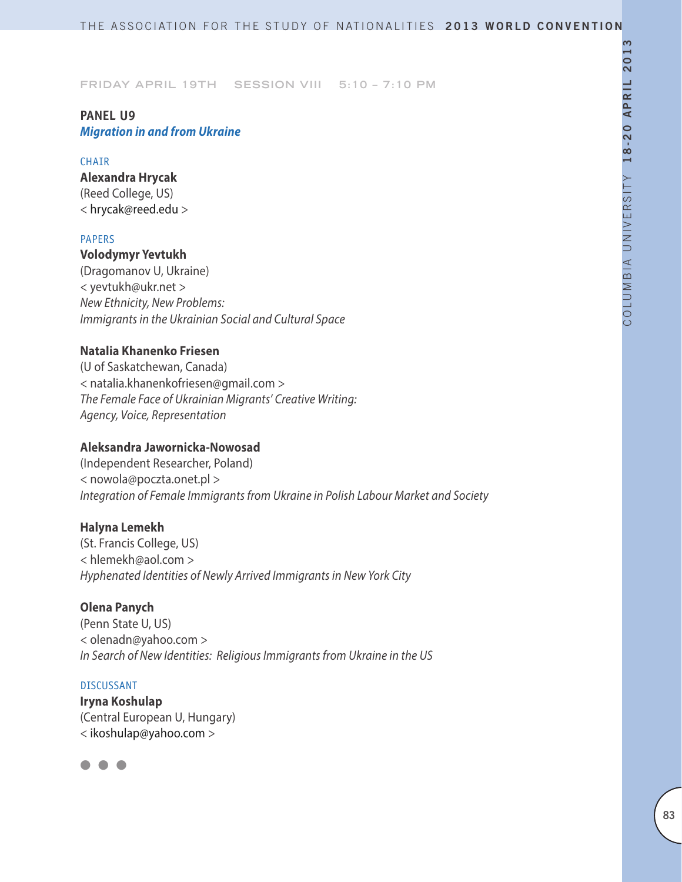## **PANEL U9** *Migration in and from Ukraine*

### **CHAIR**

**Alexandra Hrycak** (Reed College, US) < hrycak@reed.edu >

### PAPERS

## **Volodymyr Yevtukh**

(Dragomanov U, Ukraine) < yevtukh@ukr.net > *New Ethnicity, New Problems: Immigrants in the Ukrainian Social and Cultural Space*

## **Natalia Khanenko Friesen**

(U of Saskatchewan, Canada) < natalia.khanenkofriesen@gmail.com > *The Female Face of Ukrainian Migrants' Creative Writing: Agency, Voice, Representation*

## **Aleksandra Jawornicka-Nowosad**

(Independent Researcher, Poland) < nowola@poczta.onet.pl > *Integration of Female Immigrants from Ukraine in Polish Labour Market and Society*

## **Halyna Lemekh**

(St. Francis College, US) < hlemekh@aol.com > *Hyphenated Identities of Newly Arrived Immigrants in New York City*

### **Olena Panych**

(Penn State U, US) < olenadn@yahoo.com > *In Search of New Identities: Religious Immigrants from Ukraine in the US*

#### DISCUSSANT

**Iryna Koshulap** (Central European U, Hungary) < ikoshulap@yahoo.com >

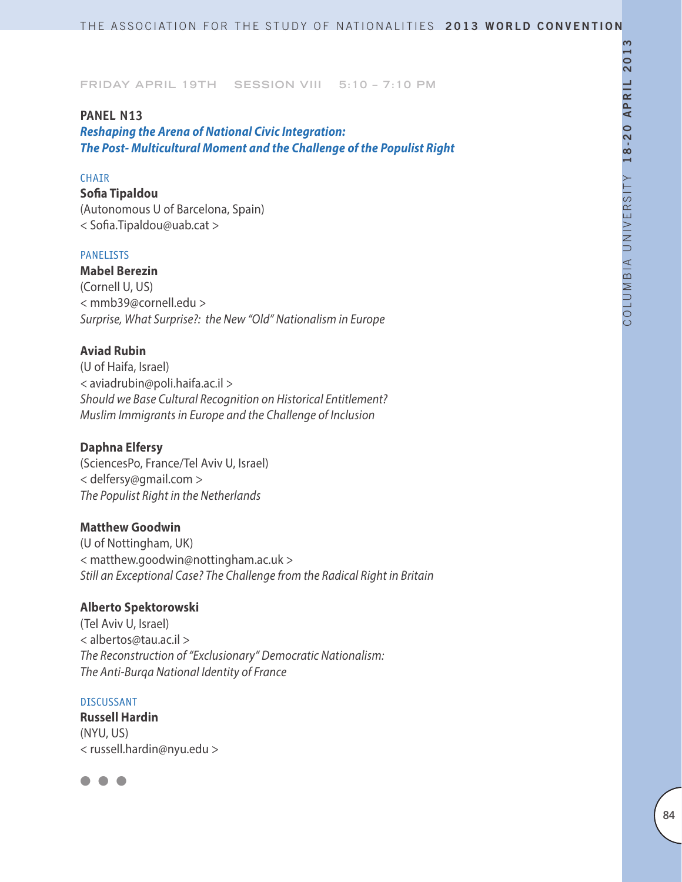### **PANEL N13**

*Reshaping the Arena of National Civic Integration: The Post- Multicultural Moment and the Challenge of the Populist Right* 

## CHAIR

**Sofia Tipaldou** (Autonomous U of Barcelona, Spain) < Sofia.Tipaldou@uab.cat >

#### **PANELISTS**

**Mabel Berezin** (Cornell U, US) < mmb39@cornell.edu > *Surprise, What Surprise?: the New "Old" Nationalism in Europe*

## **Aviad Rubin**

(U of Haifa, Israel) *<* aviadrubin@poli.haifa.ac.il *> Should we Base Cultural Recognition on Historical Entitlement? Muslim Immigrants in Europe and the Challenge of Inclusion*

### **Daphna Elfersy**

(SciencesPo, France/Tel Aviv U, Israel) < delfersy@gmail.com > *The Populist Right in the Netherlands*

### **Matthew Goodwin**

(U of Nottingham, UK) < matthew.goodwin@nottingham.ac.uk > *Still an Exceptional Case? The Challenge from the Radical Right in Britain*

## **Alberto Spektorowski**

(Tel Aviv U, Israel) < albertos@tau.ac.il > *The Reconstruction of "Exclusionary" Democratic Nationalism: The Anti-Burqa National Identity of France*

#### DISCUSSANT

**Russell Hardin** (NYU, US) < russell.hardin@nyu.edu >

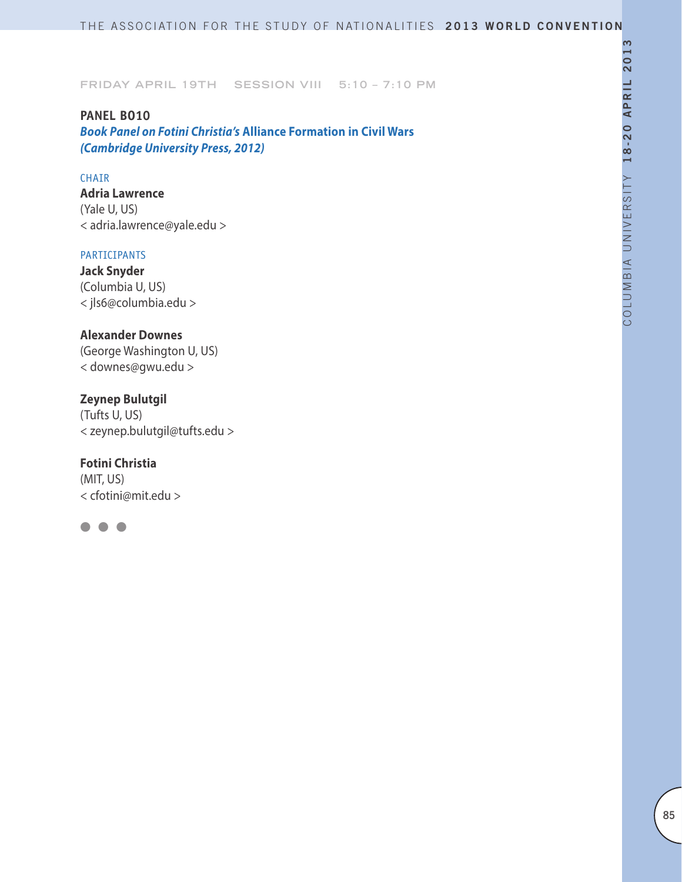**PANEL BO10** *Book Panel on Fotini Christia's* **Alliance Formation in Civil Wars**  *(Cambridge University Press, 2012)*

## CHAIR

**Adria Lawrence** (Yale U, US) < adria.lawrence@yale.edu >

#### PARTICIPANTS

**Jack Snyder** (Columbia U, US) < jls6@columbia.edu >

### **Alexander Downes**

(George Washington U, US) < downes@gwu.edu >

## **Zeynep Bulutgil**

(Tufts U, US) < zeynep.bulutgil@tufts.edu >

### **Fotini Christia**

(MIT, US) < cfotini@mit.edu >

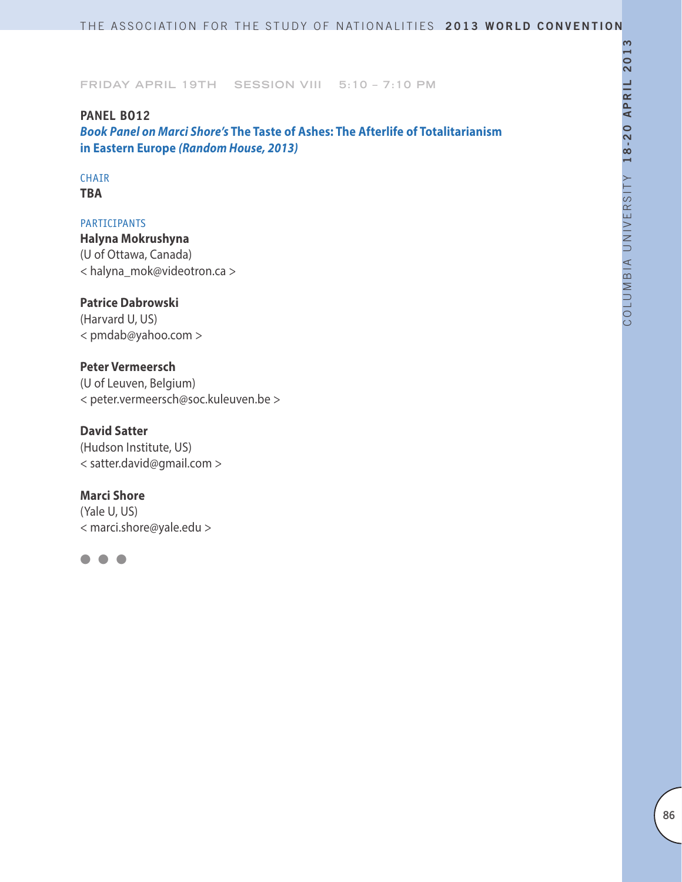**PANEL BO12** *Book Panel on Marci Shore's* **The Taste of Ashes: The Afterlife of Totalitarianism in Eastern Europe** *(Random House, 2013)*

### CHAIR **TBA**

PARTICIPANTS **Halyna Mokrushyna** (U of Ottawa, Canada) < halyna\_mok@videotron.ca >

## **Patrice Dabrowski**

(Harvard U, US) < pmdab@yahoo.com >

## **Peter Vermeersch**

(U of Leuven, Belgium) < peter.vermeersch@soc.kuleuven.be >

## **David Satter**

(Hudson Institute, US) < satter.david@gmail.com >

### **Marci Shore**

(Yale U, US) < marci.shore@yale.edu >

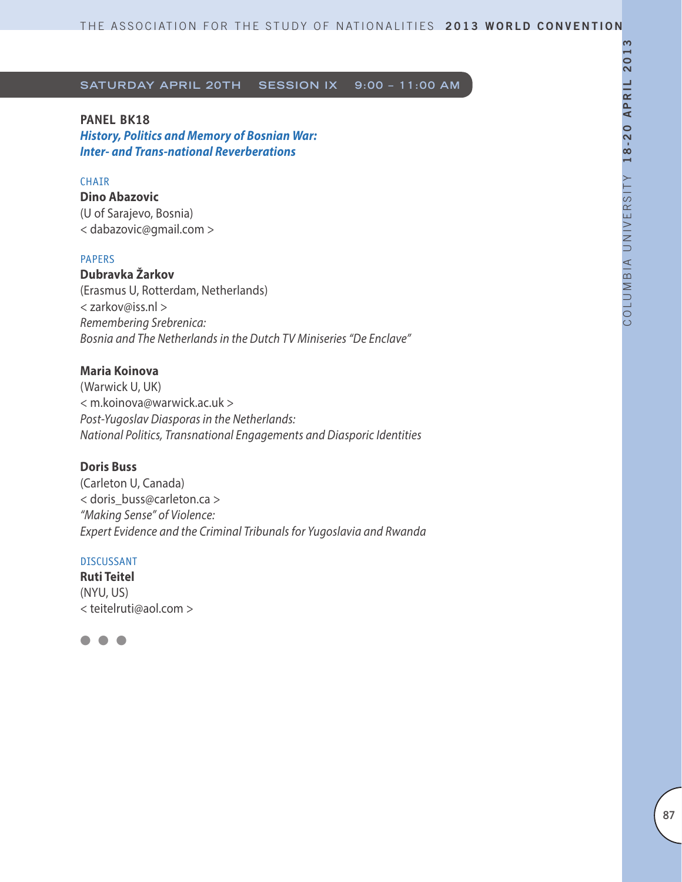### **PANEL BK18**

*History, Politics and Memory of Bosnian War: Inter- and Trans-national Reverberations*

## **CHATR**

**Dino Abazovic** (U of Sarajevo, Bosnia) < dabazovic@gmail.com >

#### PAPERS

**Dubravka Žarkov** (Erasmus U, Rotterdam, Netherlands) < zarkov@iss.nl > *Remembering Srebrenica: Bosnia and The Netherlands in the Dutch TV Miniseries "De Enclave"* 

## **Maria Koinova**

(Warwick U, UK) < m.koinova@warwick.ac.uk > *Post-Yugoslav Diasporas in the Netherlands: National Politics, Transnational Engagements and Diasporic Identities*

#### **Doris Buss**

(Carleton U, Canada) < doris\_buss@carleton.ca > *"Making Sense" of Violence: Expert Evidence and the Criminal Tribunals for Yugoslavia and Rwanda*

#### DISCUSSANT

**Ruti Teitel** (NYU, US) < teitelruti@aol.com >

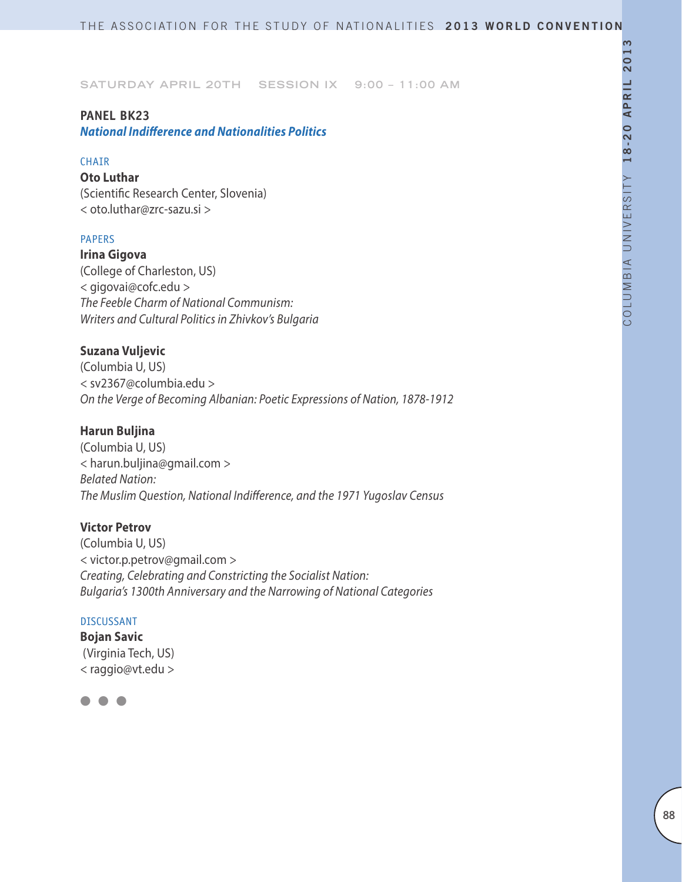### **Panel BK23**

*National Indifference and Nationalities Politics* 

#### **CHAIR**

**Oto Luthar** (Scientific Research Center, Slovenia) < oto.luthar@zrc-sazu.si >

### PAPERS

**Irina Gigova** (College of Charleston, US) < gigovai@cofc.edu > *The Feeble Charm of National Communism: Writers and Cultural Politics in Zhivkov's Bulgaria*

## **Suzana Vuljevic**

(Columbia U, US) < sv2367@columbia.edu > *On the Verge of Becoming Albanian: Poetic Expressions of Nation, 1878-1912* 

## **Harun Buljina**

(Columbia U, US) < harun.buljina@gmail.com > *Belated Nation: The Muslim Question, National Indifference, and the 1971 Yugoslav Census*

### **Victor Petrov**

(Columbia U, US) < victor.p.petrov@gmail.com > *Creating, Celebrating and Constricting the Socialist Nation: Bulgaria's 1300th Anniversary and the Narrowing of National Categories*

#### DISCUSSANT

**Bojan Savic** (Virginia Tech, US) < raggio@vt.edu >

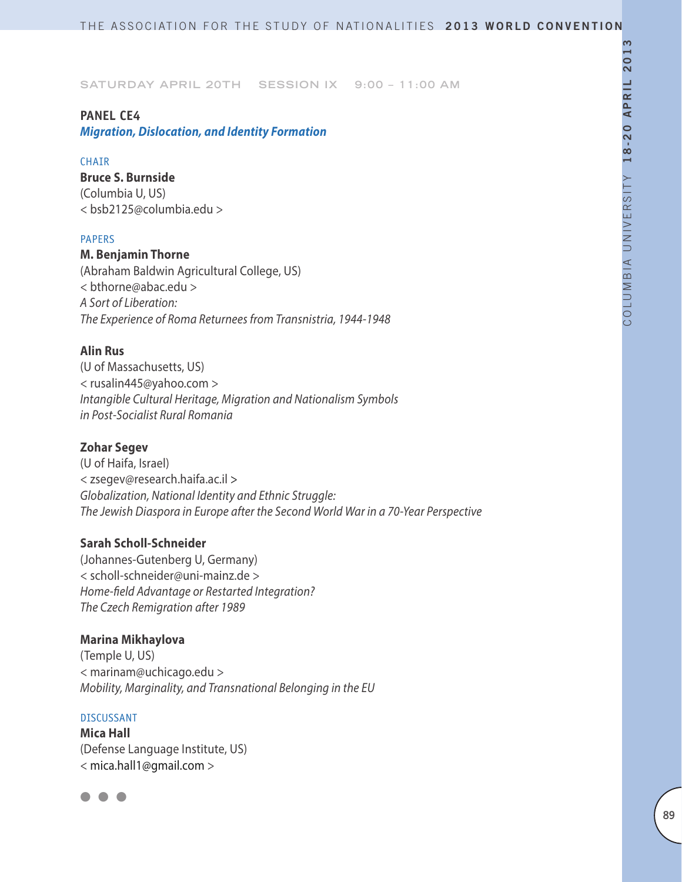### **PANEL CE4**

*Migration, Dislocation, and Identity Formation*

### **CHAIR**

**Bruce S. Burnside** (Columbia U, US) < bsb2125@columbia.edu >

### PAPERS

### **M. Benjamin Thorne**

(Abraham Baldwin Agricultural College, US) < bthorne@abac.edu > *A Sort of Liberation: The Experience of Roma Returnees from Transnistria, 1944-1948*

## **Alin Rus**

(U of Massachusetts, US) < rusalin445@yahoo.com > *Intangible Cultural Heritage, Migration and Nationalism Symbols in Post-Socialist Rural Romania* 

## **Zohar Segev**

(U of Haifa, Israel) < zsegev@research.haifa.ac.il > *Globalization, National Identity and Ethnic Struggle: The Jewish Diaspora in Europe after the Second World War in a 70-Year Perspective*

### **Sarah Scholl-Schneider**

(Johannes-Gutenberg U, Germany) < scholl-schneider@uni-mainz.de > *Home-field Advantage or Restarted Integration? The Czech Remigration after 1989*

### **Marina Mikhaylova**

(Temple U, US) < marinam@uchicago.edu > *Mobility, Marginality, and Transnational Belonging in the EU*

## DISCUSSANT

**Mica Hall** (Defense Language Institute, US) < mica.hall1@gmail.com >

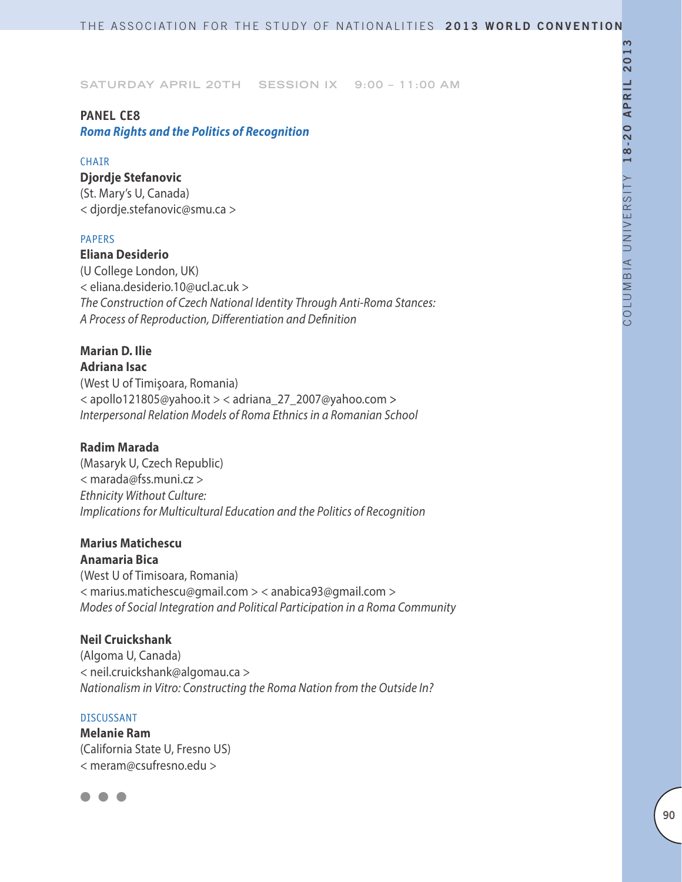### **PANEL CE8**

*Roma Rights and the Politics of Recognition*

### **CHAIR**

**Djordje Stefanovic** (St. Mary's U, Canada) < djordje.stefanovic@smu.ca >

### PAPERS

**Eliana Desiderio** (U College London, UK) < eliana.desiderio.10@ucl.ac.uk > *The Construction of Czech National Identity Through Anti-Roma Stances: A Process of Reproduction, Differentiation and Definition*

### **Marian D. Ilie Adriana Isac**

(West U of Timişoara, Romania) < apollo121805@yahoo.it > < adriana\_27\_2007@yahoo.com *> Interpersonal Relation Models of Roma Ethnics in a Romanian School*

## **Radim Marada**

(Masaryk U, Czech Republic) < marada@fss.muni.cz > *Ethnicity Without Culture: Implications for Multicultural Education and the Politics of Recognition*

## **Marius Matichescu**

**Anamaria Bica** (West U of Timisoara, Romania) < marius.matichescu@gmail.com > < anabica93@gmail.com > *Modes of Social Integration and Political Participation in a Roma Community* 

### **Neil Cruickshank**

(Algoma U, Canada) < neil.cruickshank@algomau.ca > *Nationalism in Vitro: Constructing the Roma Nation from the Outside In?*

### DISCUSSANT

**Melanie Ram** (California State U, Fresno US) < meram@csufresno.edu >

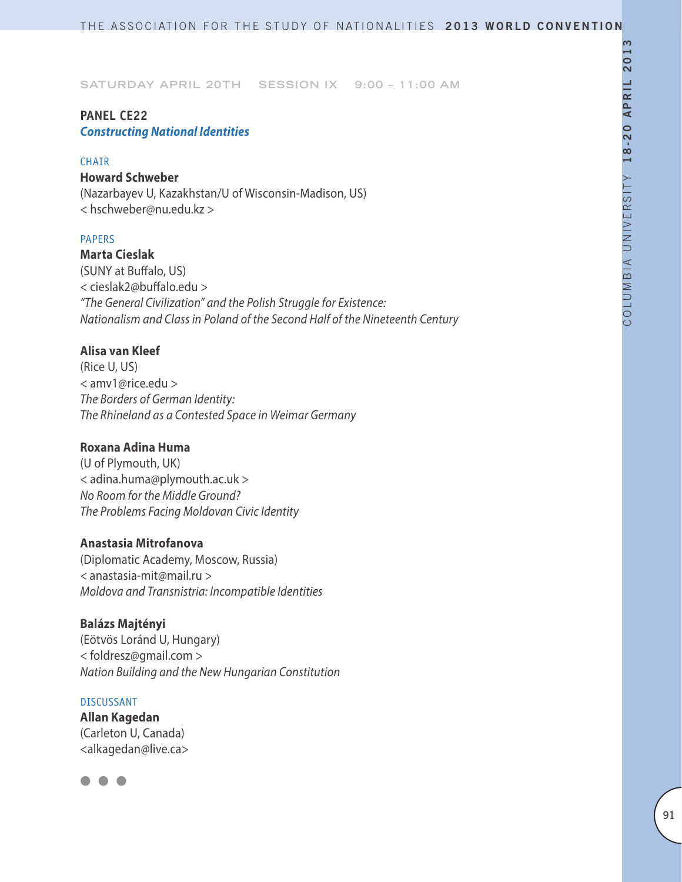## **PANEL CE22**  *Constructing National Identities*

#### **CHAIR**

## **Howard Schweber**

(Nazarbayev U, Kazakhstan/U of Wisconsin-Madison, US) < hschweber@nu.edu.kz >

### PAPERS

**Marta Cieslak** (SUNY at Buffalo, US) < cieslak2@buffalo.edu > *"The General Civilization" and the Polish Struggle for Existence: Nationalism and Class in Poland of the Second Half of the Nineteenth Century*

## **Alisa van Kleef**

(Rice U, US) < amv1@rice.edu > *The Borders of German Identity: The Rhineland as a Contested Space in Weimar Germany*

## **Roxana Adina Huma**

(U of Plymouth, UK) < adina.huma@plymouth.ac.uk > *No Room for the Middle Ground? The Problems Facing Moldovan Civic Identity*

### **Anastasia Mitrofanova**

(Diplomatic Academy, Moscow, Russia) *<* anastasia-mit@mail.ru > *Moldova and Transnistria: Incompatible Identities*

### **Balázs Majtényi**

(Eötvös Loránd U, Hungary) < foldresz@gmail.com > *Nation Building and the New Hungarian Constitution*

#### DISCUSSANT

**Allan Kagedan**  (Carleton U, Canada) <alkagedan@live.ca>

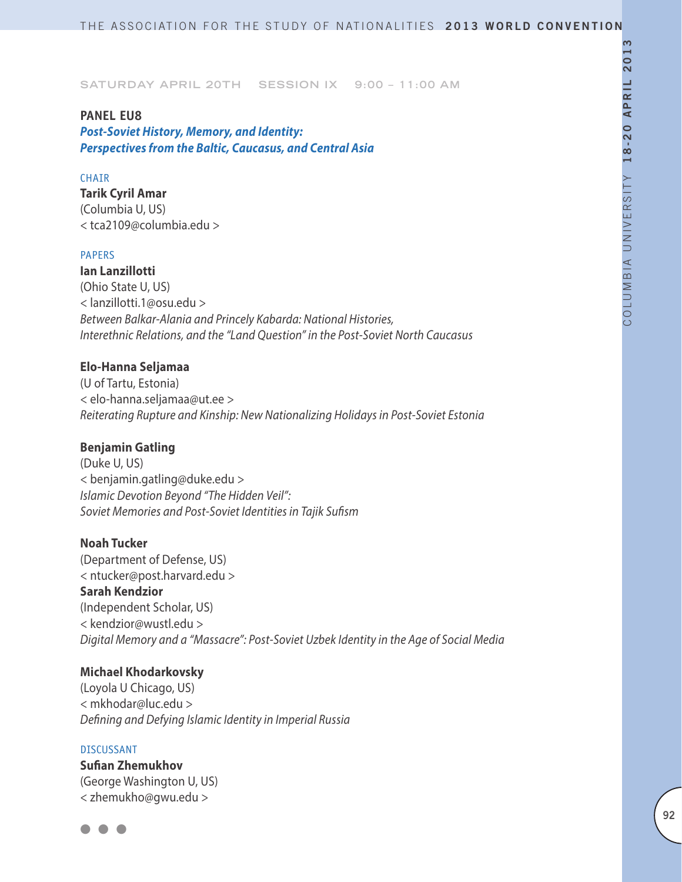#### **PANEL EU8**

*Post-Soviet History, Memory, and Identity: Perspectives from the Baltic, Caucasus, and Central Asia*

### **CHAIR**

**Tarik Cyril Amar**  (Columbia U, US) < tca2109@columbia.edu >

#### PAPERS

**Ian Lanzillotti** (Ohio State U, US) < lanzillotti.1@osu.edu > *Between Balkar-Alania and Princely Kabarda: National Histories, Interethnic Relations, and the "Land Question" in the Post-Soviet North Caucasus*

## **Elo-Hanna Seljamaa**

(U of Tartu, Estonia) < elo-hanna.seljamaa@ut.ee > *Reiterating Rupture and Kinship: New Nationalizing Holidays in Post-Soviet Estonia*

### **Benjamin Gatling**

(Duke U, US) < benjamin.gatling@duke.edu > *Islamic Devotion Beyond "The Hidden Veil": Soviet Memories and Post-Soviet Identities in Tajik Sufism*

#### **Noah Tucker**

(Department of Defense, US) < ntucker@post.harvard.edu > **Sarah Kendzior** (Independent Scholar, US) < kendzior@wustl.edu > *Digital Memory and a "Massacre": Post-Soviet Uzbek Identity in the Age of Social Media*

#### **Michael Khodarkovsky**

(Loyola U Chicago, US) < mkhodar@luc.edu > *Defining and Defying Islamic Identity in Imperial Russia*

#### DISCUSSANT

**Sufian Zhemukhov** (George Washington U, US) < zhemukho@gwu.edu >

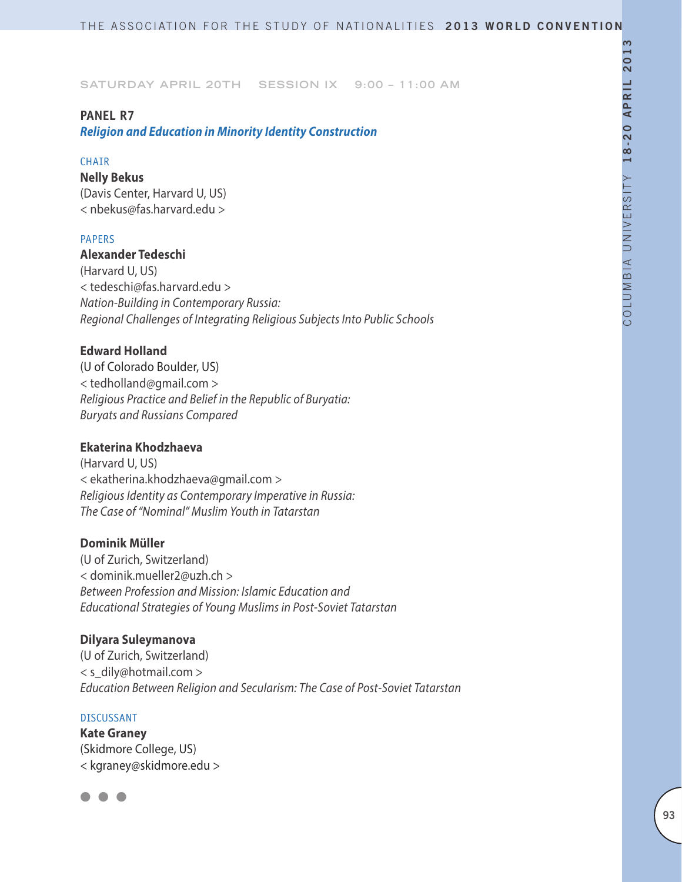### **PANEL R7**

*Religion and Education in Minority Identity Construction*

#### **CHAIR**

**Nelly Bekus** (Davis Center, Harvard U, US) < nbekus@fas.harvard.edu >

### PAPERS

## **Alexander Tedeschi**

(Harvard U, US) < tedeschi@fas.harvard.edu > *Nation-Building in Contemporary Russia: Regional Challenges of Integrating Religious Subjects Into Public Schools*

## **Edward Holland**

(U of Colorado Boulder, US) < tedholland@gmail.com > *Religious Practice and Belief in the Republic of Buryatia: Buryats and Russians Compared*

## **Ekaterina Khodzhaeva**

(Harvard U, US) < ekatherina.khodzhaeva@gmail.com > *Religious Identity as Contemporary Imperative in Russia: The Case of "Nominal" Muslim Youth in Tatarstan*

### **Dominik Müller**

(U of Zurich, Switzerland) < dominik.mueller2@uzh.ch > *Between Profession and Mission: Islamic Education and Educational Strategies of Young Muslims in Post-Soviet Tatarstan*

### **Dilyara Suleymanova**

(U of Zurich, Switzerland) < s\_dily@hotmail.com > *Education Between Religion and Secularism: The Case of Post-Soviet Tatarstan*

#### DISCUSSANT

**Kate Graney** (Skidmore College, US) < kgraney@skidmore.edu >

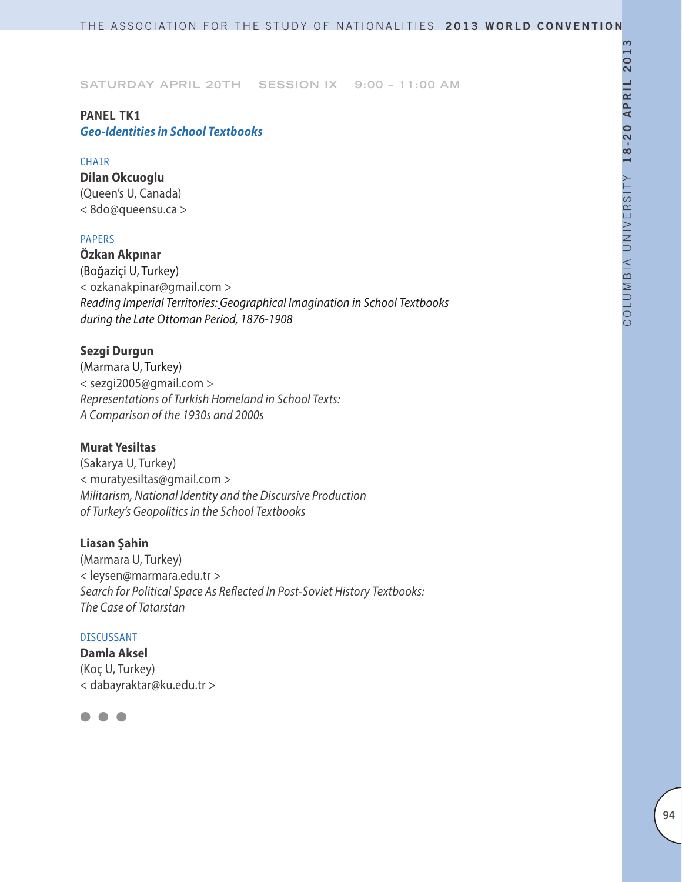## **PANEL TK1** *Geo-Identities in School Textbooks*

### **CHAIR**

**Dilan Okcuoglu** (Queen's U, Canada) < 8do@queensu.ca >

## PAPERS

**Özkan Akpınar** (Boğaziçi U, Turkey) < ozkanakpinar@gmail.com > *Reading Imperial Territories: Geographical Imagination in School Textbooks during the Late Ottoman Period, 1876-1908*

## **Sezgi Durgun**

(Marmara U, Turkey) < sezgi2005@gmail.com > *Representations of Turkish Homeland in School Texts: A Comparison of the 1930s and 2000s*

## **Murat Yesiltas**

(Sakarya U, Turkey) < muratyesiltas@gmail.com > *Militarism, National Identity and the Discursive Production of Turkey's Geopolitics in the School Textbooks*

### **Liasan Şahin**

(Marmara U, Turkey) < leysen@marmara.edu.tr > *Search for Political Space As Reflected In Post-Soviet History Textbooks: The Case of Tatarstan*

## DISCUSSANT

**Damla Aksel** (Koç U, Turkey) < dabayraktar@ku.edu.tr >

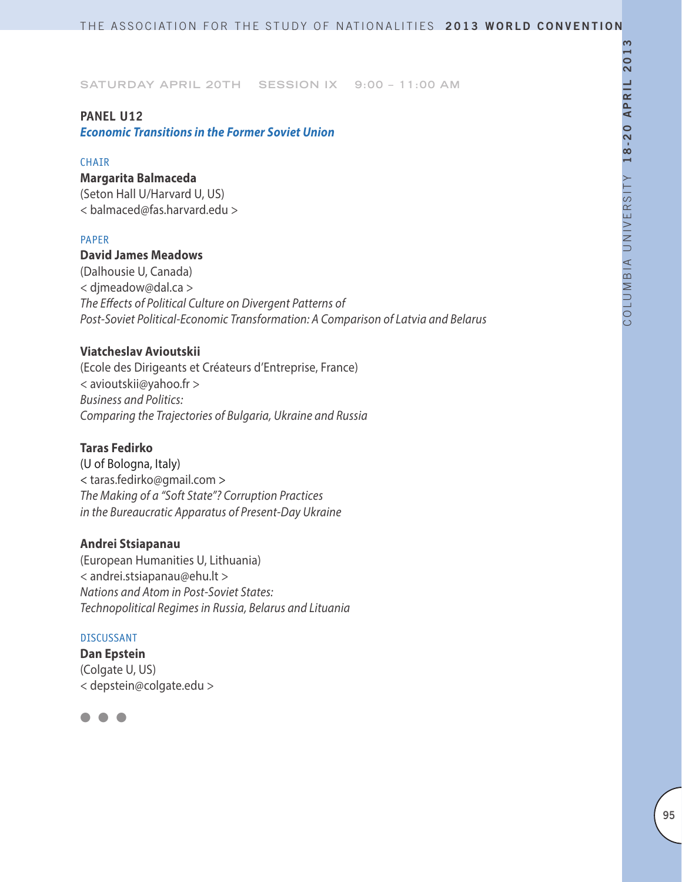## **PANEL U12**

*Economic Transitions in the Former Soviet Union*

### **CHATR**

## **Margarita Balmaceda**

(Seton Hall U/Harvard U, US) < balmaced@fas.harvard.edu >

### PAPER

## **David James Meadows**

(Dalhousie U, Canada) < djmeadow@dal.ca > *The Effects of Political Culture on Divergent Patterns of Post-Soviet Political-Economic Transformation: A Comparison of Latvia and Belarus*

## **Viatcheslav Avioutskii**

(Ecole des Dirigeants et Créateurs d'Entreprise, France) < avioutskii@yahoo.fr > *Business and Politics: Comparing the Trajectories of Bulgaria, Ukraine and Russia*

## **Taras Fedirko**

(U of Bologna, Italy) < taras.fedirko@gmail.com > *The Making of a "Soft State"? Corruption Practices in the Bureaucratic Apparatus of Present-Day Ukraine*

## **Andrei Stsiapanau**

(European Humanities U, Lithuania) < andrei.stsiapanau@ehu.lt > *Nations and Atom in Post-Soviet States: Technopolitical Regimes in Russia, Belarus and Lituania*

### DISCUSSANT

**Dan Epstein** (Colgate U, US) < depstein@colgate.edu >

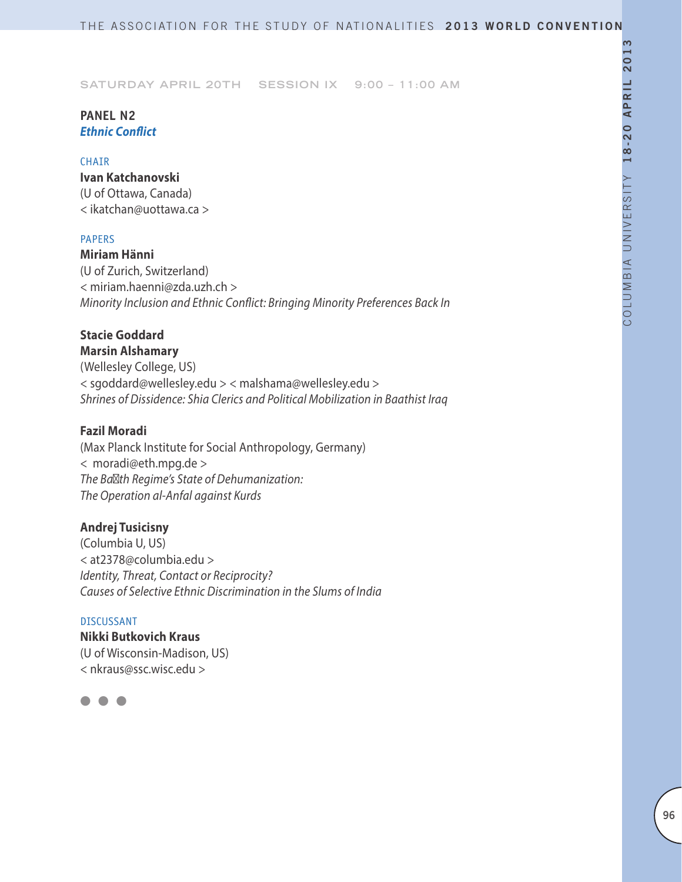## **PANEL N2** *Ethnic Conflict*

#### **CHAIR**

**Ivan Katchanovski** (U of Ottawa, Canada) < ikatchan@uottawa.ca >

### PAPERS

**Miriam Hänni** (U of Zurich, Switzerland) < miriam.haenni@zda.uzh.ch > *Minority Inclusion and Ethnic Conflict: Bringing Minority Preferences Back In*

# **Stacie Goddard**

**Marsin Alshamary** (Wellesley College, US) < sgoddard@wellesley.edu > < malshama@wellesley.edu > *Shrines of Dissidence: Shia Clerics and Political Mobilization in Baathist Iraq*

## **Fazil Moradi**

(Max Planck Institute for Social Anthropology, Germany) < moradi@eth.mpg.de > *The Baʿth Regime's State of Dehumanization: The Operation al-Anfal against Kurds*

## **Andrej Tusicisny**

(Columbia U, US) < at2378@columbia.edu > *Identity, Threat, Contact or Reciprocity? Causes of Selective Ethnic Discrimination in the Slums of India*

## DISCUSSANT

**Nikki Butkovich Kraus** (U of Wisconsin-Madison, US) < nkraus@ssc.wisc.edu >

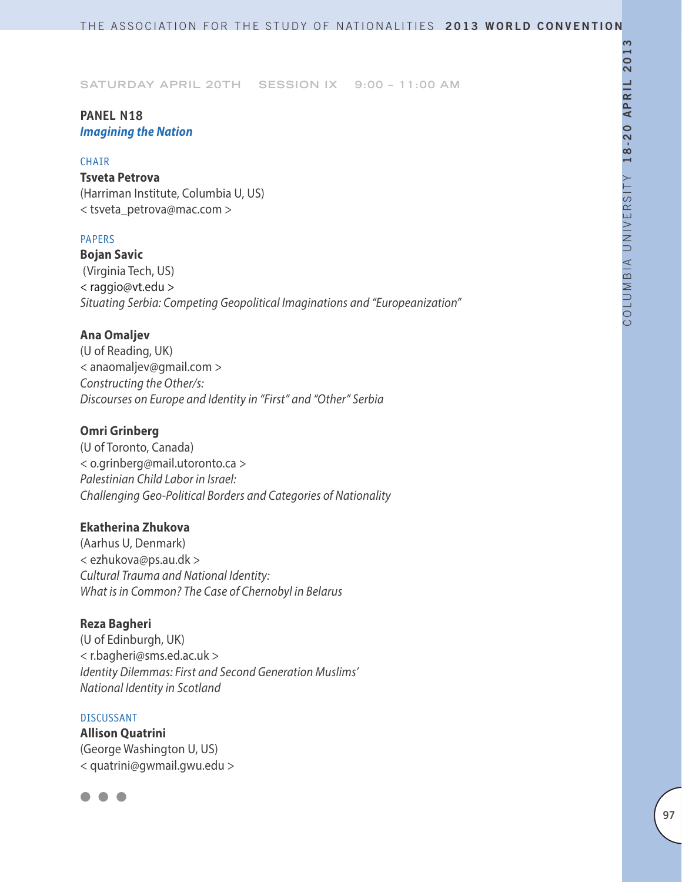## **PANEL N18** *Imagining the Nation*

### **CHAIR**

### **Tsveta Petrova**

(Harriman Institute, Columbia U, US) < tsveta\_petrova@mac.com >

## PAPERS

**Bojan Savic** (Virginia Tech, US) < raggio@vt.edu > *Situating Serbia: Competing Geopolitical Imaginations and "Europeanization"*

## **Ana Omaljev**

(U of Reading, UK) < anaomaljev@gmail.com > *Constructing the Other/s: Discourses on Europe and Identity in "First" and "Other" Serbia*

### **Omri Grinberg**

(U of Toronto, Canada) < o.grinberg@mail.utoronto.ca > *Palestinian Child Labor in Israel: Challenging Geo-Political Borders and Categories of Nationality*

### **Ekatherina Zhukova**

(Aarhus U, Denmark) < ezhukova@ps.au.dk > *Cultural Trauma and National Identity: What is in Common? The Case of Chernobyl in Belarus*

## **Reza Bagheri**

(U of Edinburgh, UK) < r.bagheri@sms.ed.ac.uk > *Identity Dilemmas: First and Second Generation Muslims' National Identity in Scotland*

#### DISCUSSANT

**Allison Quatrini** (George Washington U, US) < quatrini@gwmail.gwu.edu >

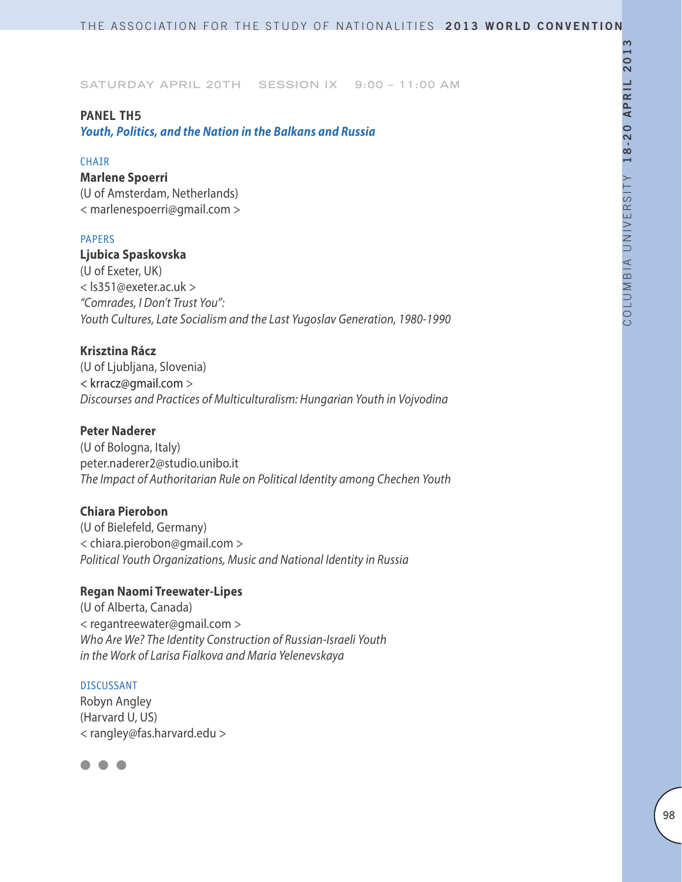### **PANEL TH5**

*Youth, Politics, and the Nation in the Balkans and Russia*

#### **CHAIR**

### **Marlene Spoerri**

(U of Amsterdam, Netherlands) < marlenespoerri@gmail.com >

### PAPERS

### **Ljubica Spaskovska**

(U of Exeter, UK) < ls351@exeter.ac.uk > *"Comrades, I Don't Trust You": Youth Cultures, Late Socialism and the Last Yugoslav Generation, 1980-1990*

## **Krisztina Rácz**

(U of Ljubljana, Slovenia) < krracz@gmail.com > *Discourses and Practices of Multiculturalism: Hungarian Youth in Vojvodina*

## **Peter Naderer**

(U of Bologna, Italy) peter.naderer2@studio.unibo.it *The Impact of Authoritarian Rule on Political Identity among Chechen Youth*

## **Chiara Pierobon**

(U of Bielefeld, Germany) < chiara.pierobon@gmail.com > *Political Youth Organizations, Music and National Identity in Russia*

## **Regan Naomi Treewater-Lipes**

(U of Alberta, Canada) < regantreewater@gmail.com > *Who Are We? The Identity Construction of Russian-Israeli Youth in the Work of Larisa Fialkova and Maria Yelenevskaya*

#### DISCUSSANT

Robyn Angley (Harvard U, US) < rangley@fas.harvard.edu >

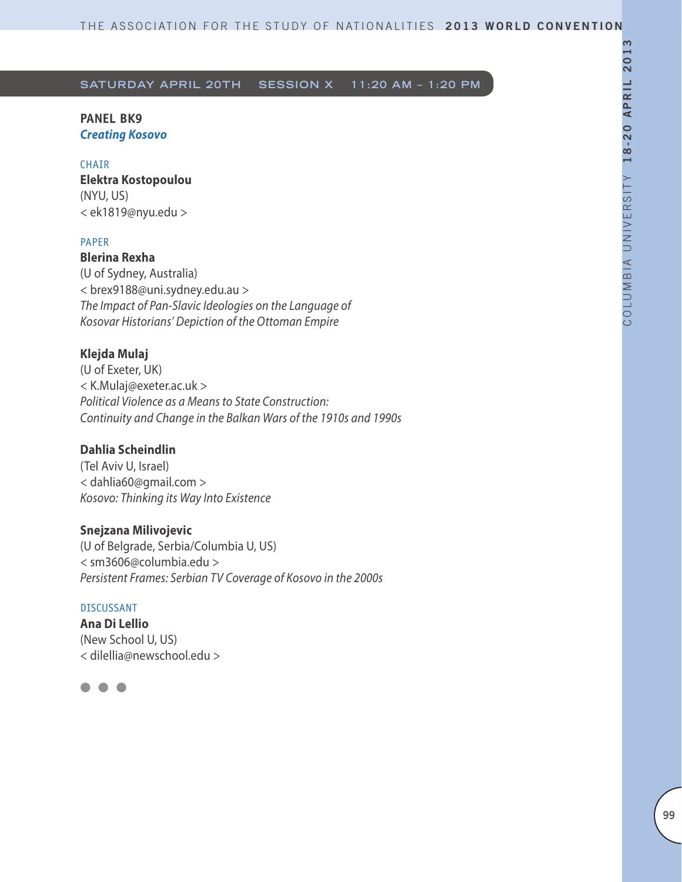## **PANEL BK9**  *Creating Kosovo*

### CHAIR

**Elektra Kostopoulou**  (NYU, US) < ek1819@nyu.edu >

### PAPER

**Blerina Rexha**  (U of Sydney, Australia) < brex9188@uni.sydney.edu.au > *The Impact of Pan-Slavic Ideologies on the Language of Kosovar Historians' Depiction of the Ottoman Empire*

## **Klejda Mulaj**

(U of Exeter, UK) < K.Mulaj@exeter.ac.uk > *Political Violence as a Means to State Construction: Continuity and Change in the Balkan Wars of the 1910s and 1990s* 

## **Dahlia Scheindlin**

(Tel Aviv U, Israel) < dahlia60@gmail.com > *Kosovo: Thinking its Way Into Existence*

### **Snejzana Milivojevic**

(U of Belgrade, Serbia/Columbia U, US) < sm3606@columbia.edu > *Persistent Frames: Serbian TV Coverage of Kosovo in the 2000s*

### DISCUSSANT

**Ana Di Lellio** (New School U, US) < dilellia@newschool.edu >

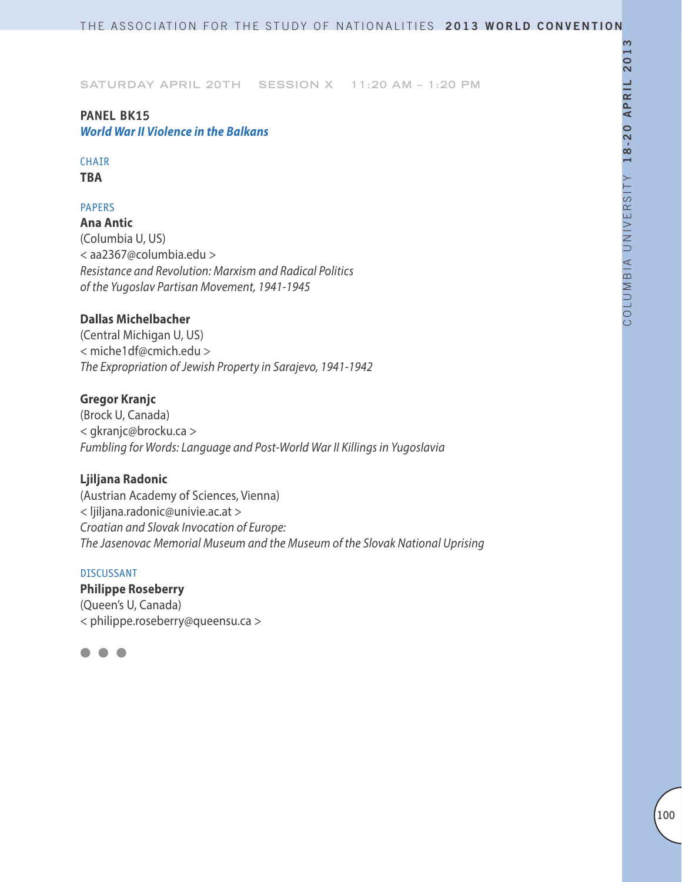## **PANEL BK15** *World War II Violence in the Balkans*

## **CHAIR**

**TBA**

## PAPERS

**Ana Antic** (Columbia U, US) < aa2367@columbia.edu > *Resistance and Revolution: Marxism and Radical Politics of the Yugoslav Partisan Movement, 1941-1945*

## **Dallas Michelbacher**

(Central Michigan U, US) < miche1df@cmich.edu > *The Expropriation of Jewish Property in Sarajevo, 1941-1942*

## **Gregor Kranjc**

(Brock U, Canada) < gkranjc@brocku.ca > *Fumbling for Words: Language and Post-World War II Killings in Yugoslavia*

## **Ljiljana Radonic**

(Austrian Academy of Sciences, Vienna) < ljiljana.radonic@univie.ac.at > *Croatian and Slovak Invocation of Europe: The Jasenovac Memorial Museum and the Museum of the Slovak National Uprising*

### DISCUSSANT

**Philippe Roseberry**  (Queen's U, Canada)

< philippe.roseberry@queensu.ca >

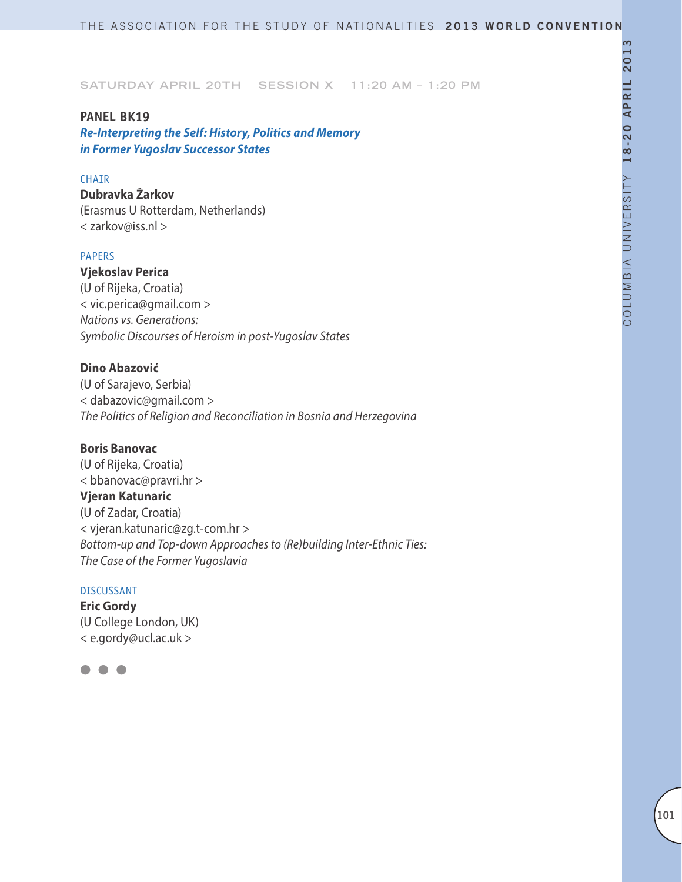### **PANEL BK19**

*Re-Interpreting the Self: History, Politics and Memory in Former Yugoslav Successor States* 

### **CHAIR**

**Dubravka Žarkov** (Erasmus U Rotterdam, Netherlands) < zarkov@iss.nl >

### PAPERS

**Vjekoslav Perica** (U of Rijeka, Croatia) < vic.perica@gmail.com > *Nations vs. Generations: Symbolic Discourses of Heroism in post-Yugoslav States*

## **Dino Abazović**

(U of Sarajevo, Serbia) < dabazovic@gmail.com > *The Politics of Religion and Reconciliation in Bosnia and Herzegovina* 

### **Boris Banovac**

(U of Rijeka, Croatia) < bbanovac@pravri.hr > **Vjeran Katunaric** (U of Zadar, Croatia) < vjeran.katunaric@zg.t-com.hr > *Bottom-up and Top-down Approaches to (Re)building Inter-Ethnic Ties: The Case of the Former Yugoslavia*

### DISCUSSANT

**Eric Gordy** (U College London, UK) < e.gordy@ucl.ac.uk >

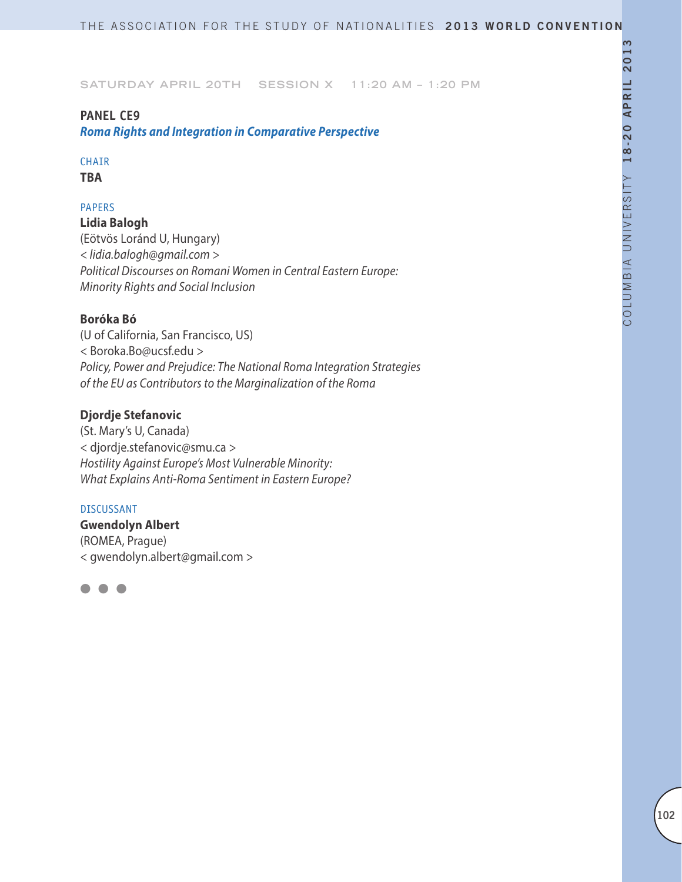## **PANEL CE9**

*Roma Rights and Integration in Comparative Perspective*

## **CHAIR**

**TBA**

## PAPERS

**Lidia Balogh** (Eötvös Loránd U, Hungary) *< lidia.balogh@gmail.com > Political Discourses on Romani Women in Central Eastern Europe: Minority Rights and Social Inclusion*

## **Boróka Bó**

(U of California, San Francisco, US) < Boroka.Bo@ucsf.edu > *Policy, Power and Prejudice: The National Roma Integration Strategies of the EU as Contributors to the Marginalization of the Roma*

### **Djordje Stefanovic**

(St. Mary's U, Canada) < djordje.stefanovic@smu.ca > *Hostility Against Europe's Most Vulnerable Minority: What Explains Anti-Roma Sentiment in Eastern Europe?*

#### DISCUSSANT

**Gwendolyn Albert** (ROMEA, Prague) < gwendolyn.albert@gmail.com >

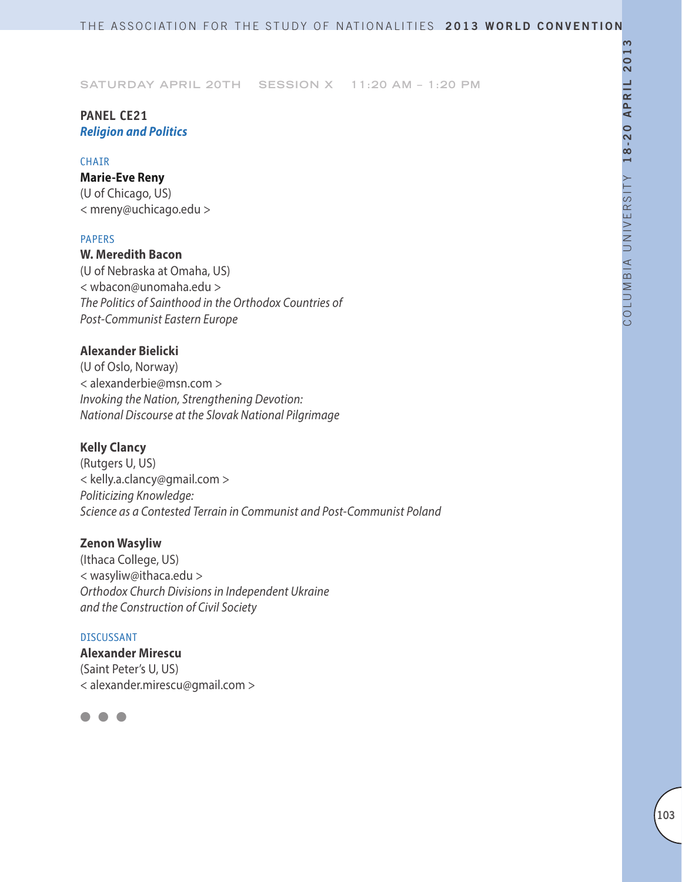## **PANEL CE21** *Religion and Politics*

### **CHAIR**

### **Marie-Eve Reny**

(U of Chicago, US) < mreny@uchicago.edu >

### PAPERS

**W. Meredith Bacon** (U of Nebraska at Omaha, US) < wbacon@unomaha.edu > *The Politics of Sainthood in the Orthodox Countries of Post-Communist Eastern Europe*

## **Alexander Bielicki**

(U of Oslo, Norway) < alexanderbie@msn.com > *Invoking the Nation, Strengthening Devotion: National Discourse at the Slovak National Pilgrimage*

## **Kelly Clancy**

(Rutgers U, US) < kelly.a.clancy@gmail.com > *Politicizing Knowledge: Science as a Contested Terrain in Communist and Post-Communist Poland*

## **Zenon Wasyliw**

(Ithaca College, US) < wasyliw@ithaca.edu > *Orthodox Church Divisions in Independent Ukraine and the Construction of Civil Society*

### DISCUSSANT

**Alexander Mirescu** (Saint Peter's U, US) < alexander.mirescu@gmail.com >

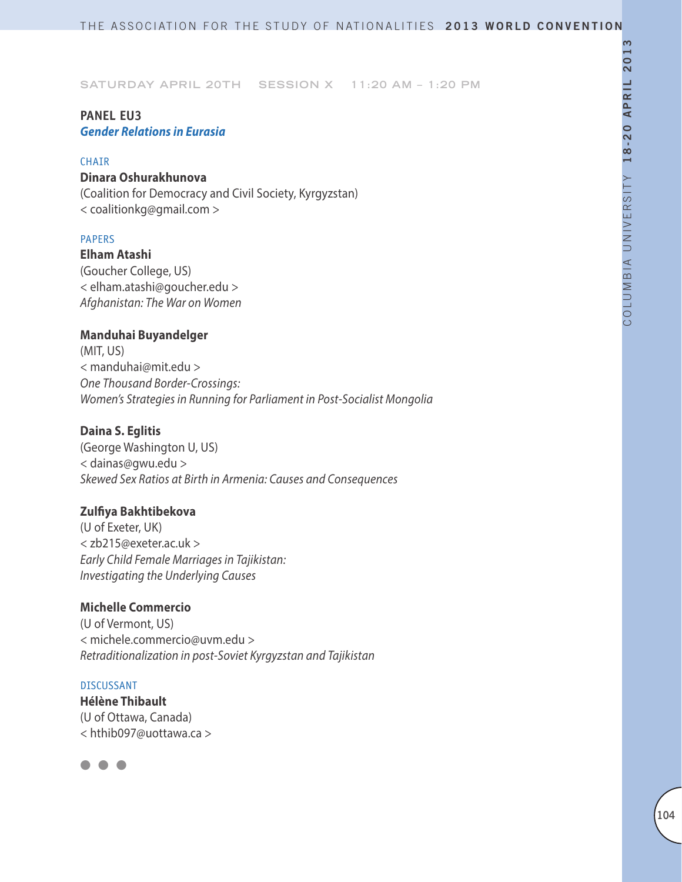## **PANEL EU3**  *Gender Relations in Eurasia*

### **CHATR**

## **Dinara Oshurakhunova**

(Coalition for Democracy and Civil Society, Kyrgyzstan) < coalitionkg@gmail.com >

### PAPERS

**Elham Atashi** (Goucher College, US) < elham.atashi@goucher.edu > *Afghanistan: The War on Women*

## **Manduhai Buyandelger**

(MIT, US) < manduhai@mit.edu > *One Thousand Border-Crossings: Women's Strategies in Running for Parliament in Post-Socialist Mongolia*

## **Daina S. Eglitis**

(George Washington U, US) < dainas@gwu.edu > *Skewed Sex Ratios at Birth in Armenia: Causes and Consequences*

## **Zulfiya Bakhtibekova**

(U of Exeter, UK) < zb215@exeter.ac.uk > *Early Child Female Marriages in Tajikistan: Investigating the Underlying Causes*

## **Michelle Commercio**

(U of Vermont, US) < michele.commercio@uvm.edu > *Retraditionalization in post-Soviet Kyrgyzstan and Tajikistan*

### DISCUSSANT

**Hélène Thibault** (U of Ottawa, Canada) < hthib097@uottawa.ca >

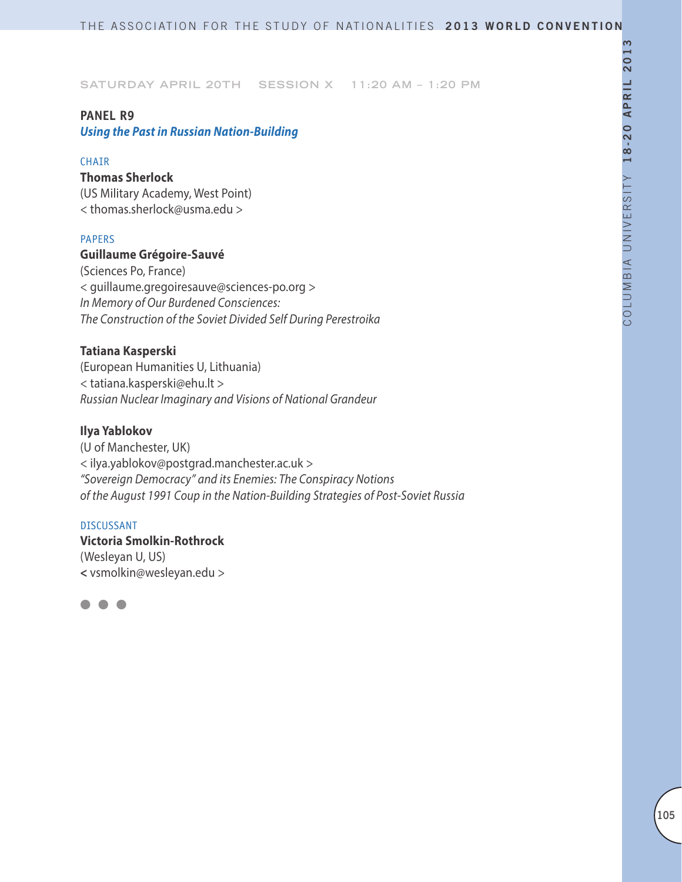### **PANEL R9**

*Using the Past in Russian Nation-Building*

### **CHAIR**

## **Thomas Sherlock**

(US Military Academy, West Point) < thomas.sherlock@usma.edu >

## PAPERS

### **Guillaume Grégoire-Sauvé**

(Sciences Po, France) < guillaume.gregoiresauve@sciences-po.org > *In Memory of Our Burdened Consciences: The Construction of the Soviet Divided Self During Perestroika*

### **Tatiana Kasperski**

(European Humanities U, Lithuania) < tatiana.kasperski@ehu.lt > *Russian Nuclear Imaginary and Visions of National Grandeur*

### **Ilya Yablokov**

(U of Manchester, UK) < ilya.yablokov@postgrad.manchester.ac.uk > *"Sovereign Democracy" and its Enemies: The Conspiracy Notions of the August 1991 Coup in the Nation-Building Strategies of Post-Soviet Russia*

### DISCUSSANT

**Victoria Smolkin-Rothrock** (Wesleyan U, US) **<** vsmolkin@wesleyan.edu >

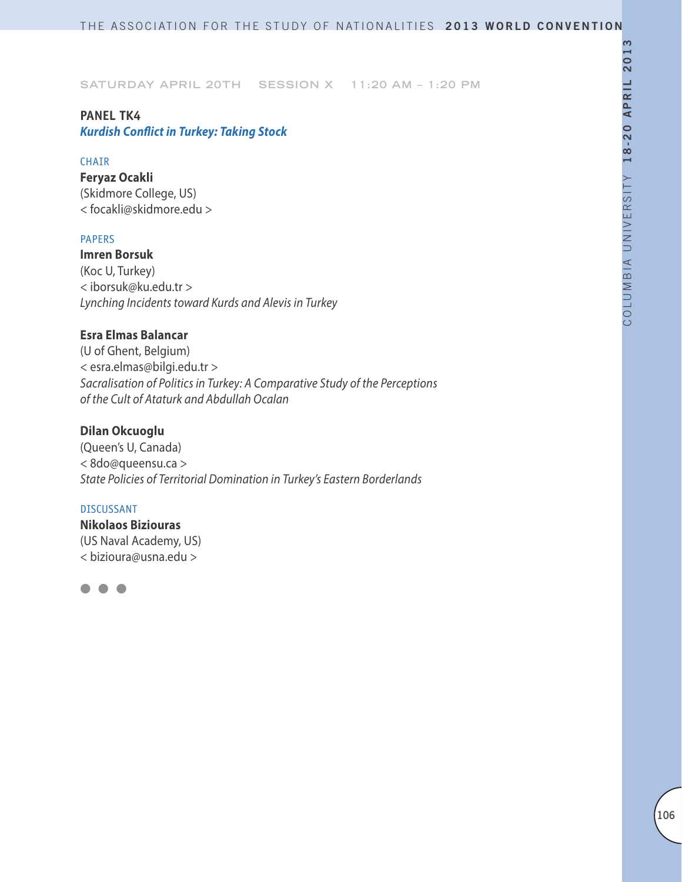## **PANEL TK4**

*Kurdish Conflict in Turkey: Taking Stock*

## **CHAIR**

**Feryaz Ocakli** (Skidmore College, US) < focakli@skidmore.edu >

## PAPERS

**Imren Borsuk** (Koc U, Turkey) < iborsuk@ku.edu.tr > *Lynching Incidents toward Kurds and Alevis in Turkey*

## **Esra Elmas Balancar**

(U of Ghent, Belgium) < esra.elmas@bilgi.edu.tr > *Sacralisation of Politics in Turkey: A Comparative Study of the Perceptions of the Cult of Ataturk and Abdullah Ocalan*

## **Dilan Okcuoglu**

(Queen's U, Canada) < 8do@queensu.ca > *State Policies of Territorial Domination in Turkey's Eastern Borderlands*

### DISCUSSANT

**Nikolaos Biziouras** (US Naval Academy, US) < bizioura@usna.edu >

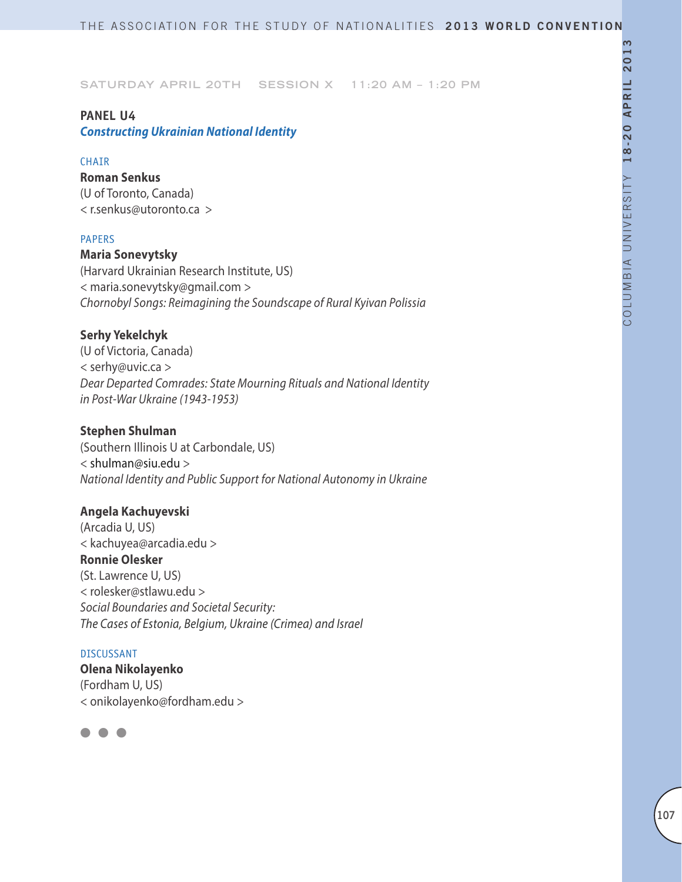### **PANEL U4**

*Constructing Ukrainian National Identity* 

### **CHAIR**

**Roman Senkus** (U of Toronto, Canada) < r.senkus@utoronto.ca >

### PAPERS

**Maria Sonevytsky** (Harvard Ukrainian Research Institute, US) < maria.sonevytsky@gmail.com > *Chornobyl Songs: Reimagining the Soundscape of Rural Kyivan Polissia*

## **Serhy Yekelchyk**

(U of Victoria, Canada) < serhy@uvic.ca > *Dear Departed Comrades: State Mourning Rituals and National Identity in Post-War Ukraine (1943-1953)*

### **Stephen Shulman**

(Southern Illinois U at Carbondale, US) < shulman@siu.edu > *National Identity and Public Support for National Autonomy in Ukraine*

## **Angela Kachuyevski**

(Arcadia U, US) < kachuyea@arcadia.edu > **Ronnie Olesker** (St. Lawrence U, US) < rolesker@stlawu.edu > *Social Boundaries and Societal Security: The Cases of Estonia, Belgium, Ukraine (Crimea) and Israel*

#### DISCUSSANT

**Olena Nikolayenko** (Fordham U, US) < onikolayenko@fordham.edu >

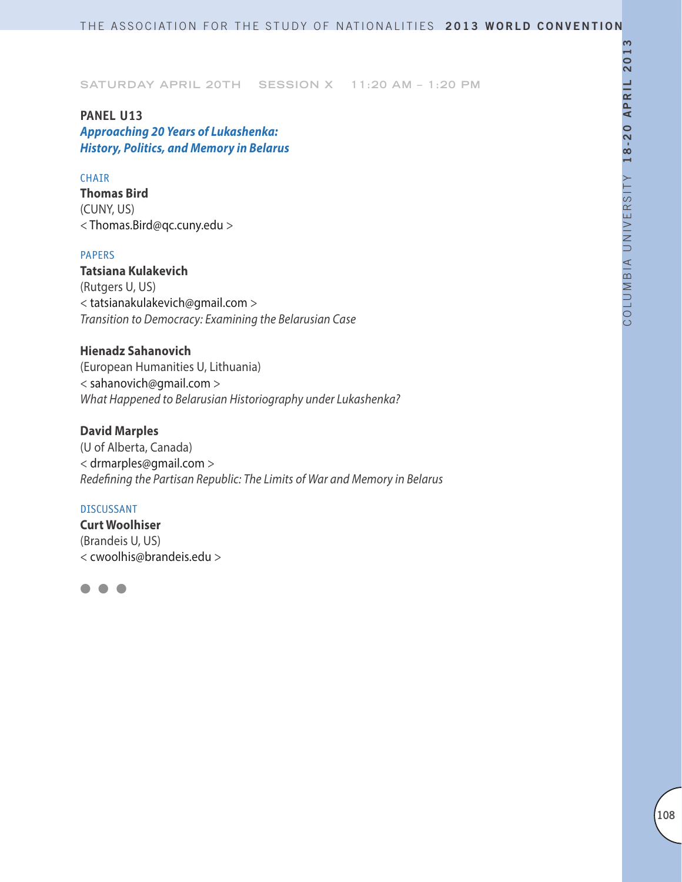**PANEL U13** *Approaching 20 Years of Lukashenka: History, Politics, and Memory in Belarus*

### CHAIR

**Thomas Bird**  (CUNY, US) < Thomas.Bird@qc.cuny.edu >

## PAPERS

**Tatsiana Kulakevich** (Rutgers U, US) < tatsianakulakevich@gmail.com > *Transition to Democracy: Examining the Belarusian Case*

### **Hienadz Sahanovich**

(European Humanities U, Lithuania) < sahanovich@gmail.com > *What Happened to Belarusian Historiography under Lukashenka?*

## **David Marples**

(U of Alberta, Canada) < drmarples@gmail.com > *Redefining the Partisan Republic: The Limits of War and Memory in Belarus*

### DISCUSSANT

**Curt Woolhiser** (Brandeis U, US) < cwoolhis@brandeis.edu >

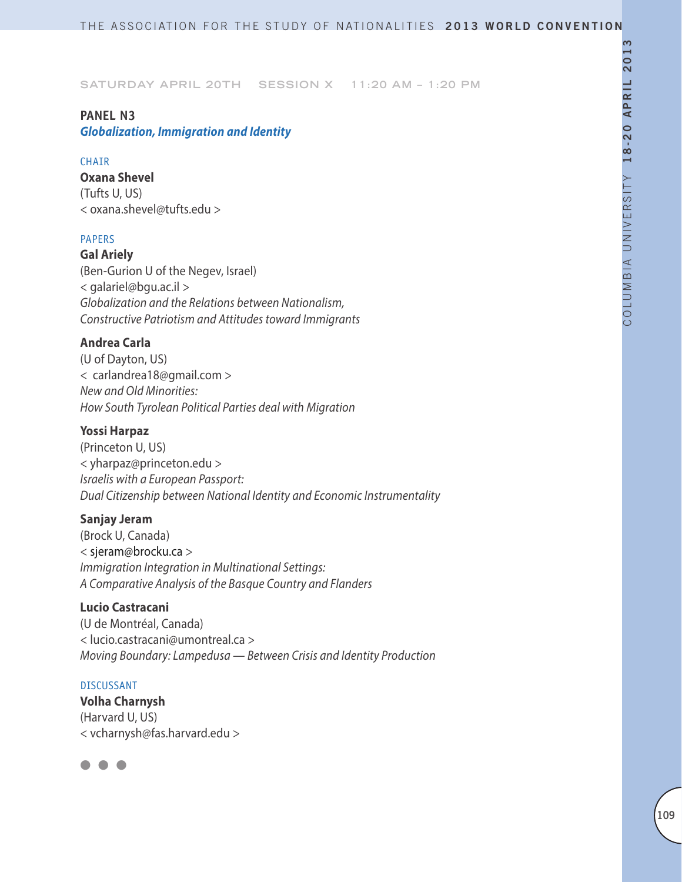**Saturday April 20th Session X 11:20 AM – 1:20 PM**

### **PANEL N3**

*Globalization, Immigration and Identity*

### CHAIR

**Oxana Shevel** (Tufts U, US) < oxana.shevel@tufts.edu >

# PAPERS

**Gal Ariely** (Ben-Gurion U of the Negev, Israel) < galariel@bgu.ac.il > *Globalization and the Relations between Nationalism, Constructive Patriotism and Attitudes toward Immigrants*

# **Andrea Carla**

(U of Dayton, US) < carlandrea18@gmail.com > *New and Old Minorities: How South Tyrolean Political Parties deal with Migration*

# **Yossi Harpaz**

(Princeton U, US) < yharpaz@princeton.edu > *Israelis with a European Passport: Dual Citizenship between National Identity and Economic Instrumentality*

# **Sanjay Jeram**

(Brock U, Canada) < sjeram@brocku.ca > *Immigration Integration in Multinational Settings: A Comparative Analysis of the Basque Country and Flanders*

### **Lucio Castracani**

(U de Montréal, Canada) < lucio.castracani@umontreal.ca > *Moving Boundary: Lampedusa — Between Crisis and Identity Production*

### DISCUSSANT

**Volha Charnysh** (Harvard U, US) < vcharnysh@fas.harvard.edu >

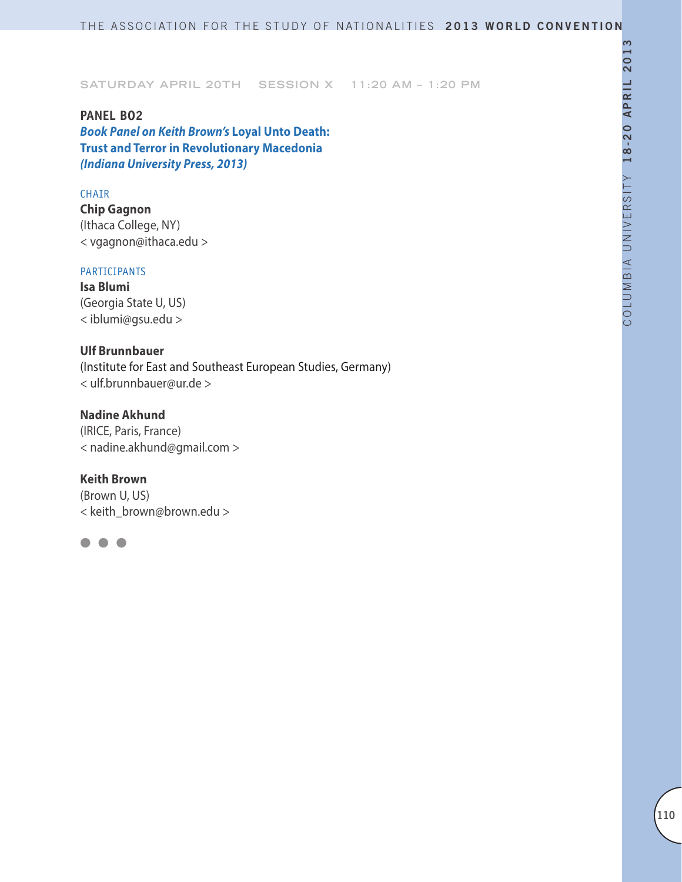**Saturday April 20th Session X 11:20 AM – 1:20 PM**

**PANEL BO2** *Book Panel on Keith Brown's* **Loyal Unto Death: Trust and Terror in Revolutionary Macedonia** *(Indiana University Press, 2013)*

#### CHAIR

**Chip Gagnon** (Ithaca College, NY) < vgagnon@ithaca.edu >

### PARTICIPANTS

**Isa Blumi** (Georgia State U, US) < iblumi@gsu.edu >

# **Ulf Brunnbauer**

(Institute for East and Southeast European Studies, Germany) < ulf.brunnbauer@ur.de >

# **Nadine Akhund**

(IRICE, Paris, France) < nadine.akhund@gmail.com >

# **Keith Brown**

(Brown U, US) < keith\_brown@brown.edu >

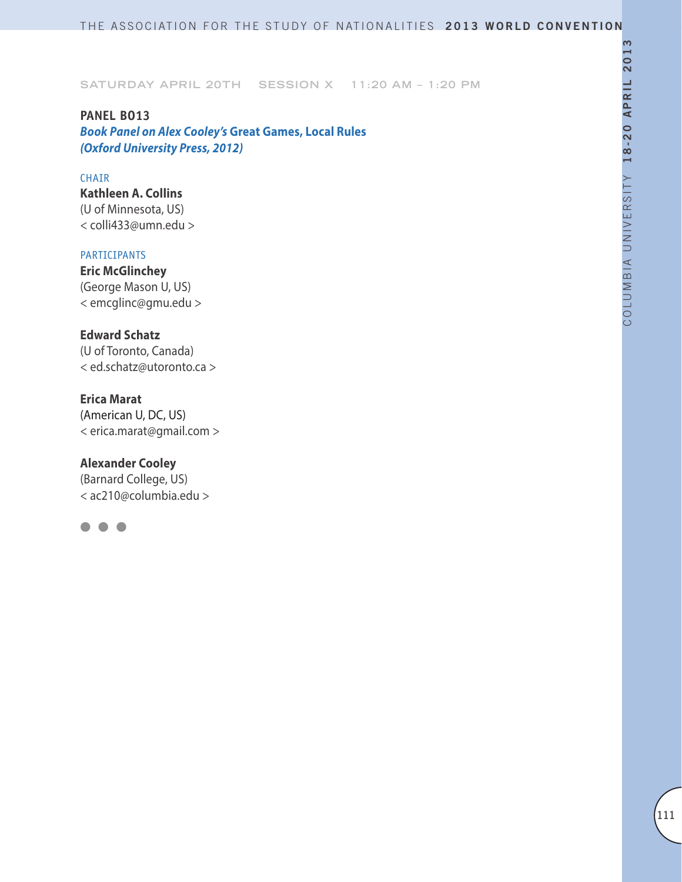**Saturday April 20th Session X 11:20 AM – 1:20 PM**

**PANEL BO13** *Book Panel on Alex Cooley's* **Great Games, Local Rules**  *(Oxford University Press, 2012)*

### CHAIR

**Kathleen A. Collins**  (U of Minnesota, US) < colli433@umn.edu >

#### PARTICIPANTS

**Eric McGlinchey** (George Mason U, US) < emcglinc@gmu.edu >

# **Edward Schatz**

(U of Toronto, Canada) < ed.schatz@utoronto.ca >

### **Erica Marat**

(American U, DC, US) < erica.marat@gmail.com >

### **Alexander Cooley**

(Barnard College, US) < ac210@columbia.edu >

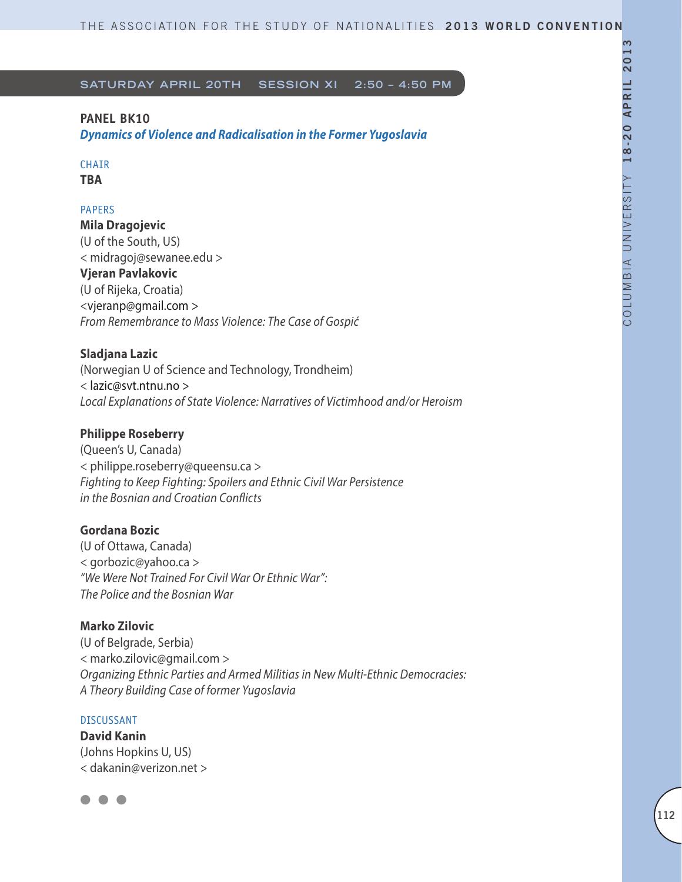# **PANEL BK10**

*Dynamics of Violence and Radicalisation in the Former Yugoslavia*

#### CHAIR **TBA**

# PAPERS

**Mila Dragojevic** (U of the South, US) < midragoj@sewanee.edu > **Vjeran Pavlakovic**  (U of Rijeka, Croatia) <vjeranp@gmail.com > *From Remembrance to Mass Violence: The Case of Gospić*

# **Sladjana Lazic**

(Norwegian U of Science and Technology, Trondheim) < lazic@svt.ntnu.no > *Local Explanations of State Violence: Narratives of Victimhood and/or Heroism*

# **Philippe Roseberry**

(Queen's U, Canada) < philippe.roseberry@queensu.ca > *Fighting to Keep Fighting: Spoilers and Ethnic Civil War Persistence in the Bosnian and Croatian Conflicts*

# **Gordana Bozic**

(U of Ottawa, Canada) < gorbozic@yahoo.ca > *"We Were Not Trained For Civil War Or Ethnic War": The Police and the Bosnian War*

# **Marko Zilovic**

(U of Belgrade, Serbia) < marko.zilovic@gmail.com > *Organizing Ethnic Parties and Armed Militias in New Multi-Ethnic Democracies: A Theory Building Case of former Yugoslavia*

# DISCUSSANT

**David Kanin** (Johns Hopkins U, US) < dakanin@verizon.net >

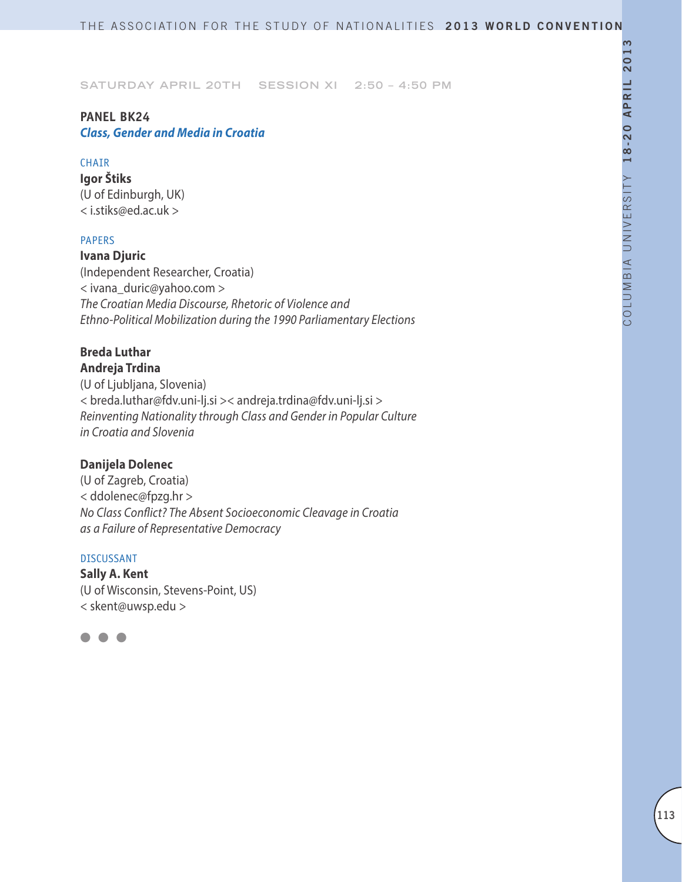# **Panel BK24**

*Class, Gender and Media in Croatia*

# CHAIR

**Igor Štiks** (U of Edinburgh, UK) < i.stiks@ed.ac.uk >

# PAPERS

**Ivana Djuric** (Independent Researcher, Croatia) < ivana\_duric@yahoo.com > *The Croatian Media Discourse, Rhetoric of Violence and Ethno-Political Mobilization during the 1990 Parliamentary Elections*

### **Breda Luthar Andreja Trdina**

(U of Ljubljana, Slovenia) < breda.luthar@fdv.uni-lj.si >< andreja.trdina@fdv.uni-lj.si > *Reinventing Nationality through Class and Gender in Popular Culture in Croatia and Slovenia*

# **Danijela Dolenec**

(U of Zagreb, Croatia) < ddolenec@fpzg.hr > *No Class Conflict? The Absent Socioeconomic Cleavage in Croatia as a Failure of Representative Democracy*

# DISCUSSANT

**Sally A. Kent** (U of Wisconsin, Stevens-Point, US) < skent@uwsp.edu >

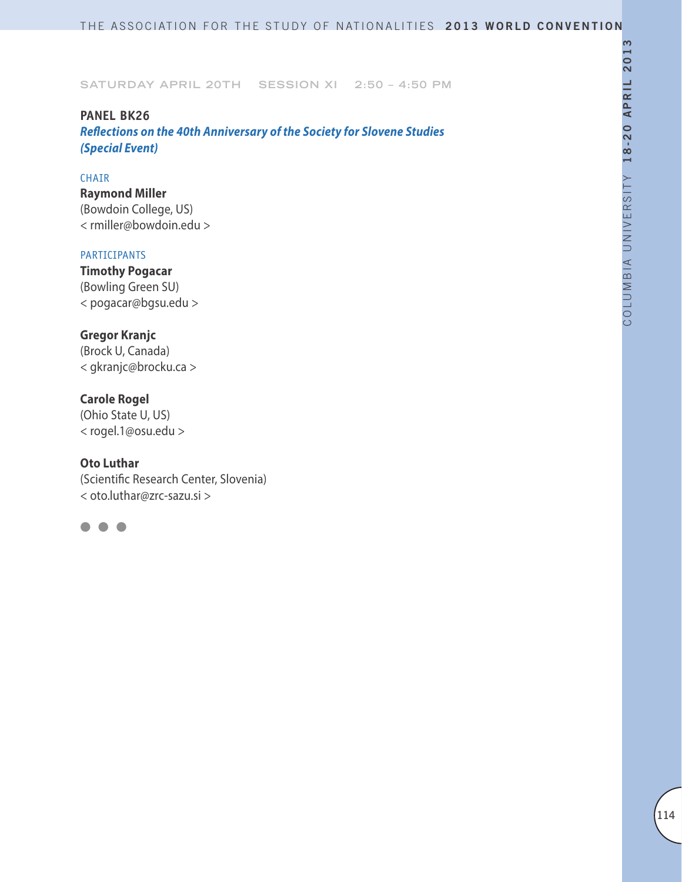# **PANEL BK26**

*Reflections on the 40th Anniversary of the Society for Slovene Studies (Special Event)*

# CHAIR

**Raymond Miller**  (Bowdoin College, US) < rmiller@bowdoin.edu >

# PARTICIPANTS

**Timothy Pogacar**  (Bowling Green SU) < pogacar@bgsu.edu >

# **Gregor Kranjc**

(Brock U, Canada) < gkranjc@brocku.ca >

# **Carole Rogel**

(Ohio State U, US) < rogel.1@osu.edu >

# **Oto Luthar**

(Scientific Research Center, Slovenia) < oto.luthar@zrc-sazu.si >

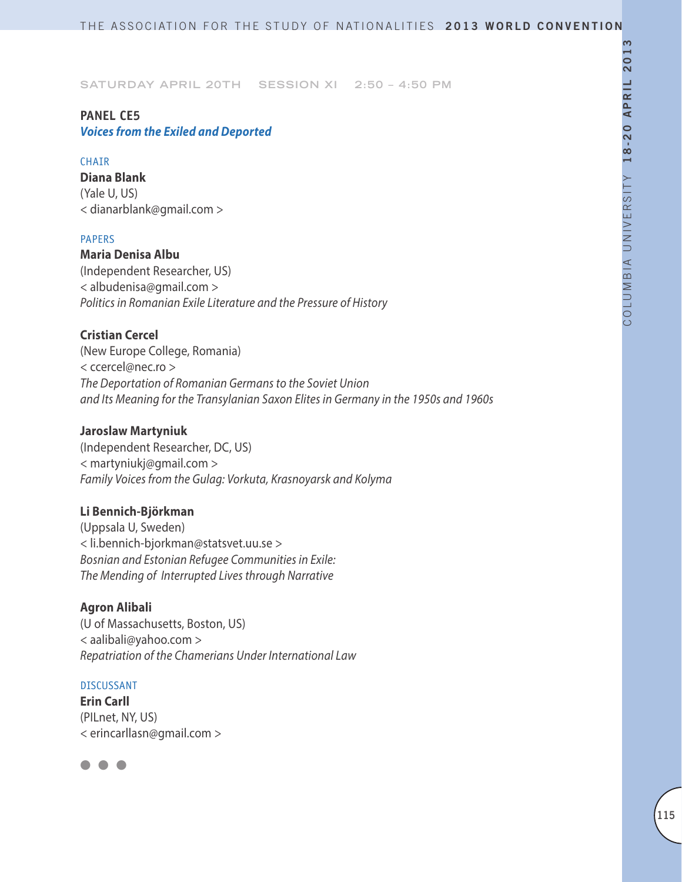# **PANEL CE5**

*Voices from the Exiled and Deported*

# **CHAIR**

**Diana Blank** (Yale U, US) < dianarblank@gmail.com >

# PAPERS

**Maria Denisa Albu** (Independent Researcher, US) < albudenisa@gmail.com > *Politics in Romanian Exile Literature and the Pressure of History*

# **Cristian Cercel**

(New Europe College, Romania) < ccercel@nec.ro > *The Deportation of Romanian Germans to the Soviet Union and Its Meaning for the Transylanian Saxon Elites in Germany in the 1950s and 1960s*

# **Jaroslaw Martyniuk**

(Independent Researcher, DC, US) < martyniukj@gmail.com > *Family Voices from the Gulag: Vorkuta, Krasnoyarsk and Kolyma*

# **Li Bennich-Björkman**

(Uppsala U, Sweden) < li.bennich-bjorkman@statsvet.uu.se > *Bosnian and Estonian Refugee Communities in Exile: The Mending of Interrupted Lives through Narrative*

# **Agron Alibali**

(U of Massachusetts, Boston, US) < aalibali@yahoo.com > *Repatriation of the Chamerians Under International Law*

# DISCUSSANT

**Erin Carll** (PILnet, NY, US) < erincarllasn@gmail.com >

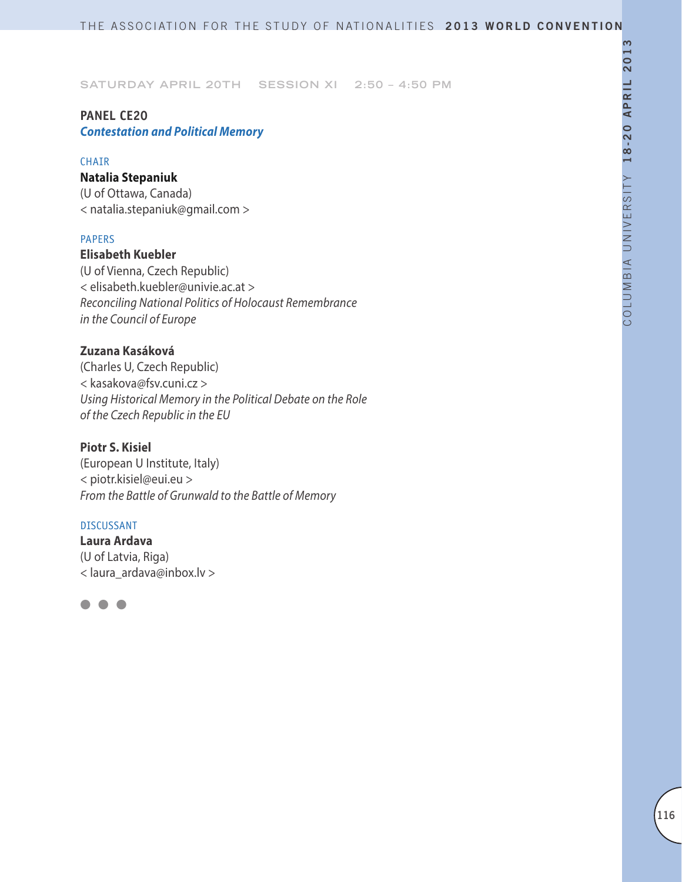# **PANEL CE20**

*Contestation and Political Memory*

### CHAIR

### **Natalia Stepaniuk**

(U of Ottawa, Canada) < natalia.stepaniuk@gmail.com >

### PAPERS

**Elisabeth Kuebler** (U of Vienna, Czech Republic) < elisabeth.kuebler@univie.ac.at > *Reconciling National Politics of Holocaust Remembrance in the Council of Europe*

# **Zuzana Kasáková**

(Charles U, Czech Republic) < kasakova@fsv.cuni.cz > *Using Historical Memory in the Political Debate on the Role of the Czech Republic in the EU*

# **Piotr S. Kisiel**

(European U Institute, Italy) < piotr.kisiel@eui.eu > *From the Battle of Grunwald to the Battle of Memory*

### DISCUSSANT

**Laura Ardava** (U of Latvia, Riga) < laura\_ardava@inbox.lv >

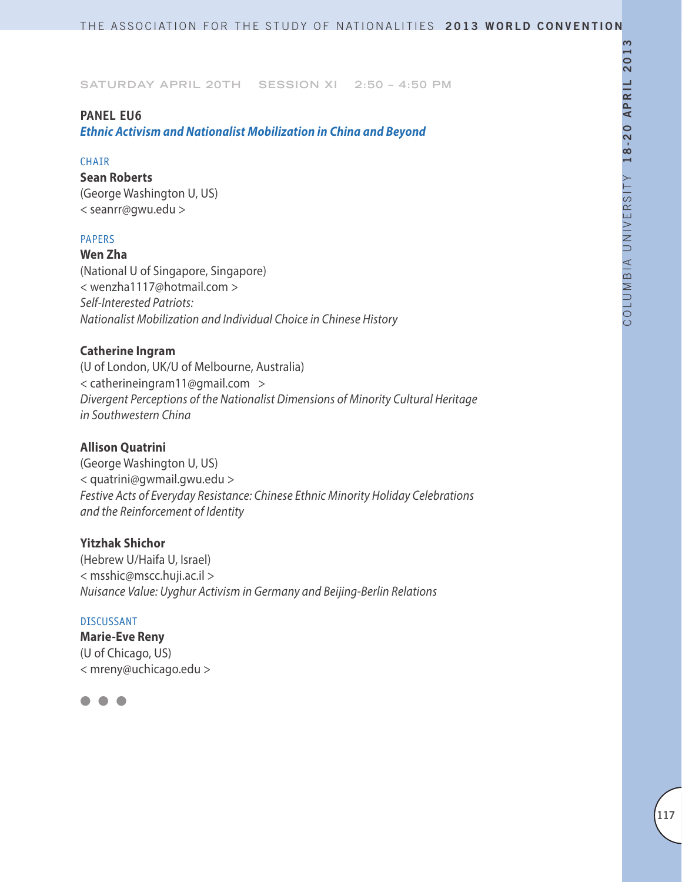### **PANEL EU6**

*Ethnic Activism and Nationalist Mobilization in China and Beyond*

#### CHAIR

**Sean Roberts** (George Washington U, US) < seanrr@gwu.edu >

### PAPERS

**Wen Zha**

(National U of Singapore, Singapore) < wenzha1117@hotmail.com > *Self-Interested Patriots: Nationalist Mobilization and Individual Choice in Chinese History*

#### **Catherine Ingram**

(U of London, UK/U of Melbourne, Australia) < catherineingram11@gmail.com > *Divergent Perceptions of the Nationalist Dimensions of Minority Cultural Heritage in Southwestern China*

# **Allison Quatrini**

(George Washington U, US) < quatrini@gwmail.gwu.edu > *Festive Acts of Everyday Resistance: Chinese Ethnic Minority Holiday Celebrations and the Reinforcement of Identity*

### **Yitzhak Shichor**

(Hebrew U/Haifa U, Israel) < msshic@mscc.huji.ac.il > *Nuisance Value: Uyghur Activism in Germany and Beijing-Berlin Relations*

### DISCUSSANT

**Marie-Eve Reny** (U of Chicago, US) < mreny@uchicago.edu >

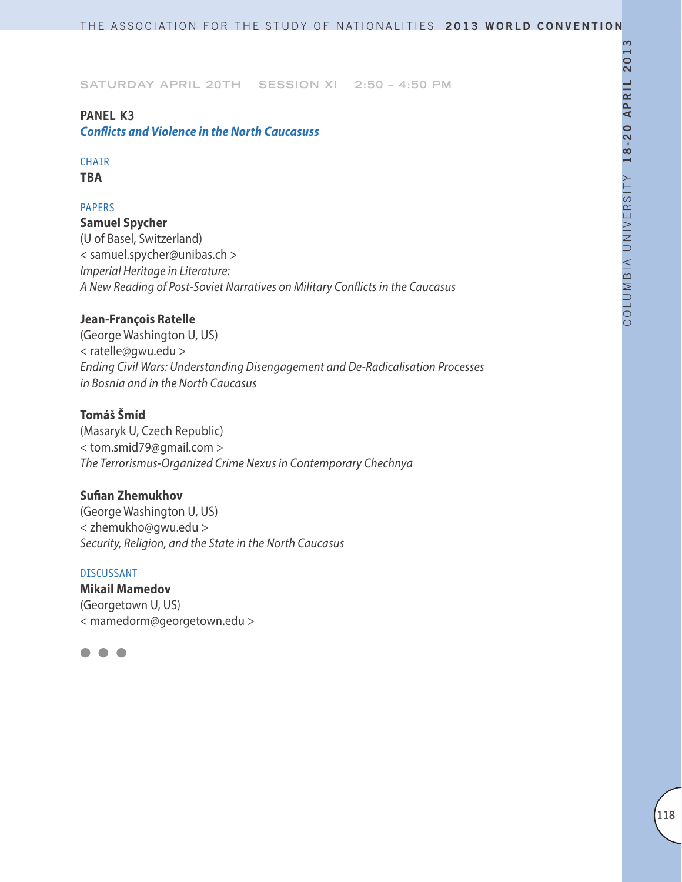# **PANEL K3**

*Conflicts and Violence in the North Caucasuss*

# CHAIR

**TBA**

# PAPERS

**Samuel Spycher** (U of Basel, Switzerland) < samuel.spycher@unibas.ch > *Imperial Heritage in Literature: A New Reading of Post-Soviet Narratives on Military Conflicts in the Caucasus*

# **Jean-François Ratelle**

(George Washington U, US) < ratelle@gwu.edu > *Ending Civil Wars: Understanding Disengagement and De-Radicalisation Processes in Bosnia and in the North Caucasus*

# **Tomáš Šmíd**

(Masaryk U, Czech Republic) < tom.smid79@gmail.com > *The Terrorismus-Organized Crime Nexus in Contemporary Chechnya*

# **Sufian Zhemukhov**

(George Washington U, US) < zhemukho@gwu.edu > *Security, Religion, and the State in the North Caucasus*

# DISCUSSANT

**Mikail Mamedov** (Georgetown U, US) < mamedorm@georgetown.edu >

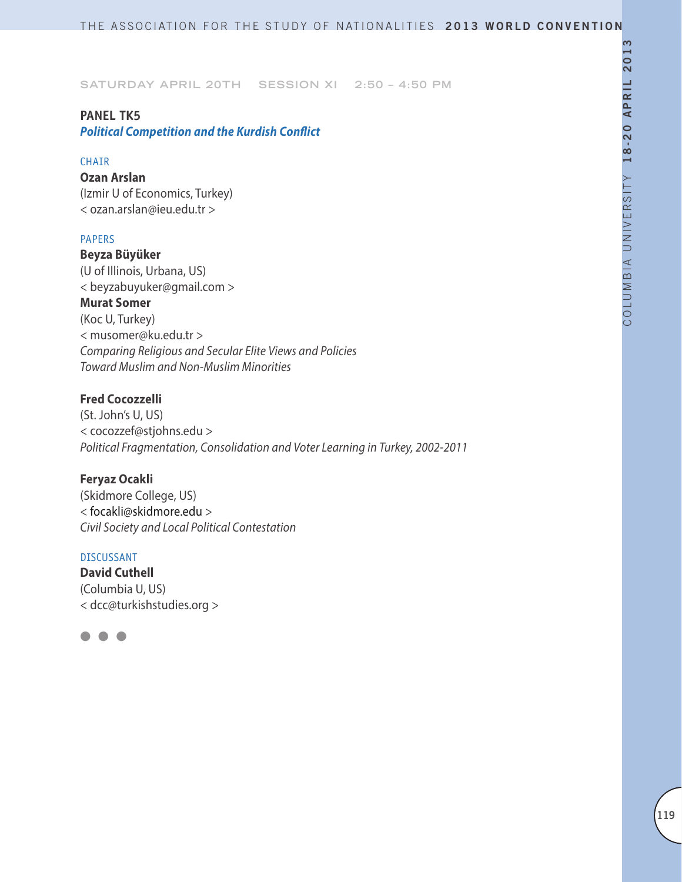### **PANEL TK5**

*Political Competition and the Kurdish Conflict*

### CHAIR

**Ozan Arslan** (Izmir U of Economics, Turkey) < ozan.arslan@ieu.edu.tr >

### PAPERS

**Beyza Büyüker**  (U of Illinois, Urbana, US) < beyzabuyuker@gmail.com > **Murat Somer** (Koc U, Turkey) < musomer@ku.edu.tr > *Comparing Religious and Secular Elite Views and Policies Toward Muslim and Non-Muslim Minorities*

# **Fred Cocozzelli**

(St. John's U, US) < cocozzef@stjohns.edu > *Political Fragmentation, Consolidation and Voter Learning in Turkey, 2002-2011*

### **Feryaz Ocakli**

(Skidmore College, US) < focakli@skidmore.edu > *Civil Society and Local Political Contestation*

# DISCUSSANT

**David Cuthell** (Columbia U, US) < dcc@turkishstudies.org >

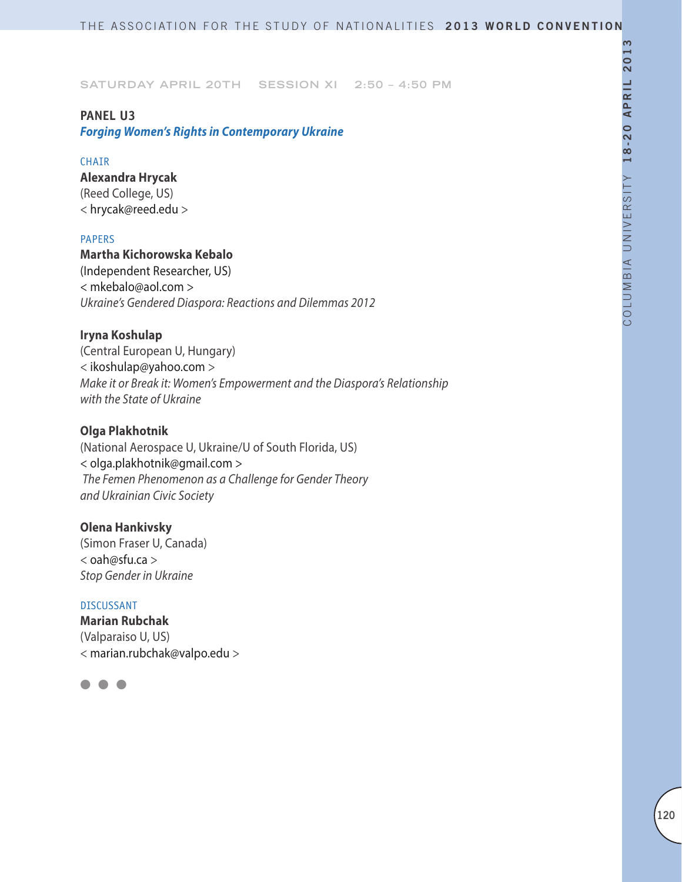### **PANEL U3**

*Forging Women's Rights in Contemporary Ukraine*

### CHAIR

**Alexandra Hrycak** (Reed College, US) < hrycak@reed.edu >

### PAPERS

**Martha Kichorowska Kebalo** (Independent Researcher, US) < mkebalo@aol.com > *Ukraine's Gendered Diaspora: Reactions and Dilemmas 2012*

# **Iryna Koshulap**

(Central European U, Hungary) < ikoshulap@yahoo.com > *Make it or Break it: Women's Empowerment and the Diaspora's Relationship with the State of Ukraine*

### **Olga Plakhotnik**

(National Aerospace U, Ukraine/U of South Florida, US) < olga.plakhotnik@gmail.com >  *The Femen Phenomenon as a Challenge for Gender Theory and Ukrainian Civic Society*

### **Olena Hankivsky**

(Simon Fraser U, Canada) < oah@sfu.ca > *Stop Gender in Ukraine*

### DISCUSSANT

**Marian Rubchak** (Valparaiso U, US) < marian.rubchak@valpo.edu >

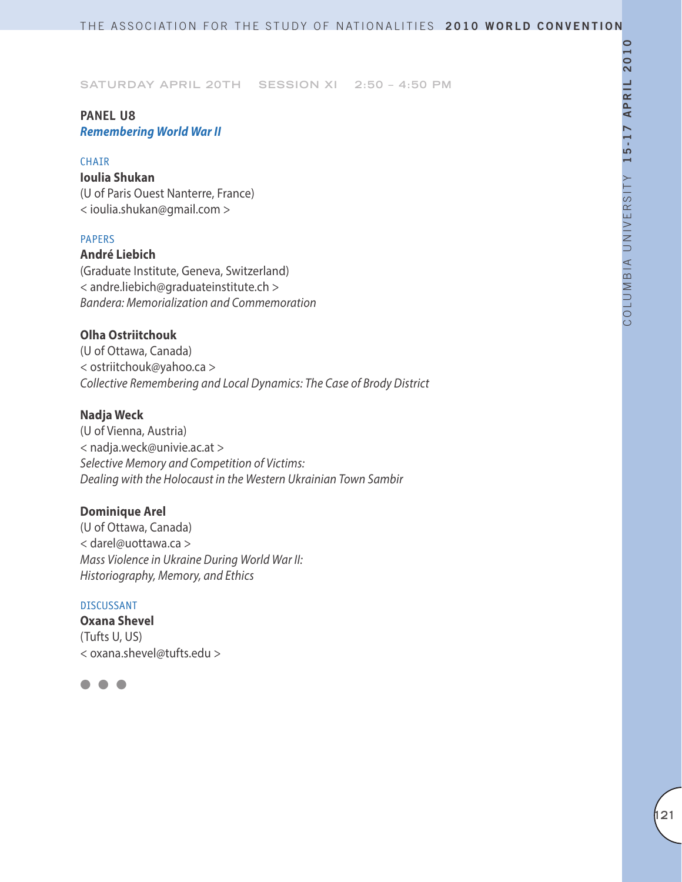# **PANEL U8** *Remembering World War II*

### CHAIR

**Ioulia Shukan** (U of Paris Ouest Nanterre, France) < ioulia.shukan@gmail.com >

# PAPERS

**André Liebich** (Graduate Institute, Geneva, Switzerland) < andre.liebich@graduateinstitute.ch > *Bandera: Memorialization and Commemoration*

# **Olha Ostriitchouk**

(U of Ottawa, Canada) < ostriitchouk@yahoo.ca > *Collective Remembering and Local Dynamics: The Case of Brody District*

# **Nadja Weck**

(U of Vienna, Austria) < nadja.weck@univie.ac.at > *Selective Memory and Competition of Victims: Dealing with the Holocaust in the Western Ukrainian Town Sambir*

# **Dominique Arel**

(U of Ottawa, Canada) < darel@uottawa.ca > *Mass Violence in Ukraine During World War II: Historiography, Memory, and Ethics*

### DISCUSSANT

**Oxana Shevel** (Tufts U, US) < oxana.shevel@tufts.edu >

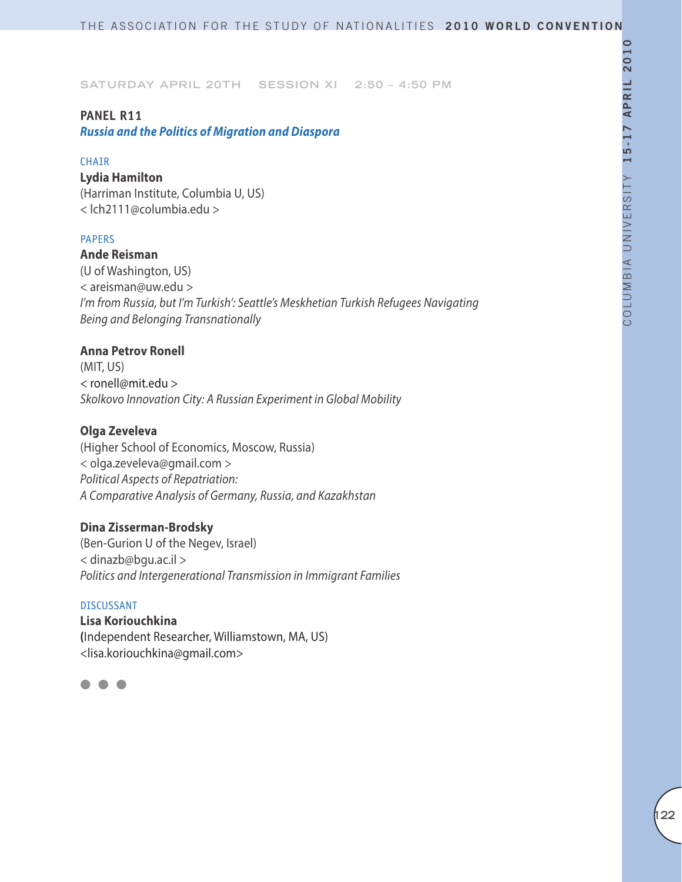### **PANEL R11**

*Russia and the Politics of Migration and Diaspora*

#### CHAIR

**Lydia Hamilton** (Harriman Institute, Columbia U, US) < lch2111@columbia.edu >

### PAPERS

**Ande Reisman** (U of Washington, US) < areisman@uw.edu > *I'm from Russia, but I'm Turkish': Seattle's Meskhetian Turkish Refugees Navigating Being and Belonging Transnationally*

### **Anna Petrov Ronell**

(MIT, US) < ronell@mit.edu > *Skolkovo Innovation City: A Russian Experiment in Global Mobility*

### **Olga Zeveleva**

(Higher School of Economics, Moscow, Russia) < olga.zeveleva@gmail.com > *Political Aspects of Repatriation: A Comparative Analysis of Germany, Russia, and Kazakhstan*

# **Dina Zisserman-Brodsky**

(Ben-Gurion U of the Negev, Israel) < dinazb@bgu.ac.il > *Politics and Intergenerational Transmission in Immigrant Families*

#### DISCUSSANT

**Lisa Koriouchkina (**Independent Researcher, Williamstown, MA, US) <lisa.koriouchkina@gmail.com>

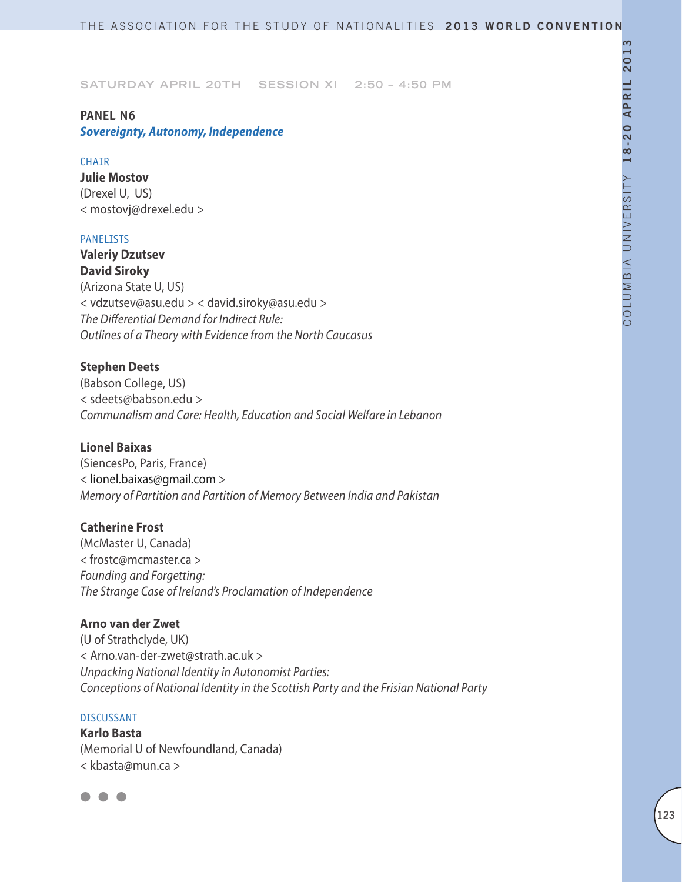# **PANEL N6**

# *Sovereignty, Autonomy, Independence*

### **CHAIR**

**Julie Mostov** (Drexel U, US) < mostovj@drexel.edu >

### PANELISTS

**Valeriy Dzutsev David Siroky** (Arizona State U, US) < vdzutsev@asu.edu > < david.siroky@asu.edu > *The Differential Demand for Indirect Rule: Outlines of a Theory with Evidence from the North Caucasus*

# **Stephen Deets**

(Babson College, US) < sdeets@babson.edu > *Communalism and Care: Health, Education and Social Welfare in Lebanon*

### **Lionel Baixas**

(SiencesPo, Paris, France) < lionel.baixas@gmail.com > *Memory of Partition and Partition of Memory Between India and Pakistan*

# **Catherine Frost**

(McMaster U, Canada) *<* frostc@mcmaster.ca *> Founding and Forgetting: The Strange Case of Ireland's Proclamation of Independence*

# **Arno van der Zwet**

(U of Strathclyde, UK) < Arno.van-der-zwet@strath.ac.uk > *Unpacking National Identity in Autonomist Parties: Conceptions of National Identity in the Scottish Party and the Frisian National Party*

### DISCUSSANT

**Karlo Basta** (Memorial U of Newfoundland, Canada) < kbasta@mun.ca >

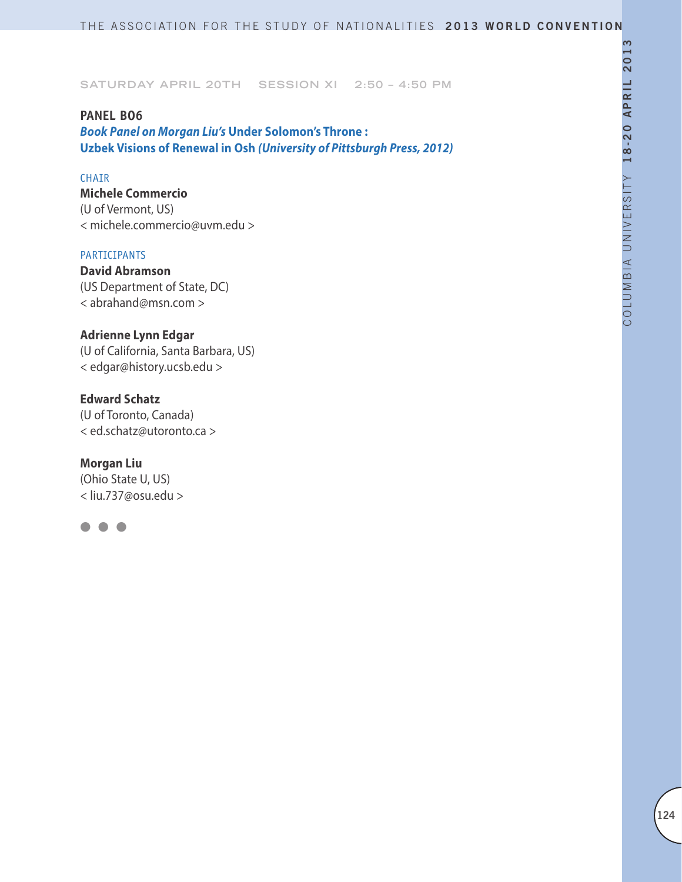#### **PANEL BO6**

*Book Panel on Morgan Liu's* **Under Solomon's Throne : Uzbek Visions of Renewal in Osh** *(University of Pittsburgh Press, 2012)*

### CHAIR

**Michele Commercio** (U of Vermont, US) < michele.commercio@uvm.edu >

### PARTICIPANTS

**David Abramson** (US Department of State, DC) < abrahand@msn.com >

### **Adrienne Lynn Edgar**

(U of California, Santa Barbara, US) < edgar@history.ucsb.edu >

# **Edward Schatz**

(U of Toronto, Canada) < ed.schatz@utoronto.ca >

#### **Morgan Liu**

(Ohio State U, US) < liu.737@osu.edu >

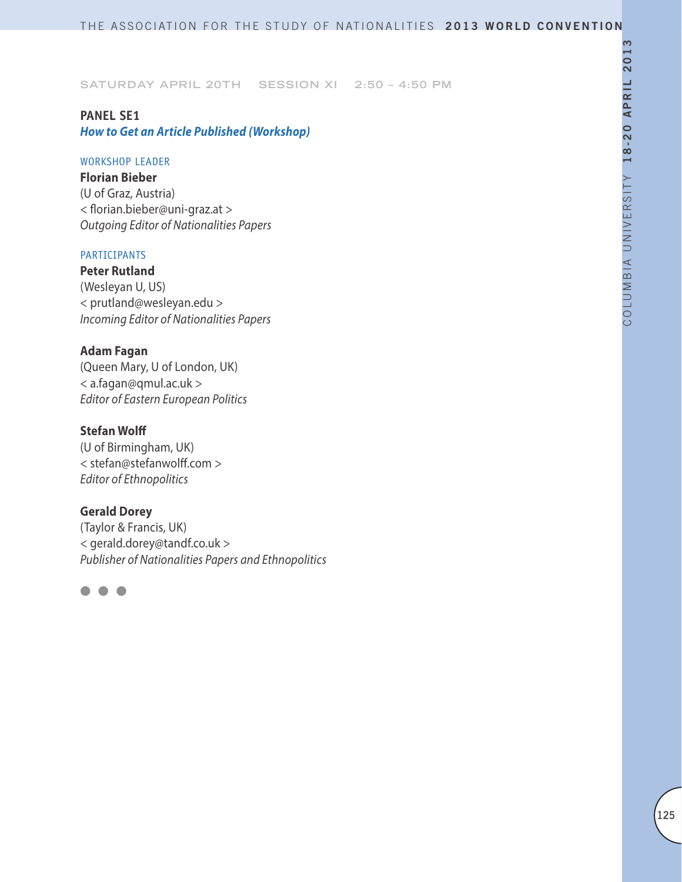# **PANEL SE1** *How to Get an Article Published (Workshop)*

#### WORKSHOP LEADER

**Florian Bieber**  (U of Graz, Austria) < florian.bieber@uni-graz.at > *Outgoing Editor of Nationalities Papers*

### PARTICIPANTS

**Peter Rutland**  (Wesleyan U, US) < prutland@wesleyan.edu > *Incoming Editor of Nationalities Papers*

# **Adam Fagan**

(Queen Mary, U of London, UK) < a.fagan@qmul.ac.uk > *Editor of Eastern European Politics*

### **Stefan Wolff**

(U of Birmingham, UK) < stefan@stefanwolff.com > *Editor of Ethnopolitics*

### **Gerald Dorey**

(Taylor & Francis, UK) < gerald.dorey@tandf.co.uk > *Publisher of Nationalities Papers and Ethnopolitics*

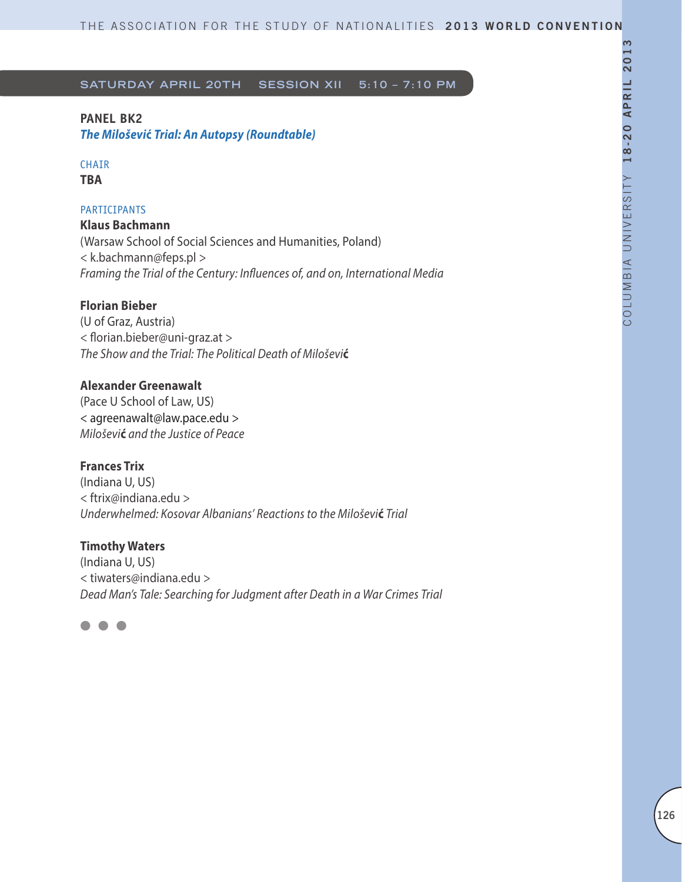# **PANEL BK2**

*The Miloševi***ć** *Trial: An Autopsy (Roundtable)*

### CHAIR **TBA**

# **PARTICIPANTS**

**Klaus Bachmann**  (Warsaw School of Social Sciences and Humanities, Poland) < k.bachmann@feps.pl > *Framing the Trial of the Century: Influences of, and on, International Media*

# **Florian Bieber**

(U of Graz, Austria) < florian.bieber@uni-graz.at > *The Show and the Trial: The Political Death of Miloševi***ć**

# **Alexander Greenawalt**

(Pace U School of Law, US) < agreenawalt@law.pace.edu > *Miloševi***ć** *and the Justice of Peace*

# **Frances Trix**

(Indiana U, US) < ftrix@indiana.edu > *Underwhelmed: Kosovar Albanians' Reactions to the Miloševi***ć** *Trial*

# **Timothy Waters**

(Indiana U, US) < tiwaters@indiana.edu > *Dead Man's Tale: Searching for Judgment after Death in a War Crimes Trial*

l l l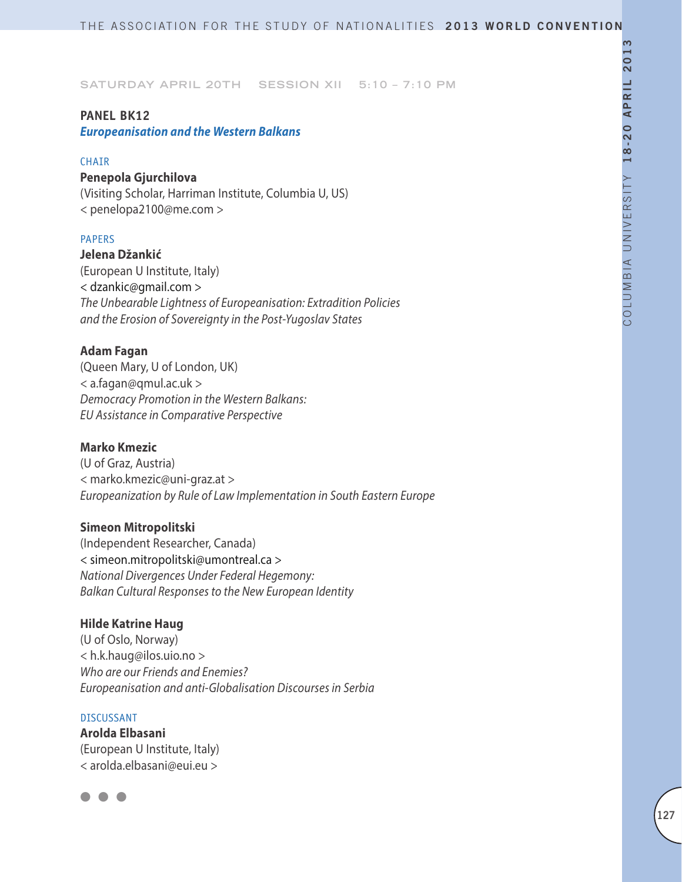### **PANEL BK12**

*Europeanisation and the Western Balkans*

#### **CHAIR**

# **Penepola Gjurchilova**

(Visiting Scholar, Harriman Institute, Columbia U, US) < penelopa2100@me.com >

### PAPERS

#### **Jelena Džankić**

(European U Institute, Italy) < dzankic@gmail.com > *The Unbearable Lightness of Europeanisation: Extradition Policies and the Erosion of Sovereignty in the Post-Yugoslav States*

### **Adam Fagan**

(Queen Mary, U of London, UK) < a.fagan@qmul.ac.uk > *Democracy Promotion in the Western Balkans: EU Assistance in Comparative Perspective*

### **Marko Kmezic**

(U of Graz, Austria) < marko.kmezic@uni-graz.at > *Europeanization by Rule of Law Implementation in South Eastern Europe*

### **Simeon Mitropolitski**

(Independent Researcher, Canada) < simeon.mitropolitski@umontreal.ca > *National Divergences Under Federal Hegemony: Balkan Cultural Responses to the New European Identity*

### **Hilde Katrine Haug**

(U of Oslo, Norway) < h.k.haug@ilos.uio.no > *Who are our Friends and Enemies? Europeanisation and anti-Globalisation Discourses in Serbia*

#### DISCUSSANT

**Arolda Elbasani** (European U Institute, Italy) < arolda.elbasani@eui.eu >

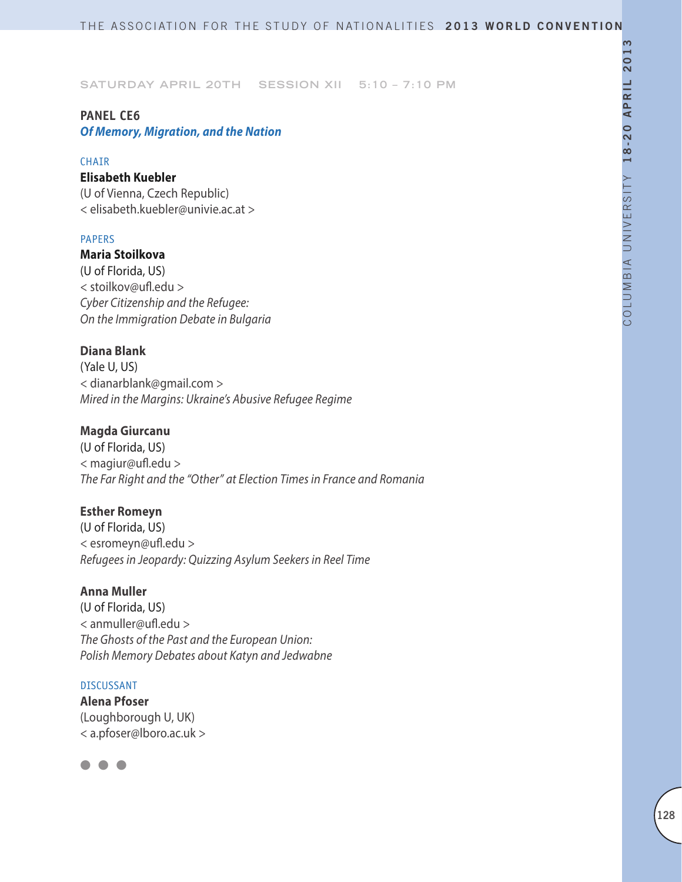# **PANEL CE6**

*Of Memory, Migration, and the Nation*

### CHAIR

# **Elisabeth Kuebler**

(U of Vienna, Czech Republic) < elisabeth.kuebler@univie.ac.at >

# PAPERS

**Maria Stoilkova** (U of Florida, US) < stoilkov@ufl.edu > *Cyber Citizenship and the Refugee: On the Immigration Debate in Bulgaria*

# **Diana Blank**

(Yale U, US) < dianarblank@gmail.com > *Mired in the Margins: Ukraine's Abusive Refugee Regime*

# **Magda Giurcanu**

(U of Florida, US) < magiur@ufl.edu > *The Far Right and the "Other" at Election Times in France and Romania*

# **Esther Romeyn**

(U of Florida, US) < esromeyn@ufl.edu > *Refugees in Jeopardy: Quizzing Asylum Seekers in Reel Time*

# **Anna Muller**

(U of Florida, US) < anmuller@ufl.edu > *The Ghosts of the Past and the European Union: Polish Memory Debates about Katyn and Jedwabne*

### DISCUSSANT

**Alena Pfoser** (Loughborough U, UK) < a.pfoser@lboro.ac.uk >

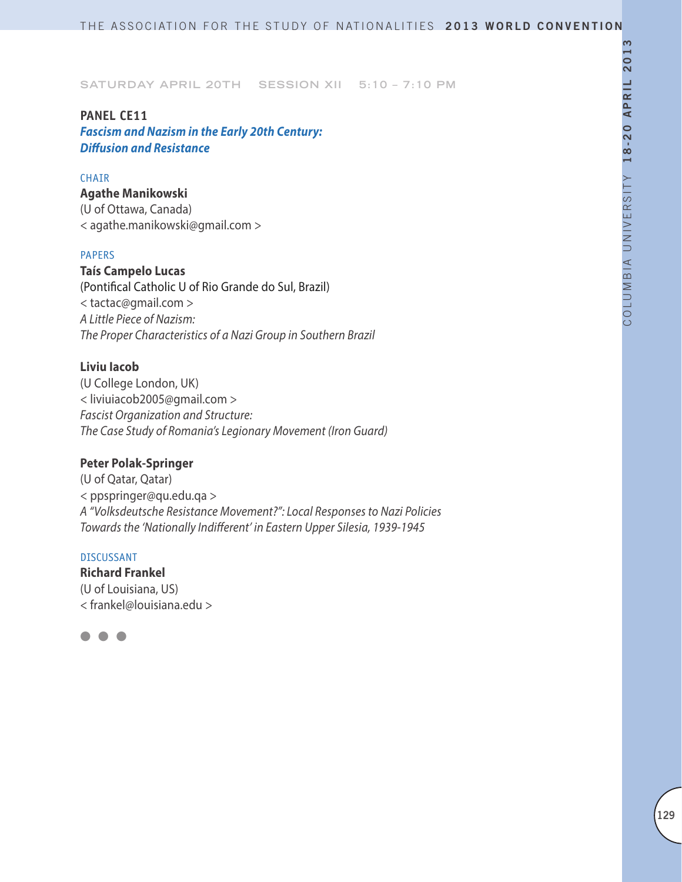### **PANEL CE11**

*Fascism and Nazism in the Early 20th Century: Diffusion and Resistance*

### CHAIR

**Agathe Manikowski** (U of Ottawa, Canada) < agathe.manikowski@gmail.com >

#### PAPERS

**Taís Campelo Lucas** (Pontifical Catholic U of Rio Grande do Sul, Brazil) < tactac@gmail.com > *A Little Piece of Nazism: The Proper Characteristics of a Nazi Group in Southern Brazil*

# **Liviu Iacob**

(U College London, UK) < liviuiacob2005@gmail.com > *Fascist Organization and Structure: The Case Study of Romania's Legionary Movement (Iron Guard)*

# **Peter Polak-Springer**

(U of Qatar, Qatar) < ppspringer@qu.edu.qa > *A "Volksdeutsche Resistance Movement?": Local Responses to Nazi Policies Towards the 'Nationally Indifferent' in Eastern Upper Silesia, 1939-1945*

### DISCUSSANT

**Richard Frankel** (U of Louisiana, US) < frankel@louisiana.edu >

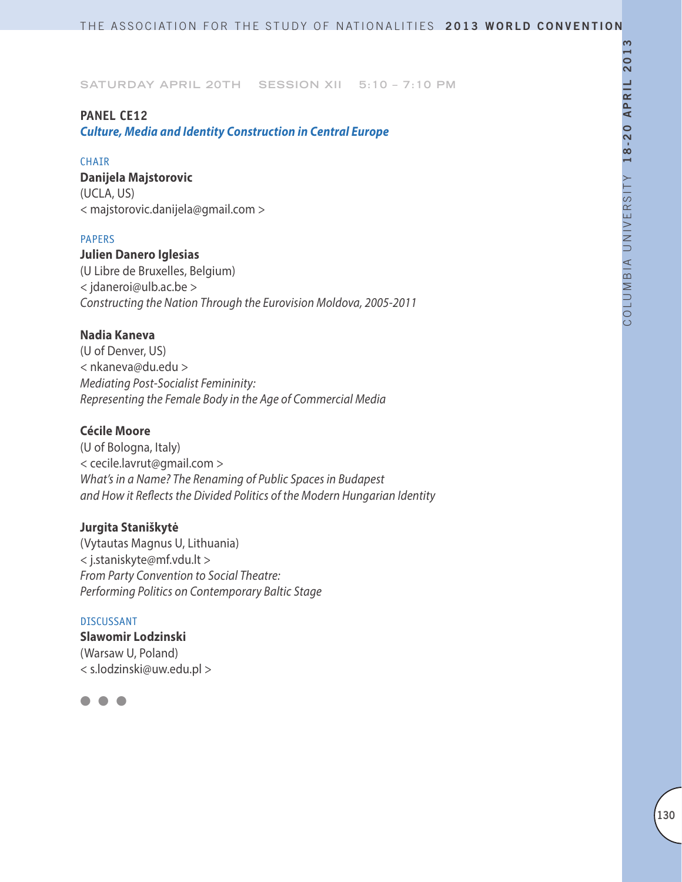### **PANEL CE12**

*Culture, Media and Identity Construction in Central Europe*

#### **CHAIR**

**Danijela Majstorovic** (UCLA, US) < majstorovic.danijela@gmail.com >

### PAPERS

**Julien Danero Iglesias** (U Libre de Bruxelles, Belgium) < jdaneroi@ulb.ac.be > *Constructing the Nation Through the Eurovision Moldova, 2005-2011*

### **Nadia Kaneva**

(U of Denver, US) < nkaneva@du.edu > *Mediating Post-Socialist Femininity: Representing the Female Body in the Age of Commercial Media*

# **Cécile Moore**

(U of Bologna, Italy) < cecile.lavrut@gmail.com > *What's in a Name? The Renaming of Public Spaces in Budapest and How it Reflects the Divided Politics of the Modern Hungarian Identity*

# **Jurgita Staniškytė**

(Vytautas Magnus U, Lithuania) < j.staniskyte@mf.vdu.lt > *From Party Convention to Social Theatre: Performing Politics on Contemporary Baltic Stage*

#### DISCUSSANT

**Slawomir Lodzinski** (Warsaw U, Poland) < s.lodzinski@uw.edu.pl >

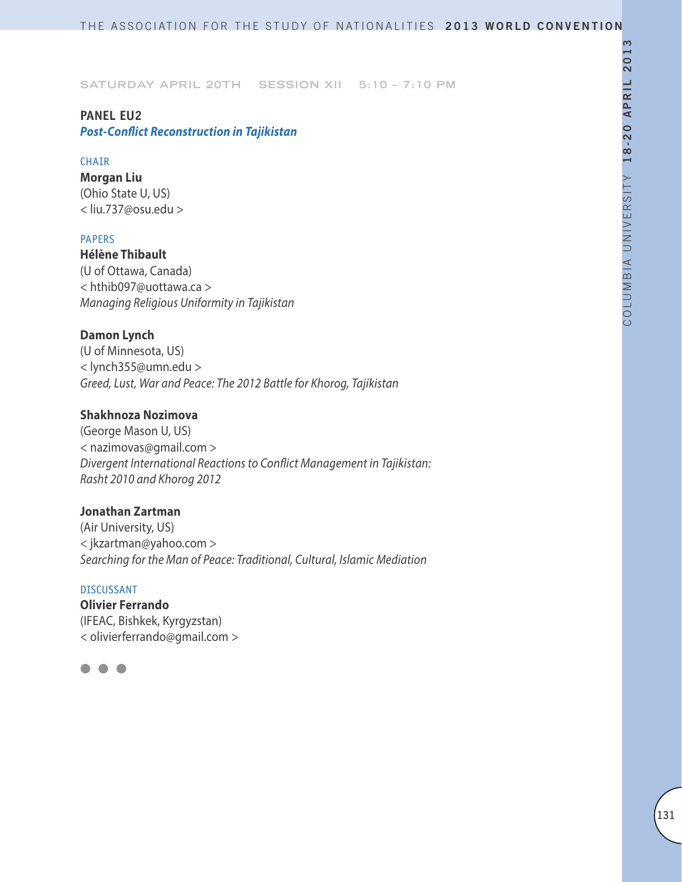### **PANEL EU2**

*Post-Conflict Reconstruction in Tajikistan*

### **CHAIR**

**Morgan Liu** (Ohio State U, US) < liu.737@osu.edu >

### PAPERS

**Hélène Thibault** (U of Ottawa, Canada) < hthib097@uottawa.ca > *Managing Religious Uniformity in Tajikistan*

# **Damon Lynch**

(U of Minnesota, US) < lynch355@umn.edu > *Greed, Lust, War and Peace: The 2012 Battle for Khorog, Tajikistan*

### **Shakhnoza Nozimova**

(George Mason U, US) < nazimovas@gmail.com > *Divergent International Reactions to Conflict Management in Tajikistan: Rasht 2010 and Khorog 2012*

### **Jonathan Zartman**

(Air University, US) < jkzartman@yahoo.com > *Searching for the Man of Peace: Traditional, Cultural, Islamic Mediation*

### DISCUSSANT

**Olivier Ferrando** (IFEAC, Bishkek, Kyrgyzstan) < olivierferrando@gmail.com >

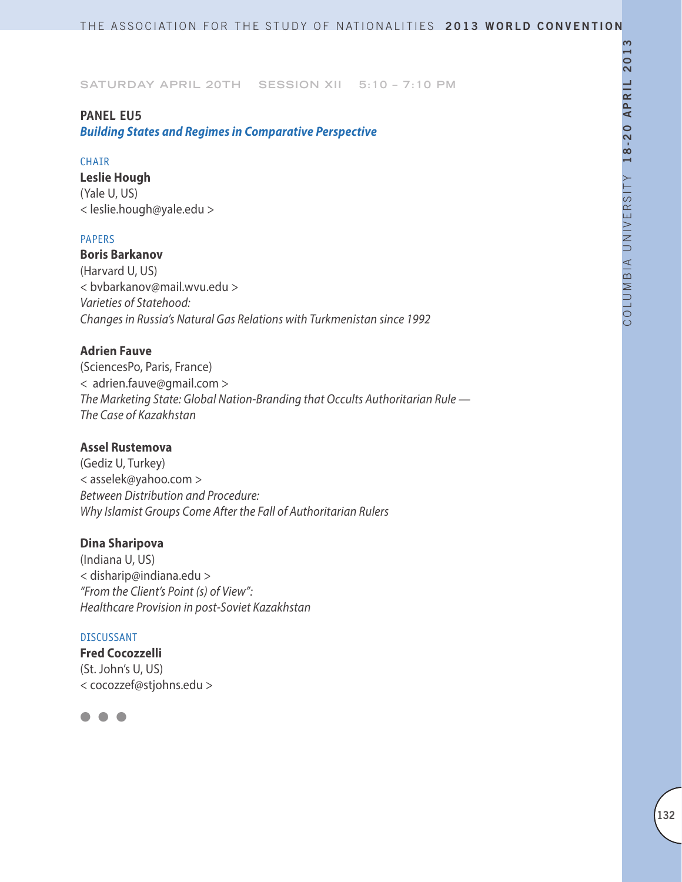### **PANEL EU5**

*Building States and Regimes in Comparative Perspective*

### CHAIR

**Leslie Hough** (Yale U, US) < leslie.hough@yale.edu >

### PAPERS

### **Boris Barkanov**

(Harvard U, US) < bvbarkanov@mail.wvu.edu > *Varieties of Statehood: Changes in Russia's Natural Gas Relations with Turkmenistan since 1992*

# **Adrien Fauve**

(SciencesPo, Paris, France) < adrien.fauve@gmail.com > *The Marketing State: Global Nation-Branding that Occults Authoritarian Rule — The Case of Kazakhstan*

# **Assel Rustemova**

(Gediz U, Turkey) < asselek@yahoo.com > *Between Distribution and Procedure: Why Islamist Groups Come After the Fall of Authoritarian Rulers*

### **Dina Sharipova**

(Indiana U, US) < disharip@indiana.edu > *"From the Client's Point (s) of View": Healthcare Provision in post-Soviet Kazakhstan*

#### DISCUSSANT

**Fred Cocozzelli** (St. John's U, US) < cocozzef@stjohns.edu >

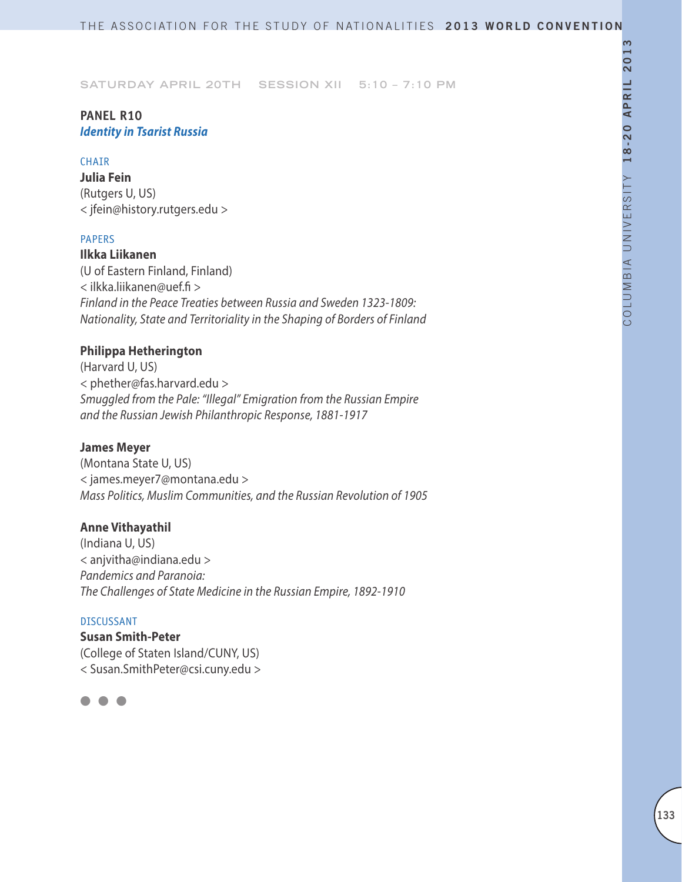# **PANEL R10**  *Identity in Tsarist Russia*

#### CHAIR

**Julia Fein** (Rutgers U, US) < jfein@history.rutgers.edu >

### PAPERS

**Ilkka Liikanen** (U of Eastern Finland, Finland) < ilkka.liikanen@uef.fi > *Finland in the Peace Treaties between Russia and Sweden 1323-1809: Nationality, State and Territoriality in the Shaping of Borders of Finland*

# **Philippa Hetherington**

(Harvard U, US) < phether@fas.harvard.edu > *Smuggled from the Pale: "Illegal" Emigration from the Russian Empire and the Russian Jewish Philanthropic Response, 1881-1917*

### **James Meyer**

(Montana State U, US) < james.meyer7@montana.edu > *Mass Politics, Muslim Communities, and the Russian Revolution of 1905*

### **Anne Vithayathil**

(Indiana U, US) < anjvitha@indiana.edu > *Pandemics and Paranoia: The Challenges of State Medicine in the Russian Empire, 1892-1910*

#### DISCUSSANT

**Susan Smith-Peter** (College of Staten Island/CUNY, US) < Susan.SmithPeter@csi.cuny.edu >

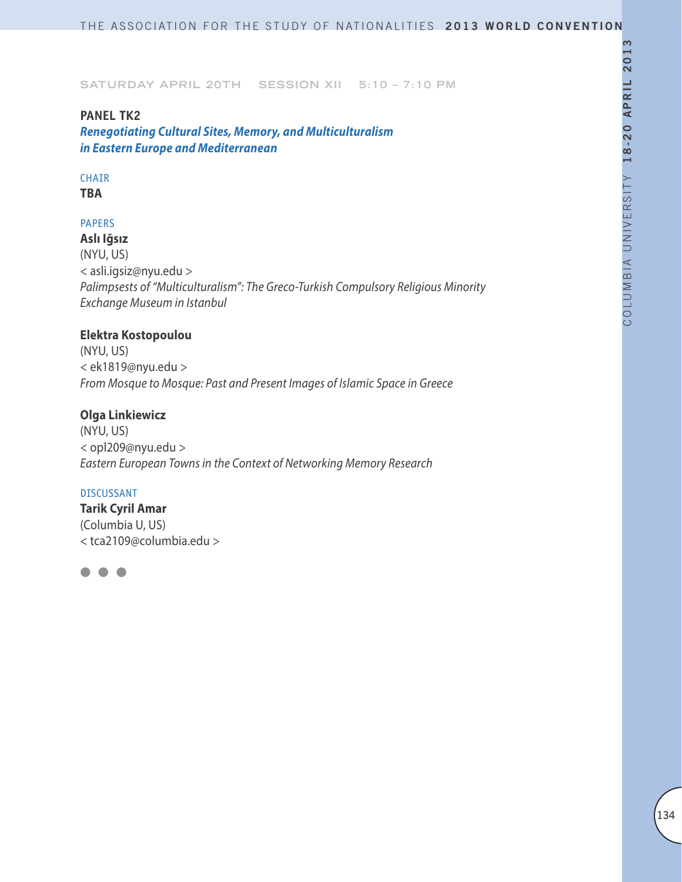### **PANEL TK2**

*Renegotiating Cultural Sites, Memory, and Multiculturalism in Eastern Europe and Mediterranean*

# CHAIR

**TBA**

### PAPERS

**Aslı Iğsız**  (NYU, US) < asli.igsiz@nyu.edu > *Palimpsests of "Multiculturalism": The Greco-Turkish Compulsory Religious Minority Exchange Museum in Istanbul* 

# **Elektra Kostopoulou**

(NYU, US) < ek1819@nyu.edu > *From Mosque to Mosque: Past and Present Images of Islamic Space in Greece*

### **Olga Linkiewicz**

(NYU, US) < opl209@nyu.edu > *Eastern European Towns in the Context of Networking Memory Research*

#### DISCUSSANT

**Tarik Cyril Amar**  (Columbia U, US) < tca2109@columbia.edu >

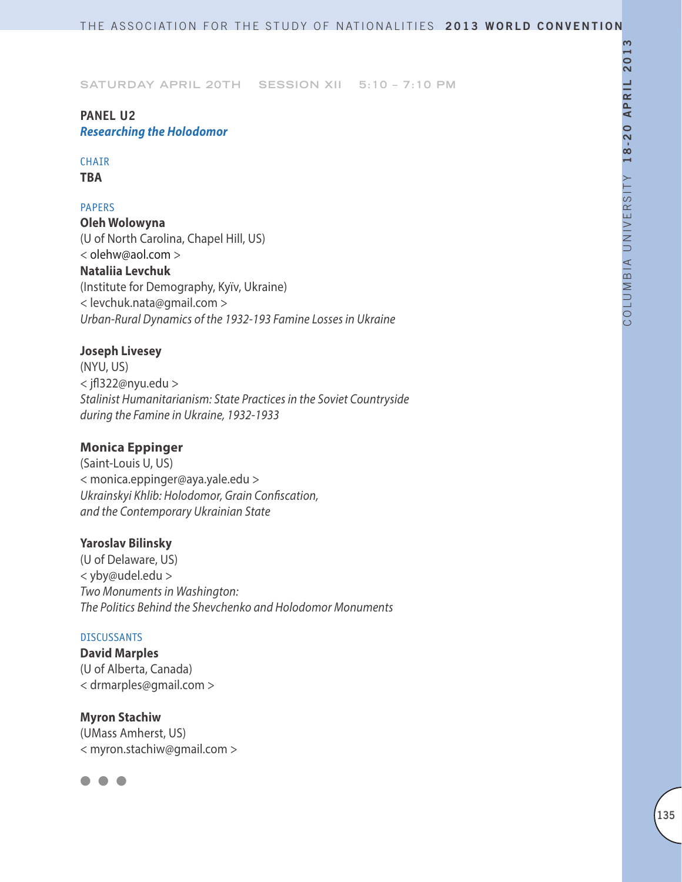# **PANEL U2** *Researching the Holodomor*

# CHAIR

**TBA**

# PAPERS

**Oleh Wolowyna** (U of North Carolina, Chapel Hill, US) < olehw@aol.com > **Nataliia Levchuk** (Institute for Demography, Kyïv, Ukraine) < levchuk.nata@gmail.com > *Urban-Rural Dynamics of the 1932-193 Famine Losses in Ukraine*

# **Joseph Livesey**

(NYU, US) < jfl322@nyu.edu > *Stalinist Humanitarianism: State Practices in the Soviet Countryside during the Famine in Ukraine, 1932-1933*

# **Monica Eppinger**

(Saint-Louis U, US) < monica.eppinger@aya.yale.edu > *Ukrainskyi Khlib: Holodomor, Grain Confiscation, and the Contemporary Ukrainian State*

# **Yaroslav Bilinsky**

(U of Delaware, US) < yby@udel.edu > *Two Monuments in Washington: The Politics Behind the Shevchenko and Holodomor Monuments*

### DISCUSSANTS

**David Marples** (U of Alberta, Canada) < drmarples@gmail.com >

**Myron Stachiw** (UMass Amherst, US) < myron.stachiw@gmail.com >

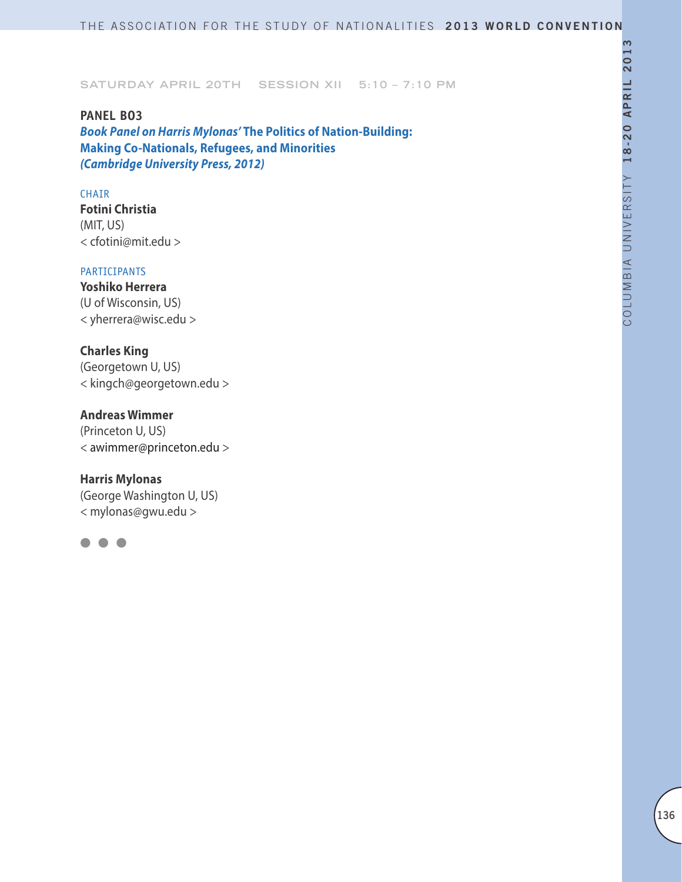**PANEL BO3** *Book Panel on Harris Mylonas'* **The Politics of Nation-Building: Making Co-Nationals, Refugees, and Minorities**  *(Cambridge University Press, 2012)*

#### CHAIR

**Fotini Christia** (MIT, US) < cfotini@mit.edu >

### PARTICIPANTS

**Yoshiko Herrera** (U of Wisconsin, US) < yherrera@wisc.edu >

### **Charles King**

(Georgetown U, US) < kingch@georgetown.edu >

# **Andreas Wimmer**

(Princeton U, US) < awimmer@princeton.edu >

### **Harris Mylonas**

(George Washington U, US) < mylonas@gwu.edu >

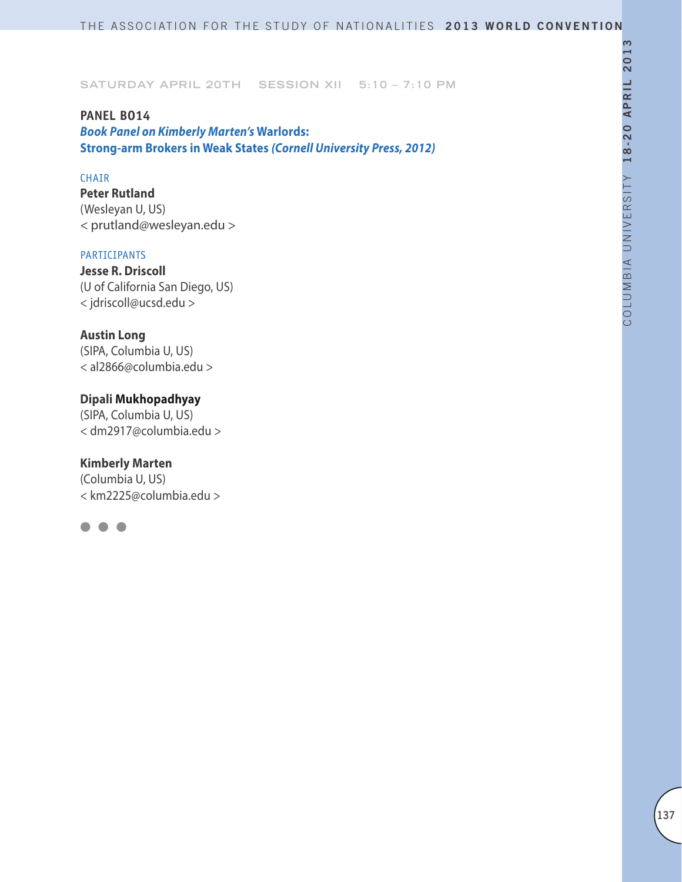### **PANEL BO14**

*Book Panel on Kimberly Marten's* **Warlords: Strong-arm Brokers in Weak States** *(Cornell University Press, 2012)*

# CHAIR

**Peter Rutland**  (Wesleyan U, US) < prutland@wesleyan.edu >

#### PARTICIPANTS

**Jesse R. Driscoll** (U of California San Diego, US) < jdriscoll@ucsd.edu >

### **Austin Long**

(SIPA, Columbia U, US) < al2866@columbia.edu >

# **Dipali Mukhopadhyay**

(SIPA, Columbia U, US) < dm2917@columbia.edu >

### **Kimberly Marten**

(Columbia U, US) < km2225@columbia.edu >

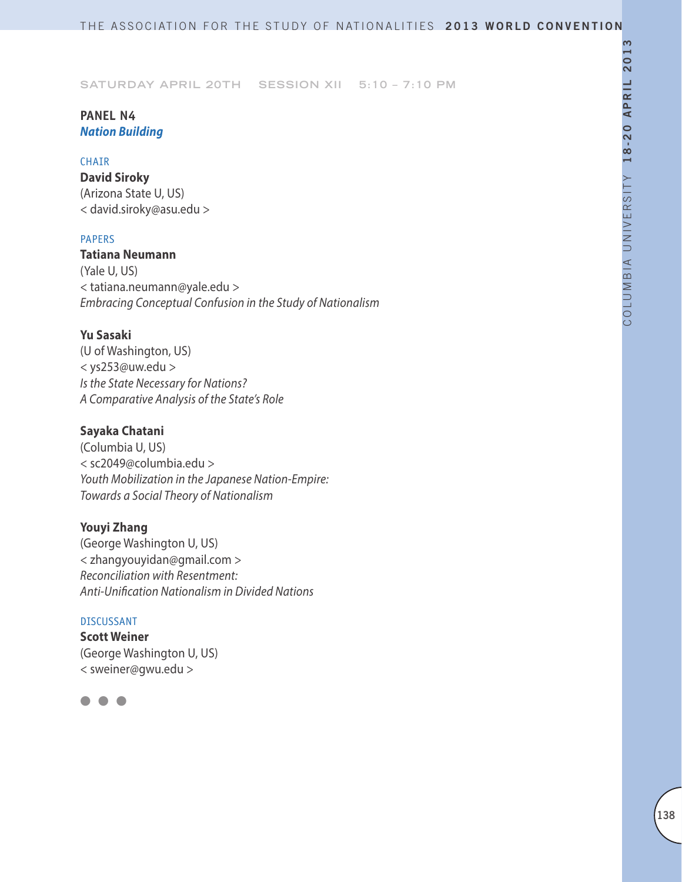# **PANEL N4** *Nation Building*

### CHAIR

**David Siroky** (Arizona State U, US) < david.siroky@asu.edu >

# PAPERS

**Tatiana Neumann** (Yale U, US) < tatiana.neumann@yale.edu > *Embracing Conceptual Confusion in the Study of Nationalism*

# **Yu Sasaki**

(U of Washington, US) < ys253@uw.edu > *Is the State Necessary for Nations? A Comparative Analysis of the State's Role*

# **Sayaka Chatani**

(Columbia U, US) < sc2049@columbia.edu > *Youth Mobilization in the Japanese Nation-Empire: Towards a Social Theory of Nationalism*

# **Youyi Zhang**

(George Washington U, US) < zhangyouyidan@gmail.com > *Reconciliation with Resentment: Anti-Unification Nationalism in Divided Nations*

### DISCUSSANT

**Scott Weiner** (George Washington U, US) < sweiner@gwu.edu >

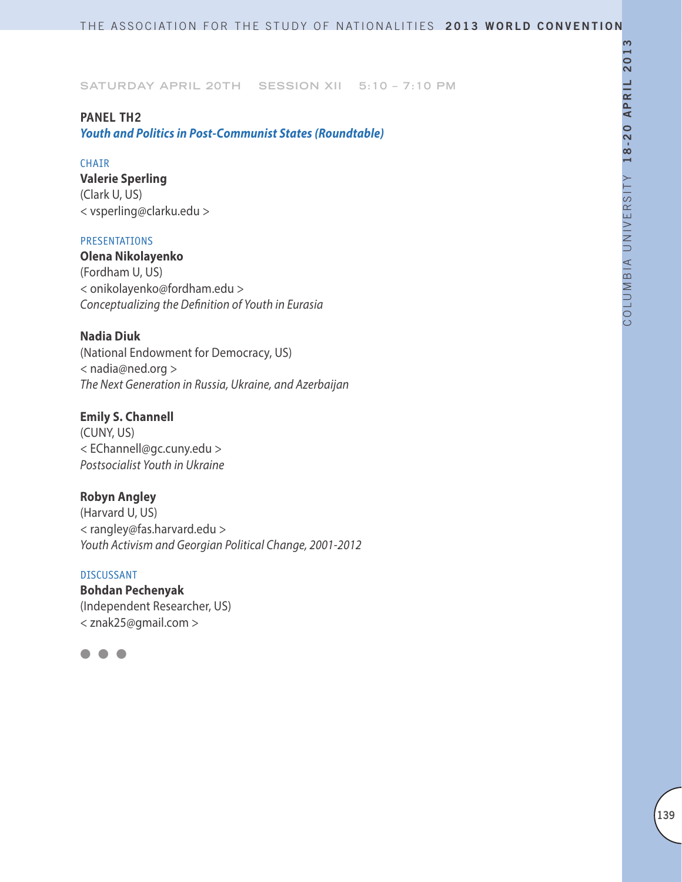# **PANEL TH2**

*Youth and Politics in Post-Communist States (Roundtable)*

### CHAIR

**Valerie Sperling** (Clark U, US) < vsperling@clarku.edu >

### PRESENTATIONS

**Olena Nikolayenko** (Fordham U, US) < onikolayenko@fordham.edu > *Conceptualizing the Definition of Youth in Eurasia*

# **Nadia Diuk**

(National Endowment for Democracy, US) < nadia@ned.org > *The Next Generation in Russia, Ukraine, and Azerbaijan*

# **Emily S. Channell**

(CUNY, US) < EChannell@gc.cuny.edu > *Postsocialist Youth in Ukraine*

# **Robyn Angley**

(Harvard U, US) < rangley@fas.harvard.edu > *Youth Activism and Georgian Political Change, 2001-2012*

### DISCUSSANT

**Bohdan Pechenyak** (Independent Researcher, US) < znak25@gmail.com >